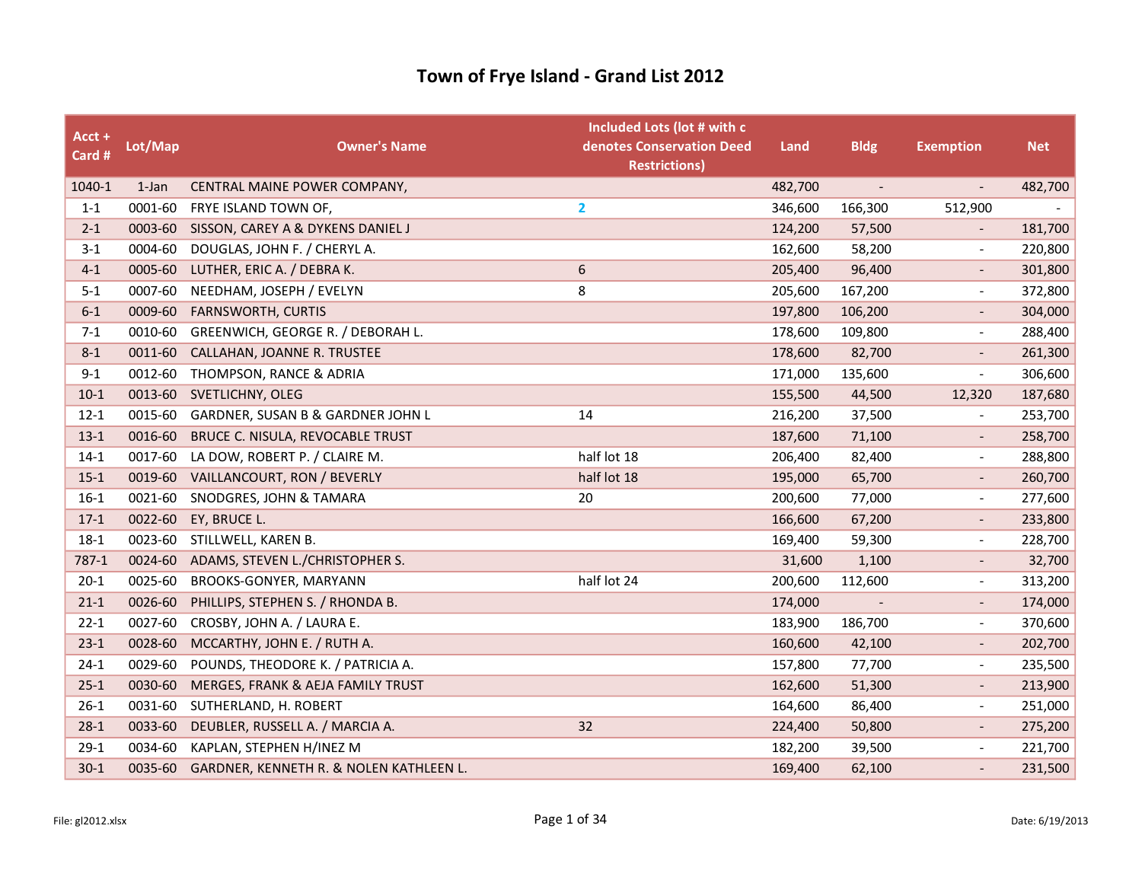| Acct +<br>Card # | Lot/Map | <b>Owner's Name</b>                       | Included Lots (lot # with c<br>denotes Conservation Deed<br><b>Restrictions)</b> | Land    | <b>Bldg</b> | <b>Exemption</b>         | <b>Net</b> |
|------------------|---------|-------------------------------------------|----------------------------------------------------------------------------------|---------|-------------|--------------------------|------------|
| 1040-1           | 1-Jan   | CENTRAL MAINE POWER COMPANY,              |                                                                                  | 482,700 | $\sim$      | $\overline{\phantom{a}}$ | 482,700    |
| $1 - 1$          | 0001-60 | FRYE ISLAND TOWN OF,                      | $\overline{2}$                                                                   | 346,600 | 166,300     | 512,900                  |            |
| $2 - 1$          |         | 0003-60 SISSON, CAREY A & DYKENS DANIEL J |                                                                                  | 124,200 | 57,500      |                          | 181,700    |
| $3 - 1$          | 0004-60 | DOUGLAS, JOHN F. / CHERYL A.              |                                                                                  | 162,600 | 58,200      | $\overline{\phantom{a}}$ | 220,800    |
| $4 - 1$          | 0005-60 | LUTHER, ERIC A. / DEBRA K.                | 6                                                                                | 205,400 | 96,400      |                          | 301,800    |
| $5 - 1$          | 0007-60 | NEEDHAM, JOSEPH / EVELYN                  | 8                                                                                | 205,600 | 167,200     |                          | 372,800    |
| $6-1$            | 0009-60 | <b>FARNSWORTH, CURTIS</b>                 |                                                                                  | 197,800 | 106,200     | $\overline{\phantom{a}}$ | 304,000    |
| $7 - 1$          | 0010-60 | GREENWICH, GEORGE R. / DEBORAH L.         |                                                                                  | 178,600 | 109,800     | $\overline{\phantom{a}}$ | 288,400    |
| $8 - 1$          | 0011-60 | CALLAHAN, JOANNE R. TRUSTEE               |                                                                                  | 178,600 | 82,700      |                          | 261,300    |
| $9 - 1$          |         | 0012-60 THOMPSON, RANCE & ADRIA           |                                                                                  | 171,000 | 135,600     | $\overline{\phantom{a}}$ | 306,600    |
| $10-1$           | 0013-60 | SVETLICHNY, OLEG                          |                                                                                  | 155,500 | 44,500      | 12,320                   | 187,680    |
| $12 - 1$         | 0015-60 | GARDNER, SUSAN B & GARDNER JOHN L         | 14                                                                               | 216,200 | 37,500      |                          | 253,700    |
| $13-1$           | 0016-60 | BRUCE C. NISULA, REVOCABLE TRUST          |                                                                                  | 187,600 | 71,100      | $\overline{\phantom{a}}$ | 258,700    |
| $14-1$           | 0017-60 | LA DOW, ROBERT P. / CLAIRE M.             | half lot 18                                                                      | 206,400 | 82,400      | $\overline{\phantom{a}}$ | 288,800    |
| $15-1$           | 0019-60 | VAILLANCOURT, RON / BEVERLY               | half lot 18                                                                      | 195,000 | 65,700      | $\overline{\phantom{a}}$ | 260,700    |
| $16-1$           | 0021-60 | SNODGRES, JOHN & TAMARA                   | 20                                                                               | 200,600 | 77,000      | $\overline{\phantom{a}}$ | 277,600    |
| $17-1$           | 0022-60 | EY, BRUCE L.                              |                                                                                  | 166,600 | 67,200      | $\blacksquare$           | 233,800    |
| $18-1$           | 0023-60 | STILLWELL, KAREN B.                       |                                                                                  | 169,400 | 59,300      | $\overline{\phantom{a}}$ | 228,700    |
| 787-1            | 0024-60 | ADAMS, STEVEN L./CHRISTOPHER S.           |                                                                                  | 31,600  | 1,100       | $\overline{\phantom{a}}$ | 32,700     |
| $20-1$           | 0025-60 | BROOKS-GONYER, MARYANN                    | half lot 24                                                                      | 200,600 | 112,600     | $\overline{\phantom{a}}$ | 313,200    |
| $21 - 1$         | 0026-60 | PHILLIPS, STEPHEN S. / RHONDA B.          |                                                                                  | 174,000 |             |                          | 174,000    |
| $22 - 1$         | 0027-60 | CROSBY, JOHN A. / LAURA E.                |                                                                                  | 183,900 | 186,700     | $\overline{\phantom{a}}$ | 370,600    |
| $23-1$           | 0028-60 | MCCARTHY, JOHN E. / RUTH A.               |                                                                                  | 160,600 | 42,100      | $\overline{\phantom{a}}$ | 202,700    |
| $24-1$           | 0029-60 | POUNDS, THEODORE K. / PATRICIA A.         |                                                                                  | 157,800 | 77,700      | $\overline{\phantom{a}}$ | 235,500    |
| $25-1$           | 0030-60 | MERGES, FRANK & AEJA FAMILY TRUST         |                                                                                  | 162,600 | 51,300      | $\overline{\phantom{a}}$ | 213,900    |
| $26-1$           | 0031-60 | SUTHERLAND, H. ROBERT                     |                                                                                  | 164,600 | 86,400      | $\frac{1}{2}$            | 251,000    |
| $28-1$           | 0033-60 | DEUBLER, RUSSELL A. / MARCIA A.           | 32                                                                               | 224,400 | 50,800      | $\overline{\phantom{a}}$ | 275,200    |
| $29-1$           | 0034-60 | KAPLAN, STEPHEN H/INEZ M                  |                                                                                  | 182,200 | 39,500      | $\overline{\phantom{a}}$ | 221,700    |
| $30-1$           | 0035-60 | GARDNER, KENNETH R. & NOLEN KATHLEEN L.   |                                                                                  | 169,400 | 62,100      |                          | 231,500    |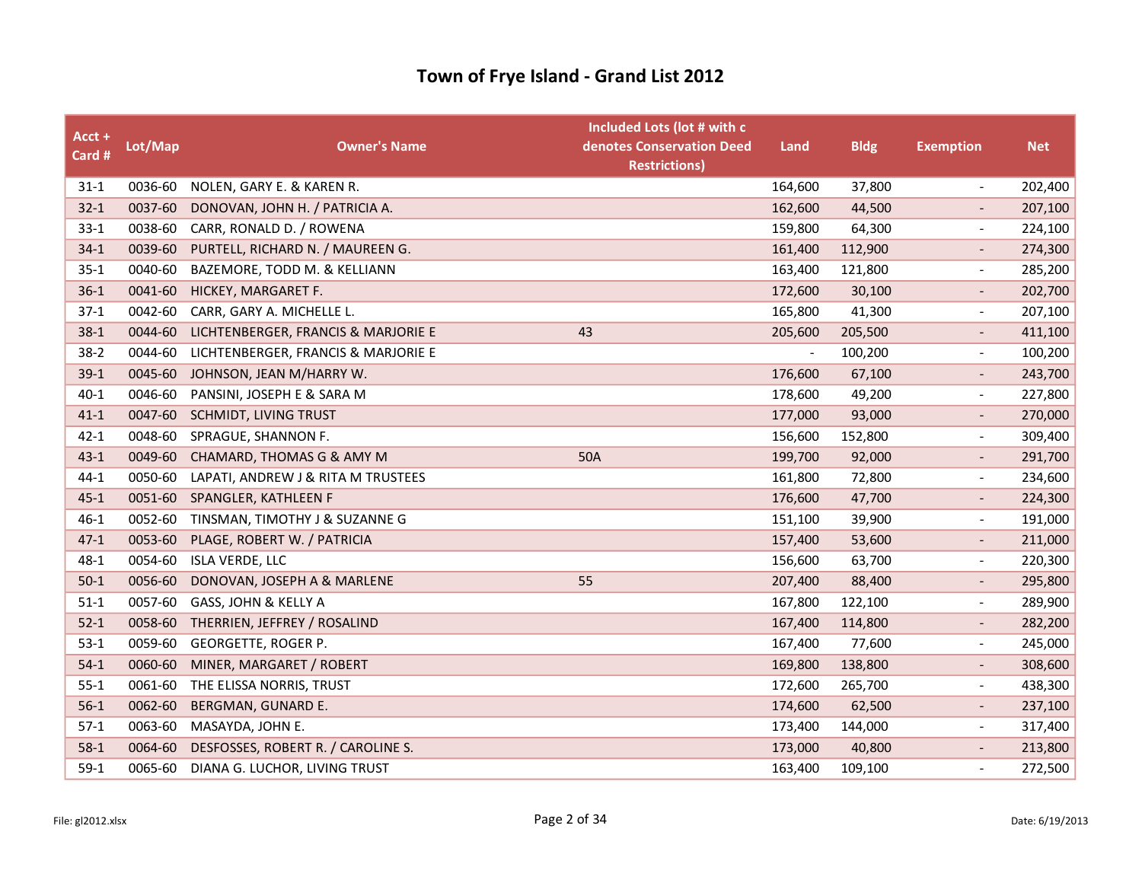| Acct +<br>Card # | Lot/Map | <b>Owner's Name</b>                 | Included Lots (lot # with c<br>denotes Conservation Deed<br><b>Restrictions)</b> | Land                     | <b>Bldg</b> | <b>Exemption</b>         | <b>Net</b> |
|------------------|---------|-------------------------------------|----------------------------------------------------------------------------------|--------------------------|-------------|--------------------------|------------|
| $31 - 1$         | 0036-60 | NOLEN, GARY E. & KAREN R.           |                                                                                  | 164,600                  | 37,800      | $\overline{\phantom{a}}$ | 202,400    |
| $32 - 1$         | 0037-60 | DONOVAN, JOHN H. / PATRICIA A.      |                                                                                  | 162,600                  | 44,500      |                          | 207,100    |
| $33-1$           | 0038-60 | CARR, RONALD D. / ROWENA            |                                                                                  | 159,800                  | 64,300      | $\overline{\phantom{a}}$ | 224,100    |
| $34-1$           | 0039-60 | PURTELL, RICHARD N. / MAUREEN G.    |                                                                                  | 161,400                  | 112,900     | $\overline{\phantom{a}}$ | 274,300    |
| $35 - 1$         | 0040-60 | BAZEMORE, TODD M. & KELLIANN        |                                                                                  | 163,400                  | 121,800     | $\overline{\phantom{a}}$ | 285,200    |
| $36-1$           | 0041-60 | HICKEY, MARGARET F.                 |                                                                                  | 172,600                  | 30,100      |                          | 202,700    |
| $37-1$           | 0042-60 | CARR, GARY A. MICHELLE L.           |                                                                                  | 165,800                  | 41,300      | $\overline{\phantom{a}}$ | 207,100    |
| $38-1$           | 0044-60 | LICHTENBERGER, FRANCIS & MARJORIE E | 43                                                                               | 205,600                  | 205,500     | $\overline{\phantom{a}}$ | 411,100    |
| $38-2$           | 0044-60 | LICHTENBERGER, FRANCIS & MARJORIE E |                                                                                  | $\overline{\phantom{a}}$ | 100,200     | $\overline{\phantom{a}}$ | 100,200    |
| $39-1$           | 0045-60 | JOHNSON, JEAN M/HARRY W.            |                                                                                  | 176,600                  | 67,100      | $\overline{\phantom{a}}$ | 243,700    |
| $40 - 1$         | 0046-60 | PANSINI, JOSEPH E & SARA M          |                                                                                  | 178,600                  | 49,200      | $\overline{\phantom{a}}$ | 227,800    |
| $41 - 1$         | 0047-60 | SCHMIDT, LIVING TRUST               |                                                                                  | 177,000                  | 93,000      |                          | 270,000    |
| $42 - 1$         | 0048-60 | SPRAGUE, SHANNON F.                 |                                                                                  | 156,600                  | 152,800     | $\overline{\phantom{a}}$ | 309,400    |
| $43 - 1$         | 0049-60 | CHAMARD, THOMAS G & AMY M           | 50A                                                                              | 199,700                  | 92,000      | $\overline{\phantom{a}}$ | 291,700    |
| $44-1$           | 0050-60 | LAPATI, ANDREW J & RITA M TRUSTEES  |                                                                                  | 161,800                  | 72,800      | $\overline{\phantom{a}}$ | 234,600    |
| $45 - 1$         | 0051-60 | SPANGLER, KATHLEEN F                |                                                                                  | 176,600                  | 47,700      | $\overline{\phantom{a}}$ | 224,300    |
| $46 - 1$         | 0052-60 | TINSMAN, TIMOTHY J & SUZANNE G      |                                                                                  | 151,100                  | 39,900      | $\overline{\phantom{a}}$ | 191,000    |
| $47 - 1$         | 0053-60 | PLAGE, ROBERT W. / PATRICIA         |                                                                                  | 157,400                  | 53,600      |                          | 211,000    |
| $48 - 1$         | 0054-60 | <b>ISLA VERDE, LLC</b>              |                                                                                  | 156,600                  | 63,700      | $\overline{\phantom{a}}$ | 220,300    |
| $50-1$           | 0056-60 | DONOVAN, JOSEPH A & MARLENE         | 55                                                                               | 207,400                  | 88,400      | $\overline{\phantom{a}}$ | 295,800    |
| $51-1$           | 0057-60 | GASS, JOHN & KELLY A                |                                                                                  | 167,800                  | 122,100     | $\overline{\phantom{a}}$ | 289,900    |
| $52 - 1$         | 0058-60 | THERRIEN, JEFFREY / ROSALIND        |                                                                                  | 167,400                  | 114,800     | $\overline{\phantom{a}}$ | 282,200    |
| $53-1$           | 0059-60 | GEORGETTE, ROGER P.                 |                                                                                  | 167,400                  | 77,600      | $\blacksquare$           | 245,000    |
| $54-1$           | 0060-60 | MINER, MARGARET / ROBERT            |                                                                                  | 169,800                  | 138,800     |                          | 308,600    |
| $55 - 1$         | 0061-60 | THE ELISSA NORRIS, TRUST            |                                                                                  | 172,600                  | 265,700     | $\overline{\phantom{a}}$ | 438,300    |
| $56-1$           | 0062-60 | BERGMAN, GUNARD E.                  |                                                                                  | 174,600                  | 62,500      | $\overline{\phantom{a}}$ | 237,100    |
| $57-1$           | 0063-60 | MASAYDA, JOHN E.                    |                                                                                  | 173,400                  | 144,000     | $\overline{\phantom{a}}$ | 317,400    |
| $58-1$           | 0064-60 | DESFOSSES, ROBERT R. / CAROLINE S.  |                                                                                  | 173,000                  | 40,800      | $\overline{\phantom{a}}$ | 213,800    |
| $59-1$           | 0065-60 | DIANA G. LUCHOR, LIVING TRUST       |                                                                                  | 163,400                  | 109,100     | $\overline{\phantom{a}}$ | 272,500    |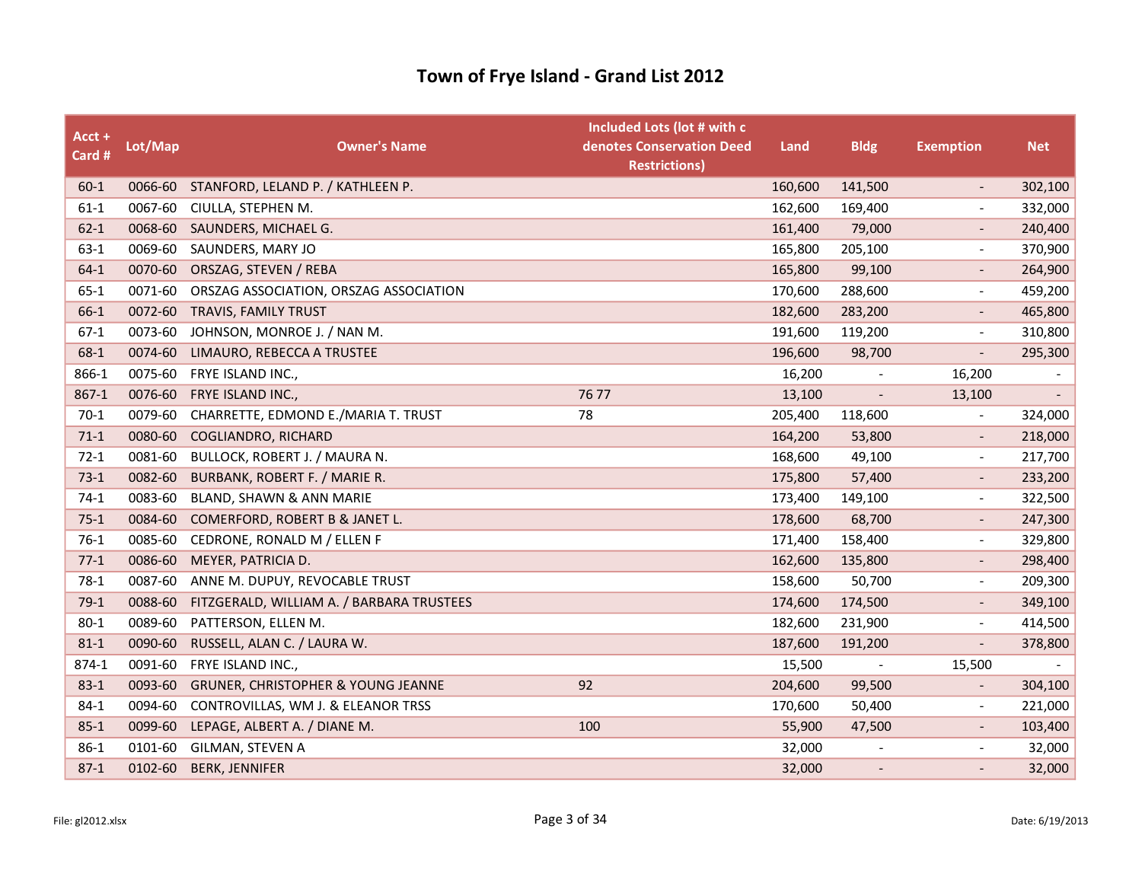| Acct +<br>Card # | Lot/Map | <b>Owner's Name</b>                           | Included Lots (lot # with c<br>denotes Conservation Deed<br><b>Restrictions)</b> | Land    | <b>Bldg</b>                 | <b>Exemption</b>         | <b>Net</b>               |
|------------------|---------|-----------------------------------------------|----------------------------------------------------------------------------------|---------|-----------------------------|--------------------------|--------------------------|
| $60 - 1$         |         | 0066-60 STANFORD, LELAND P. / KATHLEEN P.     |                                                                                  | 160,600 | 141,500                     | $\overline{\phantom{a}}$ | 302,100                  |
| $61-1$           | 0067-60 | CIULLA, STEPHEN M.                            |                                                                                  | 162,600 | 169,400                     |                          | 332,000                  |
| $62 - 1$         |         | 0068-60 SAUNDERS, MICHAEL G.                  |                                                                                  | 161,400 | 79,000                      |                          | 240,400                  |
| $63-1$           | 0069-60 | SAUNDERS, MARY JO                             |                                                                                  | 165,800 | 205,100                     | $\overline{\phantom{a}}$ | 370,900                  |
| $64-1$           | 0070-60 | ORSZAG, STEVEN / REBA                         |                                                                                  | 165,800 | 99,100                      |                          | 264,900                  |
| $65 - 1$         | 0071-60 | ORSZAG ASSOCIATION, ORSZAG ASSOCIATION        |                                                                                  | 170,600 | 288,600                     |                          | 459,200                  |
| $66-1$           |         | 0072-60 TRAVIS, FAMILY TRUST                  |                                                                                  | 182,600 | 283,200                     | $\overline{\phantom{a}}$ | 465,800                  |
| $67-1$           | 0073-60 | JOHNSON, MONROE J. / NAN M.                   |                                                                                  | 191,600 | 119,200                     | $\overline{\phantom{a}}$ | 310,800                  |
| 68-1             | 0074-60 | LIMAURO, REBECCA A TRUSTEE                    |                                                                                  | 196,600 | 98,700                      |                          | 295,300                  |
| 866-1            | 0075-60 | FRYE ISLAND INC.,                             |                                                                                  | 16,200  | $\overline{\phantom{a}}$    | 16,200                   |                          |
| $867-1$          | 0076-60 | FRYE ISLAND INC.,                             | 76 77                                                                            | 13,100  | $\mathcal{L}_{\mathcal{A}}$ | 13,100                   | $\overline{\phantom{a}}$ |
| $70-1$           | 0079-60 | CHARRETTE, EDMOND E./MARIA T. TRUST           | 78                                                                               | 205,400 | 118,600                     |                          | 324,000                  |
| $71-1$           |         | 0080-60 COGLIANDRO, RICHARD                   |                                                                                  | 164,200 | 53,800                      | $\overline{\phantom{a}}$ | 218,000                  |
| $72-1$           | 0081-60 | BULLOCK, ROBERT J. / MAURA N.                 |                                                                                  | 168,600 | 49,100                      | $\overline{\phantom{a}}$ | 217,700                  |
| $73-1$           | 0082-60 | BURBANK, ROBERT F. / MARIE R.                 |                                                                                  | 175,800 | 57,400                      |                          | 233,200                  |
| $74-1$           | 0083-60 | BLAND, SHAWN & ANN MARIE                      |                                                                                  | 173,400 | 149,100                     | $\overline{\phantom{a}}$ | 322,500                  |
| $75-1$           | 0084-60 | COMERFORD, ROBERT B & JANET L.                |                                                                                  | 178,600 | 68,700                      |                          | 247,300                  |
| $76-1$           |         | 0085-60 CEDRONE, RONALD M / ELLEN F           |                                                                                  | 171,400 | 158,400                     | $\overline{\phantom{a}}$ | 329,800                  |
| $77-1$           | 0086-60 | MEYER, PATRICIA D.                            |                                                                                  | 162,600 | 135,800                     |                          | 298,400                  |
| $78-1$           | 0087-60 | ANNE M. DUPUY, REVOCABLE TRUST                |                                                                                  | 158,600 | 50,700                      | $\overline{\phantom{a}}$ | 209,300                  |
| $79-1$           | 0088-60 | FITZGERALD, WILLIAM A. / BARBARA TRUSTEES     |                                                                                  | 174,600 | 174,500                     |                          | 349,100                  |
| $80 - 1$         | 0089-60 | PATTERSON, ELLEN M.                           |                                                                                  | 182,600 | 231,900                     | $\overline{\phantom{a}}$ | 414,500                  |
| $81 - 1$         | 0090-60 | RUSSELL, ALAN C. / LAURA W.                   |                                                                                  | 187,600 | 191,200                     | $\overline{\phantom{a}}$ | 378,800                  |
| 874-1            | 0091-60 | FRYE ISLAND INC.,                             |                                                                                  | 15,500  | $\overline{\phantom{a}}$    | 15,500                   | $\overline{\phantom{a}}$ |
| $83 - 1$         | 0093-60 | <b>GRUNER, CHRISTOPHER &amp; YOUNG JEANNE</b> | 92                                                                               | 204,600 | 99,500                      |                          | 304,100                  |
| $84-1$           | 0094-60 | CONTROVILLAS, WM J. & ELEANOR TRSS            |                                                                                  | 170,600 | 50,400                      |                          | 221,000                  |
| $85 - 1$         | 0099-60 | LEPAGE, ALBERT A. / DIANE M.                  | 100                                                                              | 55,900  | 47,500                      |                          | 103,400                  |
| $86-1$           | 0101-60 | GILMAN, STEVEN A                              |                                                                                  | 32,000  |                             |                          | 32,000                   |
| $87 - 1$         | 0102-60 | <b>BERK, JENNIFER</b>                         |                                                                                  | 32,000  | $\overline{\phantom{a}}$    |                          | 32,000                   |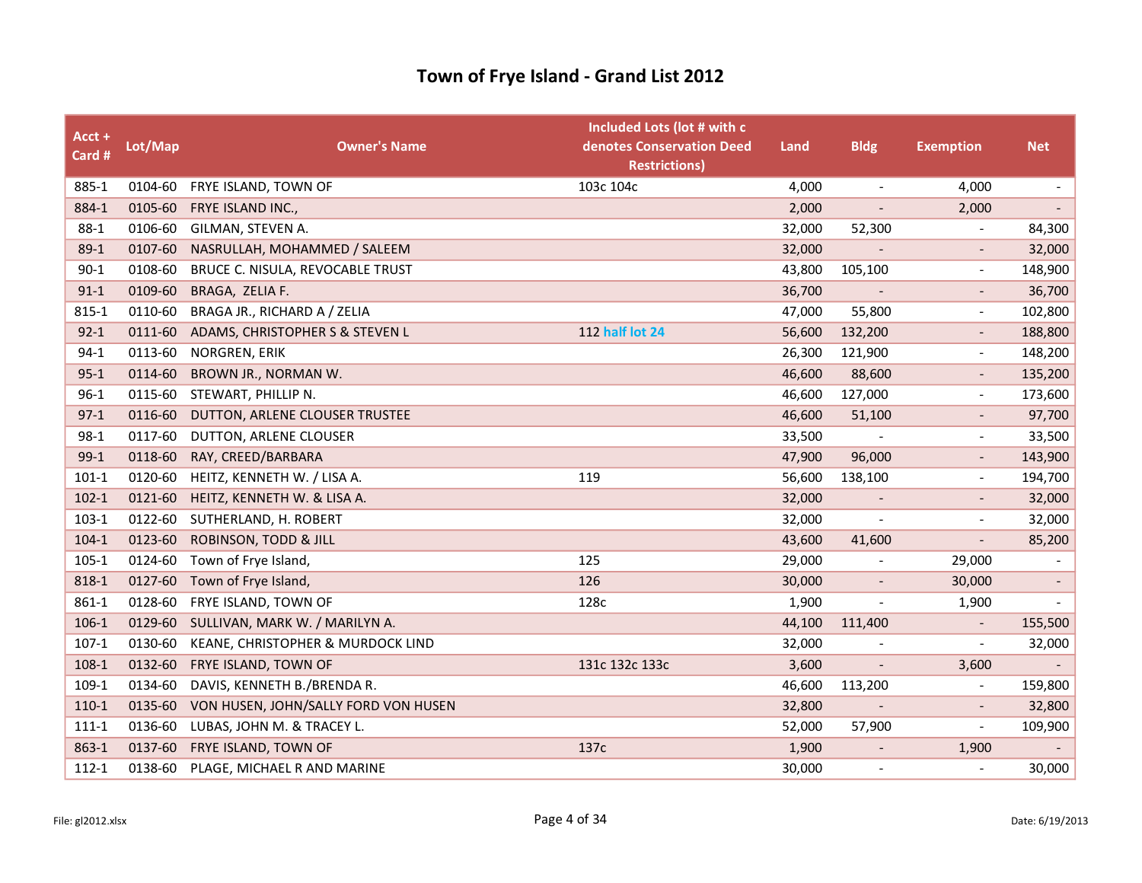| Acct +<br>Card # | Lot/Map | <b>Owner's Name</b>                  | Included Lots (lot # with c<br>denotes Conservation Deed<br><b>Restrictions)</b> | Land   | <b>Bldg</b>              | <b>Exemption</b>         | <b>Net</b>               |
|------------------|---------|--------------------------------------|----------------------------------------------------------------------------------|--------|--------------------------|--------------------------|--------------------------|
| 885-1            | 0104-60 | FRYE ISLAND, TOWN OF                 | 103c 104c                                                                        | 4,000  | $\overline{\phantom{a}}$ | 4,000                    | $\overline{\phantom{a}}$ |
| 884-1            | 0105-60 | FRYE ISLAND INC.,                    |                                                                                  | 2,000  |                          | 2,000                    | $\overline{\phantom{a}}$ |
| $88-1$           | 0106-60 | GILMAN, STEVEN A.                    |                                                                                  | 32,000 | 52,300                   | $\overline{\phantom{a}}$ | 84,300                   |
| $89-1$           | 0107-60 | NASRULLAH, MOHAMMED / SALEEM         |                                                                                  | 32,000 |                          | $\overline{\phantom{a}}$ | 32,000                   |
| $90 - 1$         | 0108-60 | BRUCE C. NISULA, REVOCABLE TRUST     |                                                                                  | 43,800 | 105,100                  | $\overline{\phantom{a}}$ | 148,900                  |
| $91 - 1$         | 0109-60 | BRAGA, ZELIA F.                      |                                                                                  | 36,700 |                          |                          | 36,700                   |
| 815-1            | 0110-60 | BRAGA JR., RICHARD A / ZELIA         |                                                                                  | 47,000 | 55,800                   | $\overline{\phantom{a}}$ | 102,800                  |
| $92 - 1$         | 0111-60 | ADAMS, CHRISTOPHER S & STEVEN L      | <b>112 half lot 24</b>                                                           | 56,600 | 132,200                  | $\overline{\phantom{a}}$ | 188,800                  |
| $94-1$           | 0113-60 | NORGREN, ERIK                        |                                                                                  | 26,300 | 121,900                  | $\overline{\phantom{a}}$ | 148,200                  |
| $95 - 1$         | 0114-60 | BROWN JR., NORMAN W.                 |                                                                                  | 46,600 | 88,600                   |                          | 135,200                  |
| $96-1$           | 0115-60 | STEWART, PHILLIP N.                  |                                                                                  | 46,600 | 127,000                  | $\blacksquare$           | 173,600                  |
| $97-1$           | 0116-60 | DUTTON, ARLENE CLOUSER TRUSTEE       |                                                                                  | 46,600 | 51,100                   |                          | 97,700                   |
| $98-1$           | 0117-60 | DUTTON, ARLENE CLOUSER               |                                                                                  | 33,500 |                          | $\overline{\phantom{a}}$ | 33,500                   |
| $99-1$           | 0118-60 | RAY, CREED/BARBARA                   |                                                                                  | 47,900 | 96,000                   | $\overline{\phantom{a}}$ | 143,900                  |
| $101-1$          |         | 0120-60 HEITZ, KENNETH W. / LISA A.  | 119                                                                              | 56,600 | 138,100                  | $\overline{\phantom{a}}$ | 194,700                  |
| $102 - 1$        | 0121-60 | HEITZ, KENNETH W. & LISA A.          |                                                                                  | 32,000 | $\overline{\phantom{a}}$ | $\overline{\phantom{a}}$ | 32,000                   |
| $103-1$          | 0122-60 | SUTHERLAND, H. ROBERT                |                                                                                  | 32,000 | $\overline{\phantom{a}}$ |                          | 32,000                   |
| $104-1$          | 0123-60 | ROBINSON, TODD & JILL                |                                                                                  | 43,600 | 41,600                   |                          | 85,200                   |
| 105-1            | 0124-60 | Town of Frye Island,                 | 125                                                                              | 29,000 | $\overline{\phantom{a}}$ | 29,000                   | $\overline{\phantom{a}}$ |
| 818-1            | 0127-60 | Town of Frye Island,                 | 126                                                                              | 30,000 | $\overline{\phantom{a}}$ | 30,000                   | $\overline{\phantom{a}}$ |
| 861-1            | 0128-60 | FRYE ISLAND, TOWN OF                 | 128c                                                                             | 1,900  |                          | 1,900                    |                          |
| $106-1$          | 0129-60 | SULLIVAN, MARK W. / MARILYN A.       |                                                                                  | 44,100 | 111,400                  | $\overline{\phantom{a}}$ | 155,500                  |
| $107-1$          | 0130-60 | KEANE, CHRISTOPHER & MURDOCK LIND    |                                                                                  | 32,000 |                          | $\overline{\phantom{a}}$ | 32,000                   |
| 108-1            | 0132-60 | FRYE ISLAND, TOWN OF                 | 131c 132c 133c                                                                   | 3,600  |                          | 3,600                    | $\overline{\phantom{a}}$ |
| 109-1            | 0134-60 | DAVIS, KENNETH B./BRENDA R.          |                                                                                  | 46,600 | 113,200                  | $\overline{\phantom{a}}$ | 159,800                  |
| $110-1$          | 0135-60 | VON HUSEN, JOHN/SALLY FORD VON HUSEN |                                                                                  | 32,800 | $\overline{\phantom{a}}$ |                          | 32,800                   |
| $111 - 1$        | 0136-60 | LUBAS, JOHN M. & TRACEY L.           |                                                                                  | 52,000 | 57,900                   | $\overline{\phantom{a}}$ | 109,900                  |
| 863-1            | 0137-60 | FRYE ISLAND, TOWN OF                 | 137c                                                                             | 1,900  | $\overline{\phantom{a}}$ | 1,900                    |                          |
| $112 - 1$        | 0138-60 | PLAGE, MICHAEL R AND MARINE          |                                                                                  | 30,000 | $\overline{\phantom{a}}$ |                          | 30,000                   |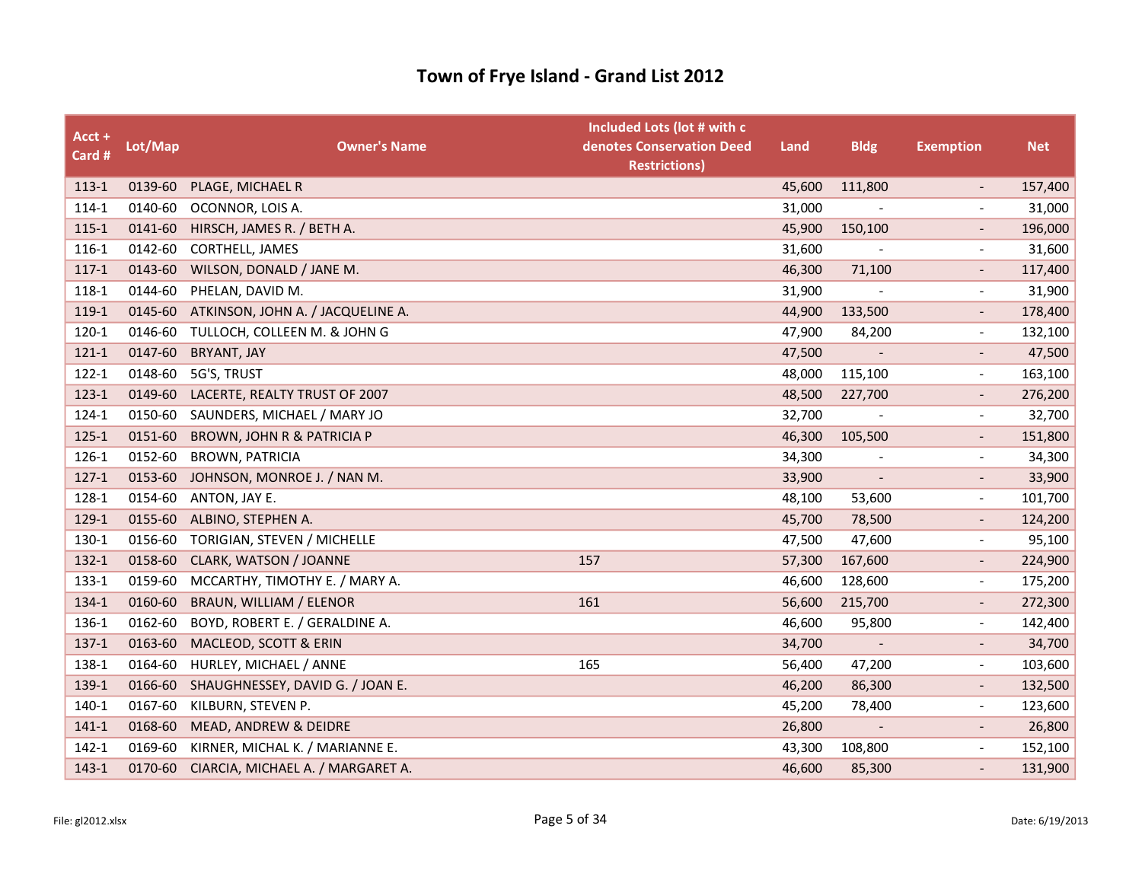| Acct +<br>Card # | Lot/Map | <b>Owner's Name</b>                   | Included Lots (lot # with c<br>denotes Conservation Deed<br><b>Restrictions)</b> | Land   | <b>Bldg</b>              | <b>Exemption</b>         | <b>Net</b> |
|------------------|---------|---------------------------------------|----------------------------------------------------------------------------------|--------|--------------------------|--------------------------|------------|
| 113-1            | 0139-60 | PLAGE, MICHAEL R                      |                                                                                  | 45,600 | 111,800                  | $\overline{\phantom{a}}$ | 157,400    |
| 114-1            | 0140-60 | OCONNOR, LOIS A.                      |                                                                                  | 31,000 |                          |                          | 31,000     |
| $115 - 1$        | 0141-60 | HIRSCH, JAMES R. / BETH A.            |                                                                                  | 45,900 | 150,100                  |                          | 196,000    |
| 116-1            | 0142-60 | CORTHELL, JAMES                       |                                                                                  | 31,600 |                          | $\overline{\phantom{a}}$ | 31,600     |
| $117-1$          | 0143-60 | WILSON, DONALD / JANE M.              |                                                                                  | 46,300 | 71,100                   | $\overline{\phantom{a}}$ | 117,400    |
| 118-1            | 0144-60 | PHELAN, DAVID M.                      |                                                                                  | 31,900 |                          |                          | 31,900     |
| 119-1            | 0145-60 | ATKINSON, JOHN A. / JACQUELINE A.     |                                                                                  | 44,900 | 133,500                  | $\overline{\phantom{a}}$ | 178,400    |
| 120-1            | 0146-60 | TULLOCH, COLLEEN M. & JOHN G          |                                                                                  | 47,900 | 84,200                   | $-$                      | 132,100    |
| 121-1            | 0147-60 | <b>BRYANT, JAY</b>                    |                                                                                  | 47,500 |                          |                          | 47,500     |
| $122 - 1$        | 0148-60 | 5G'S, TRUST                           |                                                                                  | 48,000 | 115,100                  | $\overline{\phantom{a}}$ | 163,100    |
| $123-1$          | 0149-60 | LACERTE, REALTY TRUST OF 2007         |                                                                                  | 48,500 | 227,700                  | $\overline{\phantom{a}}$ | 276,200    |
| 124-1            | 0150-60 | SAUNDERS, MICHAEL / MARY JO           |                                                                                  | 32,700 |                          |                          | 32,700     |
| $125 - 1$        | 0151-60 | <b>BROWN, JOHN R &amp; PATRICIA P</b> |                                                                                  | 46,300 | 105,500                  | $\overline{\phantom{a}}$ | 151,800    |
| 126-1            | 0152-60 | <b>BROWN, PATRICIA</b>                |                                                                                  | 34,300 |                          | $\overline{\phantom{0}}$ | 34,300     |
| $127-1$          | 0153-60 | JOHNSON, MONROE J. / NAN M.           |                                                                                  | 33,900 |                          |                          | 33,900     |
| 128-1            | 0154-60 | ANTON, JAY E.                         |                                                                                  | 48,100 | 53,600                   | $\overline{\phantom{a}}$ | 101,700    |
| 129-1            | 0155-60 | ALBINO, STEPHEN A.                    |                                                                                  | 45,700 | 78,500                   | $\overline{\phantom{a}}$ | 124,200    |
| 130-1            | 0156-60 | TORIGIAN, STEVEN / MICHELLE           |                                                                                  | 47,500 | 47,600                   | $\overline{\phantom{a}}$ | 95,100     |
| 132-1            | 0158-60 | CLARK, WATSON / JOANNE                | 157                                                                              | 57,300 | 167,600                  | $\overline{\phantom{a}}$ | 224,900    |
| 133-1            | 0159-60 | MCCARTHY, TIMOTHY E. / MARY A.        |                                                                                  | 46,600 | 128,600                  | $\overline{\phantom{a}}$ | 175,200    |
| 134-1            | 0160-60 | BRAUN, WILLIAM / ELENOR               | 161                                                                              | 56,600 | 215,700                  |                          | 272,300    |
| 136-1            | 0162-60 | BOYD, ROBERT E. / GERALDINE A.        |                                                                                  | 46,600 | 95,800                   | $\overline{\phantom{a}}$ | 142,400    |
| $137-1$          | 0163-60 | MACLEOD, SCOTT & ERIN                 |                                                                                  | 34,700 | $\overline{\phantom{a}}$ | $\overline{\phantom{a}}$ | 34,700     |
| 138-1            | 0164-60 | HURLEY, MICHAEL / ANNE                | 165                                                                              | 56,400 | 47,200                   | $\overline{\phantom{a}}$ | 103,600    |
| 139-1            | 0166-60 | SHAUGHNESSEY, DAVID G. / JOAN E.      |                                                                                  | 46,200 | 86,300                   | $\overline{\phantom{a}}$ | 132,500    |
| 140-1            | 0167-60 | KILBURN, STEVEN P.                    |                                                                                  | 45,200 | 78,400                   | $\overline{\phantom{a}}$ | 123,600    |
| 141-1            | 0168-60 | MEAD, ANDREW & DEIDRE                 |                                                                                  | 26,800 |                          |                          | 26,800     |
| 142-1            | 0169-60 | KIRNER, MICHAL K. / MARIANNE E.       |                                                                                  | 43,300 | 108,800                  | $\overline{\phantom{a}}$ | 152,100    |
| $143-1$          | 0170-60 | CIARCIA, MICHAEL A. / MARGARET A.     |                                                                                  | 46,600 | 85,300                   |                          | 131,900    |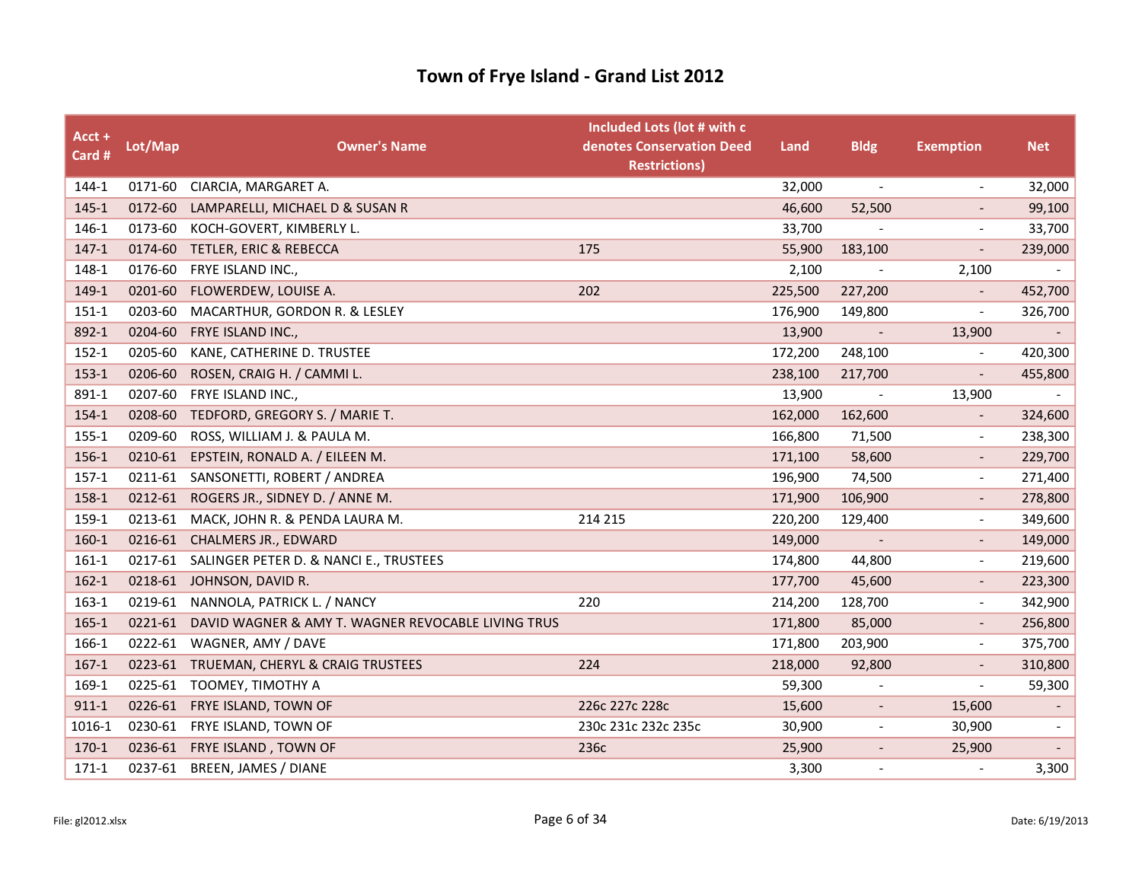| Acct +<br>Card # | Lot/Map | <b>Owner's Name</b>                                | Included Lots (lot # with c<br>denotes Conservation Deed<br><b>Restrictions)</b> | Land    | <b>Bldg</b>              | <b>Exemption</b>             | <b>Net</b>               |
|------------------|---------|----------------------------------------------------|----------------------------------------------------------------------------------|---------|--------------------------|------------------------------|--------------------------|
| 144-1            | 0171-60 | CIARCIA, MARGARET A.                               |                                                                                  | 32,000  | $\overline{\phantom{a}}$ | $\overline{\phantom{a}}$     | 32,000                   |
| $145 - 1$        | 0172-60 | LAMPARELLI, MICHAEL D & SUSAN R                    |                                                                                  | 46,600  | 52,500                   |                              | 99,100                   |
| 146-1            | 0173-60 | KOCH-GOVERT, KIMBERLY L.                           |                                                                                  | 33,700  |                          |                              | 33,700                   |
| $147 - 1$        |         | 0174-60 TETLER, ERIC & REBECCA                     | 175                                                                              | 55,900  | 183,100                  | $\overline{\phantom{a}}$     | 239,000                  |
| 148-1            | 0176-60 | FRYE ISLAND INC.,                                  |                                                                                  | 2,100   |                          | 2,100                        |                          |
| 149-1            | 0201-60 | FLOWERDEW, LOUISE A.                               | 202                                                                              | 225,500 | 227,200                  |                              | 452,700                  |
| $151-1$          | 0203-60 | MACARTHUR, GORDON R. & LESLEY                      |                                                                                  | 176,900 | 149,800                  | $\qquad \qquad \blacksquare$ | 326,700                  |
| 892-1            | 0204-60 | FRYE ISLAND INC.,                                  |                                                                                  | 13,900  | $\overline{\phantom{a}}$ | 13,900                       | $\sim$                   |
| $152 - 1$        | 0205-60 | KANE, CATHERINE D. TRUSTEE                         |                                                                                  | 172,200 | 248,100                  |                              | 420,300                  |
| $153-1$          | 0206-60 | ROSEN, CRAIG H. / CAMMI L.                         |                                                                                  | 238,100 | 217,700                  | $\qquad \qquad \blacksquare$ | 455,800                  |
| 891-1            | 0207-60 | FRYE ISLAND INC.,                                  |                                                                                  | 13,900  | $\overline{\phantom{a}}$ | 13,900                       |                          |
| 154-1            | 0208-60 | TEDFORD, GREGORY S. / MARIE T.                     |                                                                                  | 162,000 | 162,600                  |                              | 324,600                  |
| $155 - 1$        | 0209-60 | ROSS, WILLIAM J. & PAULA M.                        |                                                                                  | 166,800 | 71,500                   | $\qquad \qquad \blacksquare$ | 238,300                  |
| 156-1            | 0210-61 | EPSTEIN, RONALD A. / EILEEN M.                     |                                                                                  | 171,100 | 58,600                   | $\overline{\phantom{0}}$     | 229,700                  |
| $157-1$          |         | 0211-61 SANSONETTI, ROBERT / ANDREA                |                                                                                  | 196,900 | 74,500                   | $\overline{\phantom{a}}$     | 271,400                  |
| 158-1            | 0212-61 | ROGERS JR., SIDNEY D. / ANNE M.                    |                                                                                  | 171,900 | 106,900                  | $\overline{\phantom{a}}$     | 278,800                  |
| 159-1            | 0213-61 | MACK, JOHN R. & PENDA LAURA M.                     | 214 215                                                                          | 220,200 | 129,400                  | $\overline{\phantom{a}}$     | 349,600                  |
| 160-1            | 0216-61 | <b>CHALMERS JR., EDWARD</b>                        |                                                                                  | 149,000 |                          |                              | 149,000                  |
| $161-1$          | 0217-61 | SALINGER PETER D. & NANCI E., TRUSTEES             |                                                                                  | 174,800 | 44,800                   | $\qquad \qquad \blacksquare$ | 219,600                  |
| $162-1$          | 0218-61 | JOHNSON, DAVID R.                                  |                                                                                  | 177,700 | 45,600                   | $\overline{\phantom{a}}$     | 223,300                  |
| $163-1$          | 0219-61 | NANNOLA, PATRICK L. / NANCY                        | 220                                                                              | 214,200 | 128,700                  | $\overline{\phantom{a}}$     | 342,900                  |
| $165 - 1$        | 0221-61 | DAVID WAGNER & AMY T. WAGNER REVOCABLE LIVING TRUS |                                                                                  | 171,800 | 85,000                   | $\overline{\phantom{a}}$     | 256,800                  |
| 166-1            | 0222-61 | WAGNER, AMY / DAVE                                 |                                                                                  | 171,800 | 203,900                  | $\overline{\phantom{0}}$     | 375,700                  |
| $167-1$          | 0223-61 | TRUEMAN, CHERYL & CRAIG TRUSTEES                   | 224                                                                              | 218,000 | 92,800                   |                              | 310,800                  |
| 169-1            | 0225-61 | TOOMEY, TIMOTHY A                                  |                                                                                  | 59,300  | $\overline{\phantom{a}}$ | $\overline{\phantom{a}}$     | 59,300                   |
| $911 - 1$        | 0226-61 | FRYE ISLAND, TOWN OF                               | 226c 227c 228c                                                                   | 15,600  | $\overline{\phantom{a}}$ | 15,600                       |                          |
| 1016-1           |         | 0230-61 FRYE ISLAND, TOWN OF                       | 230c 231c 232c 235c                                                              | 30,900  | $\overline{\phantom{a}}$ | 30,900                       |                          |
| $170-1$          |         | 0236-61 FRYE ISLAND, TOWN OF                       | 236с                                                                             | 25,900  | $\overline{\phantom{a}}$ | 25,900                       | $\overline{\phantom{a}}$ |
| $171-1$          | 0237-61 | <b>BREEN, JAMES / DIANE</b>                        |                                                                                  | 3,300   | $\overline{\phantom{a}}$ |                              | 3,300                    |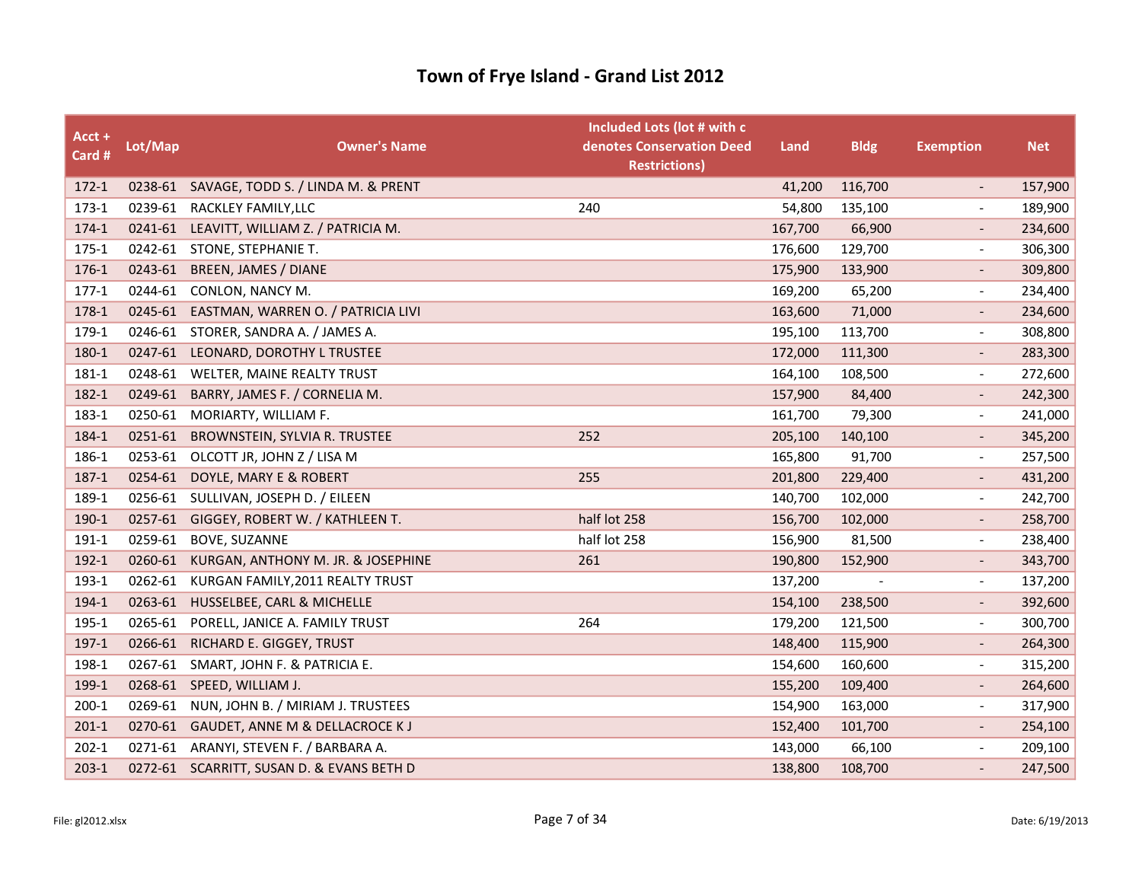| Acct +<br>Card # | Lot/Map | <b>Owner's Name</b>                        | Included Lots (lot # with c<br>denotes Conservation Deed<br><b>Restrictions)</b> | Land    | <b>Bldg</b> | <b>Exemption</b>         | <b>Net</b> |
|------------------|---------|--------------------------------------------|----------------------------------------------------------------------------------|---------|-------------|--------------------------|------------|
| $172-1$          |         | 0238-61 SAVAGE, TODD S. / LINDA M. & PRENT |                                                                                  | 41,200  | 116,700     | $\overline{\phantom{a}}$ | 157,900    |
| $173-1$          | 0239-61 | RACKLEY FAMILY, LLC                        | 240                                                                              | 54,800  | 135,100     |                          | 189,900    |
| $174-1$          |         | 0241-61 LEAVITT, WILLIAM Z. / PATRICIA M.  |                                                                                  | 167,700 | 66,900      |                          | 234,600    |
| 175-1            |         | 0242-61 STONE, STEPHANIE T.                |                                                                                  | 176,600 | 129,700     | $\overline{\phantom{a}}$ | 306,300    |
| 176-1            | 0243-61 | <b>BREEN, JAMES / DIANE</b>                |                                                                                  | 175,900 | 133,900     |                          | 309,800    |
| $177-1$          | 0244-61 | CONLON, NANCY M.                           |                                                                                  | 169,200 | 65,200      |                          | 234,400    |
| 178-1            | 0245-61 | EASTMAN, WARREN O. / PATRICIA LIVI         |                                                                                  | 163,600 | 71,000      | $\overline{\phantom{a}}$ | 234,600    |
| 179-1            | 0246-61 | STORER, SANDRA A. / JAMES A.               |                                                                                  | 195,100 | 113,700     | $\overline{\phantom{a}}$ | 308,800    |
| 180-1            | 0247-61 | LEONARD, DOROTHY L TRUSTEE                 |                                                                                  | 172,000 | 111,300     |                          | 283,300    |
| 181-1            | 0248-61 | WELTER, MAINE REALTY TRUST                 |                                                                                  | 164,100 | 108,500     | $\overline{\phantom{a}}$ | 272,600    |
| 182-1            | 0249-61 | BARRY, JAMES F. / CORNELIA M.              |                                                                                  | 157,900 | 84,400      |                          | 242,300    |
| 183-1            | 0250-61 | MORIARTY, WILLIAM F.                       |                                                                                  | 161,700 | 79,300      |                          | 241,000    |
| 184-1            | 0251-61 | BROWNSTEIN, SYLVIA R. TRUSTEE              | 252                                                                              | 205,100 | 140,100     | $\overline{\phantom{a}}$ | 345,200    |
| 186-1            | 0253-61 | OLCOTT JR, JOHN Z / LISA M                 |                                                                                  | 165,800 | 91,700      | $\overline{\phantom{a}}$ | 257,500    |
| 187-1            | 0254-61 | DOYLE, MARY E & ROBERT                     | 255                                                                              | 201,800 | 229,400     |                          | 431,200    |
| 189-1            | 0256-61 | SULLIVAN, JOSEPH D. / EILEEN               |                                                                                  | 140,700 | 102,000     | $\overline{\phantom{a}}$ | 242,700    |
| 190-1            | 0257-61 | GIGGEY, ROBERT W. / KATHLEEN T.            | half lot 258                                                                     | 156,700 | 102,000     |                          | 258,700    |
| 191-1            | 0259-61 | <b>BOVE, SUZANNE</b>                       | half lot 258                                                                     | 156,900 | 81,500      |                          | 238,400    |
| $192 - 1$        | 0260-61 | KURGAN, ANTHONY M. JR. & JOSEPHINE         | 261                                                                              | 190,800 | 152,900     | $\overline{\phantom{a}}$ | 343,700    |
| 193-1            | 0262-61 | KURGAN FAMILY, 2011 REALTY TRUST           |                                                                                  | 137,200 |             | $\overline{\phantom{a}}$ | 137,200    |
| 194-1            | 0263-61 | HUSSELBEE, CARL & MICHELLE                 |                                                                                  | 154,100 | 238,500     |                          | 392,600    |
| 195-1            | 0265-61 | PORELL, JANICE A. FAMILY TRUST             | 264                                                                              | 179,200 | 121,500     | $\overline{\phantom{a}}$ | 300,700    |
| 197-1            | 0266-61 | RICHARD E. GIGGEY, TRUST                   |                                                                                  | 148,400 | 115,900     |                          | 264,300    |
| 198-1            | 0267-61 | SMART, JOHN F. & PATRICIA E.               |                                                                                  | 154,600 | 160,600     | $\overline{\phantom{a}}$ | 315,200    |
| 199-1            | 0268-61 | SPEED, WILLIAM J.                          |                                                                                  | 155,200 | 109,400     | $\overline{\phantom{a}}$ | 264,600    |
| $200-1$          | 0269-61 | NUN, JOHN B. / MIRIAM J. TRUSTEES          |                                                                                  | 154,900 | 163,000     | $\overline{\phantom{a}}$ | 317,900    |
| $201-1$          | 0270-61 | GAUDET, ANNE M & DELLACROCE K J            |                                                                                  | 152,400 | 101,700     |                          | 254,100    |
| $202 - 1$        | 0271-61 | ARANYI, STEVEN F. / BARBARA A.             |                                                                                  | 143,000 | 66,100      | $\overline{\phantom{a}}$ | 209,100    |
| $203-1$          |         | 0272-61 SCARRITT, SUSAN D. & EVANS BETH D  |                                                                                  | 138,800 | 108,700     |                          | 247,500    |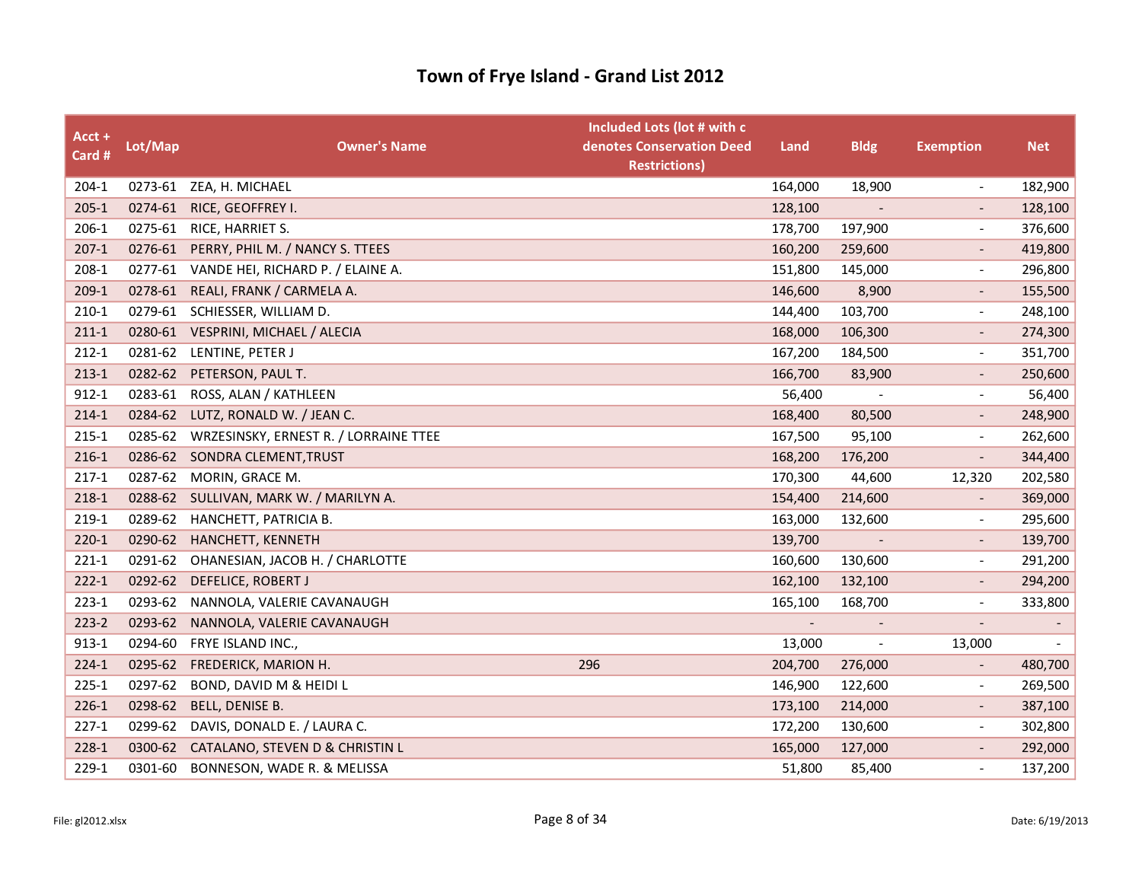| Acct +<br>Card # | Lot/Map | <b>Owner's Name</b>                           | Included Lots (lot # with c<br>denotes Conservation Deed<br><b>Restrictions)</b> | Land    | <b>Bldg</b>              | <b>Exemption</b>         | <b>Net</b>               |
|------------------|---------|-----------------------------------------------|----------------------------------------------------------------------------------|---------|--------------------------|--------------------------|--------------------------|
| $204-1$          |         | 0273-61 ZEA, H. MICHAEL                       |                                                                                  | 164,000 | 18,900                   | $\overline{\phantom{a}}$ | 182,900                  |
| $205 - 1$        | 0274-61 | RICE, GEOFFREY I.                             |                                                                                  | 128,100 | $\blacksquare$           |                          | 128,100                  |
| 206-1            |         | 0275-61 RICE, HARRIET S.                      |                                                                                  | 178,700 | 197,900                  | $\overline{\phantom{a}}$ | 376,600                  |
| $207-1$          |         | 0276-61 PERRY, PHIL M. / NANCY S. TTEES       |                                                                                  | 160,200 | 259,600                  | $\overline{\phantom{a}}$ | 419,800                  |
| 208-1            | 0277-61 | VANDE HEI, RICHARD P. / ELAINE A.             |                                                                                  | 151,800 | 145,000                  | $\overline{\phantom{a}}$ | 296,800                  |
| $209-1$          |         | 0278-61 REALI, FRANK / CARMELA A.             |                                                                                  | 146,600 | 8,900                    |                          | 155,500                  |
| $210-1$          |         | 0279-61 SCHIESSER, WILLIAM D.                 |                                                                                  | 144,400 | 103,700                  | $\overline{\phantom{a}}$ | 248,100                  |
| $211-1$          |         | 0280-61 VESPRINI, MICHAEL / ALECIA            |                                                                                  | 168,000 | 106,300                  | $\overline{\phantom{0}}$ | 274,300                  |
| $212 - 1$        |         | 0281-62 LENTINE, PETER J                      |                                                                                  | 167,200 | 184,500                  | $\overline{\phantom{a}}$ | 351,700                  |
| $213-1$          |         | 0282-62 PETERSON, PAUL T.                     |                                                                                  | 166,700 | 83,900                   | $\overline{\phantom{a}}$ | 250,600                  |
| $912 - 1$        | 0283-61 | ROSS, ALAN / KATHLEEN                         |                                                                                  | 56,400  |                          |                          | 56,400                   |
| $214 - 1$        | 0284-62 | LUTZ, RONALD W. / JEAN C.                     |                                                                                  | 168,400 | 80,500                   |                          | 248,900                  |
| $215 - 1$        |         | 0285-62 WRZESINSKY, ERNEST R. / LORRAINE TTEE |                                                                                  | 167,500 | 95,100                   | $\overline{\phantom{a}}$ | 262,600                  |
| $216-1$          | 0286-62 | SONDRA CLEMENT, TRUST                         |                                                                                  | 168,200 | 176,200                  | $\overline{\phantom{a}}$ | 344,400                  |
| $217-1$          |         | 0287-62 MORIN, GRACE M.                       |                                                                                  | 170,300 | 44,600                   | 12,320                   | 202,580                  |
| 218-1            |         | 0288-62 SULLIVAN, MARK W. / MARILYN A.        |                                                                                  | 154,400 | 214,600                  |                          | 369,000                  |
| 219-1            | 0289-62 | HANCHETT, PATRICIA B.                         |                                                                                  | 163,000 | 132,600                  |                          | 295,600                  |
| $220 - 1$        |         | 0290-62 HANCHETT, KENNETH                     |                                                                                  | 139,700 |                          |                          | 139,700                  |
| $221-1$          | 0291-62 | OHANESIAN, JACOB H. / CHARLOTTE               |                                                                                  | 160,600 | 130,600                  | $\overline{\phantom{a}}$ | 291,200                  |
| $222 - 1$        | 0292-62 | DEFELICE, ROBERT J                            |                                                                                  | 162,100 | 132,100                  |                          | 294,200                  |
| $223-1$          | 0293-62 | NANNOLA, VALERIE CAVANAUGH                    |                                                                                  | 165,100 | 168,700                  | $\overline{\phantom{a}}$ | 333,800                  |
| $223 - 2$        | 0293-62 | NANNOLA, VALERIE CAVANAUGH                    |                                                                                  |         |                          |                          | $\overline{\phantom{a}}$ |
| $913 - 1$        | 0294-60 | FRYE ISLAND INC.,                             |                                                                                  | 13,000  | $\overline{\phantom{a}}$ | 13,000                   | $\blacksquare$           |
| $224-1$          | 0295-62 | FREDERICK, MARION H.                          | 296                                                                              | 204,700 | 276,000                  |                          | 480,700                  |
| $225 - 1$        | 0297-62 | BOND, DAVID M & HEIDI L                       |                                                                                  | 146,900 | 122,600                  | $\overline{\phantom{a}}$ | 269,500                  |
| $226-1$          | 0298-62 | BELL, DENISE B.                               |                                                                                  | 173,100 | 214,000                  | $\overline{\phantom{a}}$ | 387,100                  |
| $227-1$          | 0299-62 | DAVIS, DONALD E. / LAURA C.                   |                                                                                  | 172,200 | 130,600                  | $\blacksquare$           | 302,800                  |
| $228-1$          | 0300-62 | CATALANO, STEVEN D & CHRISTIN L               |                                                                                  | 165,000 | 127,000                  |                          | 292,000                  |
| 229-1            | 0301-60 | BONNESON, WADE R. & MELISSA                   |                                                                                  | 51,800  | 85,400                   |                          | 137,200                  |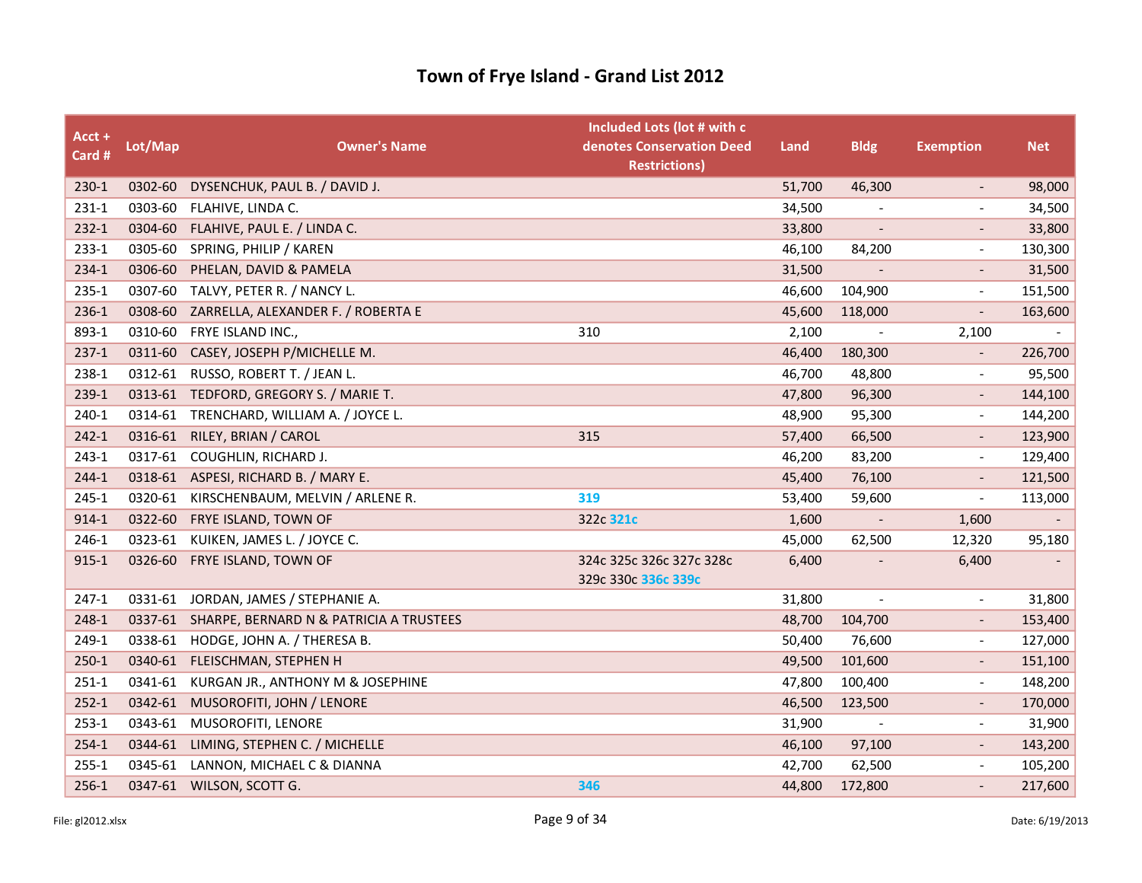| Acct +<br>Card # | Lot/Map | <b>Owner's Name</b>                       | Included Lots (lot # with c<br>denotes Conservation Deed<br><b>Restrictions)</b> | Land   | <b>Bldg</b>              | <b>Exemption</b>             | <b>Net</b> |
|------------------|---------|-------------------------------------------|----------------------------------------------------------------------------------|--------|--------------------------|------------------------------|------------|
| 230-1            | 0302-60 | DYSENCHUK, PAUL B. / DAVID J.             |                                                                                  | 51,700 | 46,300                   | $\overline{\phantom{a}}$     | 98,000     |
| $231-1$          | 0303-60 | FLAHIVE, LINDA C.                         |                                                                                  | 34,500 | $\overline{\phantom{a}}$ | $\overline{a}$               | 34,500     |
| $232-1$          | 0304-60 | FLAHIVE, PAUL E. / LINDA C.               |                                                                                  | 33,800 |                          |                              | 33,800     |
| $233 - 1$        | 0305-60 | SPRING, PHILIP / KAREN                    |                                                                                  | 46,100 | 84,200                   | $\qquad \qquad \blacksquare$ | 130,300    |
| 234-1            | 0306-60 | PHELAN, DAVID & PAMELA                    |                                                                                  | 31,500 |                          | $\qquad \qquad \blacksquare$ | 31,500     |
| $235 - 1$        | 0307-60 | TALVY, PETER R. / NANCY L.                |                                                                                  | 46,600 | 104,900                  | $\frac{1}{2}$                | 151,500    |
| $236-1$          | 0308-60 | ZARRELLA, ALEXANDER F. / ROBERTA E        |                                                                                  | 45,600 | 118,000                  | $\overline{\phantom{a}}$     | 163,600    |
| 893-1            | 0310-60 | FRYE ISLAND INC.,                         | 310                                                                              | 2,100  |                          | 2,100                        |            |
| $237-1$          | 0311-60 | CASEY, JOSEPH P/MICHELLE M.               |                                                                                  | 46,400 | 180,300                  | $\qquad \qquad -$            | 226,700    |
| 238-1            | 0312-61 | RUSSO, ROBERT T. / JEAN L.                |                                                                                  | 46,700 | 48,800                   | $\overline{a}$               | 95,500     |
| 239-1            | 0313-61 | TEDFORD, GREGORY S. / MARIE T.            |                                                                                  | 47,800 | 96,300                   | $\qquad \qquad -$            | 144,100    |
| 240-1            | 0314-61 | TRENCHARD, WILLIAM A. / JOYCE L.          |                                                                                  | 48,900 | 95,300                   | $\overline{\phantom{a}}$     | 144,200    |
| $242 - 1$        | 0316-61 | RILEY, BRIAN / CAROL                      | 315                                                                              | 57,400 | 66,500                   | $\qquad \qquad \blacksquare$ | 123,900    |
| $243 - 1$        | 0317-61 | COUGHLIN, RICHARD J.                      |                                                                                  | 46,200 | 83,200                   | $\overline{\phantom{a}}$     | 129,400    |
| $244-1$          | 0318-61 | ASPESI, RICHARD B. / MARY E.              |                                                                                  | 45,400 | 76,100                   |                              | 121,500    |
| 245-1            | 0320-61 | KIRSCHENBAUM, MELVIN / ARLENE R.          | 319                                                                              | 53,400 | 59,600                   | $\overline{\phantom{a}}$     | 113,000    |
| $914 - 1$        | 0322-60 | FRYE ISLAND, TOWN OF                      | 322c 321c                                                                        | 1,600  | $\overline{\phantom{a}}$ | 1,600                        | $\sim$     |
| 246-1            |         | 0323-61 KUIKEN, JAMES L. / JOYCE C.       |                                                                                  | 45,000 | 62,500                   | 12,320                       | 95,180     |
| $915 - 1$        | 0326-60 | FRYE ISLAND, TOWN OF                      | 324c 325c 326c 327c 328c<br>329c 330c 336c 339c                                  | 6,400  |                          | 6,400                        |            |
| $247-1$          |         | 0331-61 JORDAN, JAMES / STEPHANIE A.      |                                                                                  | 31,800 | $\overline{\phantom{a}}$ | $\overline{\phantom{a}}$     | 31,800     |
| 248-1            | 0337-61 | SHARPE, BERNARD N & PATRICIA A TRUSTEES   |                                                                                  | 48,700 | 104,700                  | $\overline{\phantom{a}}$     | 153,400    |
| 249-1            | 0338-61 | HODGE, JOHN A. / THERESA B.               |                                                                                  | 50,400 | 76,600                   | $\qquad \qquad \blacksquare$ | 127,000    |
| $250-1$          | 0340-61 | FLEISCHMAN, STEPHEN H                     |                                                                                  | 49,500 | 101,600                  |                              | 151,100    |
| $251-1$          |         | 0341-61 KURGAN JR., ANTHONY M & JOSEPHINE |                                                                                  | 47,800 | 100,400                  | $\overline{a}$               | 148,200    |
| $252 - 1$        | 0342-61 | MUSOROFITI, JOHN / LENORE                 |                                                                                  | 46,500 | 123,500                  | $\overline{\phantom{0}}$     | 170,000    |
| $253-1$          | 0343-61 | MUSOROFITI, LENORE                        |                                                                                  | 31,900 |                          | $\qquad \qquad \blacksquare$ | 31,900     |
| $254-1$          | 0344-61 | LIMING, STEPHEN C. / MICHELLE             |                                                                                  | 46,100 | 97,100                   | $\overline{\phantom{a}}$     | 143,200    |
| $255 - 1$        | 0345-61 | LANNON, MICHAEL C & DIANNA                |                                                                                  | 42,700 | 62,500                   | $\overline{a}$               | 105,200    |
| $256-1$          |         | 0347-61 WILSON, SCOTT G.                  | 346                                                                              | 44,800 | 172,800                  |                              | 217,600    |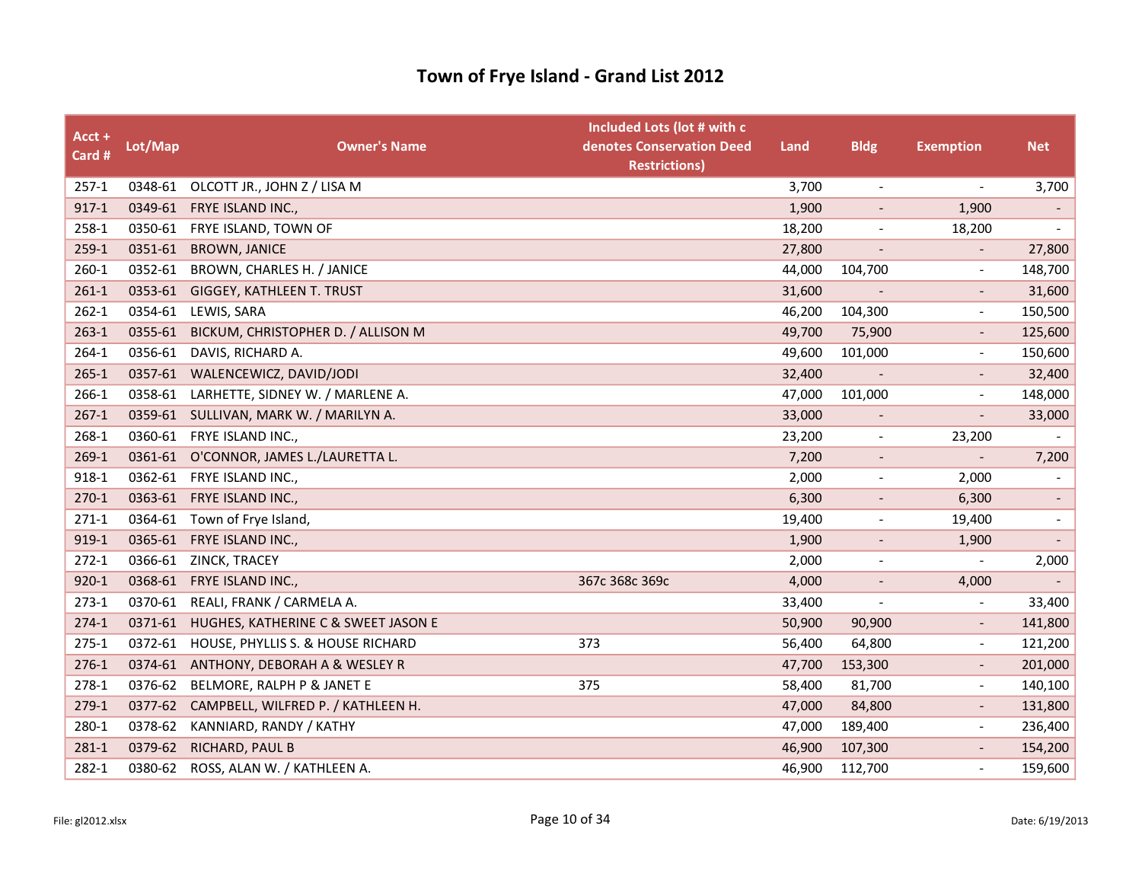| Acct +<br>Card # | Lot/Map | <b>Owner's Name</b>                         | Included Lots (lot # with c<br>denotes Conservation Deed<br><b>Restrictions</b> ) | Land   | <b>Bldg</b>              | <b>Exemption</b>         | <b>Net</b>               |
|------------------|---------|---------------------------------------------|-----------------------------------------------------------------------------------|--------|--------------------------|--------------------------|--------------------------|
| $257-1$          |         | 0348-61 OLCOTT JR., JOHN Z / LISA M         |                                                                                   | 3,700  | $\overline{\phantom{a}}$ | $\overline{\phantom{a}}$ | 3,700                    |
| $917-1$          |         | 0349-61 FRYE ISLAND INC.,                   |                                                                                   | 1,900  | $\overline{\phantom{a}}$ | 1,900                    | $\blacksquare$           |
| 258-1            |         | 0350-61 FRYE ISLAND, TOWN OF                |                                                                                   | 18,200 | $\overline{\phantom{a}}$ | 18,200                   |                          |
| $259-1$          | 0351-61 | <b>BROWN, JANICE</b>                        |                                                                                   | 27,800 | $\overline{\phantom{a}}$ | $\overline{\phantom{a}}$ | 27,800                   |
| $260 - 1$        | 0352-61 | BROWN, CHARLES H. / JANICE                  |                                                                                   | 44,000 | 104,700                  | $\overline{\phantom{a}}$ | 148,700                  |
| $261-1$          | 0353-61 | GIGGEY, KATHLEEN T. TRUST                   |                                                                                   | 31,600 |                          |                          | 31,600                   |
| $262 - 1$        | 0354-61 | LEWIS, SARA                                 |                                                                                   | 46,200 | 104,300                  | $\overline{\phantom{a}}$ | 150,500                  |
| $263-1$          | 0355-61 | BICKUM, CHRISTOPHER D. / ALLISON M          |                                                                                   | 49,700 | 75,900                   | $\overline{\phantom{a}}$ | 125,600                  |
| 264-1            | 0356-61 | DAVIS, RICHARD A.                           |                                                                                   | 49,600 | 101,000                  |                          | 150,600                  |
| $265 - 1$        |         | 0357-61 WALENCEWICZ, DAVID/JODI             |                                                                                   | 32,400 |                          |                          | 32,400                   |
| 266-1            | 0358-61 | LARHETTE, SIDNEY W. / MARLENE A.            |                                                                                   | 47,000 | 101,000                  |                          | 148,000                  |
| $267-1$          |         | 0359-61 SULLIVAN, MARK W. / MARILYN A.      |                                                                                   | 33,000 |                          |                          | 33,000                   |
| 268-1            |         | 0360-61 FRYE ISLAND INC.,                   |                                                                                   | 23,200 | $\overline{\phantom{a}}$ | 23,200                   | $\overline{\phantom{a}}$ |
| $269-1$          |         | 0361-61 O'CONNOR, JAMES L./LAURETTA L.      |                                                                                   | 7,200  | $\overline{\phantom{a}}$ |                          | 7,200                    |
| 918-1            |         | 0362-61 FRYE ISLAND INC.,                   |                                                                                   | 2,000  | $\overline{\phantom{a}}$ | 2,000                    |                          |
| $270-1$          |         | 0363-61 FRYE ISLAND INC.,                   |                                                                                   | 6,300  | $\overline{\phantom{a}}$ | 6,300                    | $\overline{\phantom{a}}$ |
| $271-1$          | 0364-61 | Town of Frye Island,                        |                                                                                   | 19,400 | $\overline{\phantom{a}}$ | 19,400                   | $\overline{\phantom{a}}$ |
| 919-1            | 0365-61 | FRYE ISLAND INC.,                           |                                                                                   | 1,900  | $\overline{\phantom{a}}$ | 1,900                    |                          |
| $272-1$          | 0366-61 | ZINCK, TRACEY                               |                                                                                   | 2,000  | $\overline{\phantom{a}}$ |                          | 2,000                    |
| $920 - 1$        | 0368-61 | FRYE ISLAND INC.,                           | 367c 368c 369c                                                                    | 4,000  | $\overline{\phantom{a}}$ | 4,000                    |                          |
| $273-1$          | 0370-61 | REALI, FRANK / CARMELA A.                   |                                                                                   | 33,400 |                          |                          | 33,400                   |
| $274-1$          |         | 0371-61 HUGHES, KATHERINE C & SWEET JASON E |                                                                                   | 50,900 | 90,900                   | $\overline{\phantom{a}}$ | 141,800                  |
| $275-1$          | 0372-61 | HOUSE, PHYLLIS S. & HOUSE RICHARD           | 373                                                                               | 56,400 | 64,800                   | $\overline{\phantom{a}}$ | 121,200                  |
| $276-1$          | 0374-61 | ANTHONY, DEBORAH A & WESLEY R               |                                                                                   | 47,700 | 153,300                  |                          | 201,000                  |
| 278-1            | 0376-62 | BELMORE, RALPH P & JANET E                  | 375                                                                               | 58,400 | 81,700                   | $\overline{\phantom{a}}$ | 140,100                  |
| $279-1$          | 0377-62 | CAMPBELL, WILFRED P. / KATHLEEN H.          |                                                                                   | 47,000 | 84,800                   | $\overline{\phantom{a}}$ | 131,800                  |
| 280-1            | 0378-62 | KANNIARD, RANDY / KATHY                     |                                                                                   | 47,000 | 189,400                  | $\overline{\phantom{a}}$ | 236,400                  |
| $281 - 1$        | 0379-62 | RICHARD, PAUL B                             |                                                                                   | 46,900 | 107,300                  |                          | 154,200                  |
| 282-1            | 0380-62 | ROSS, ALAN W. / KATHLEEN A.                 |                                                                                   | 46,900 | 112,700                  |                          | 159,600                  |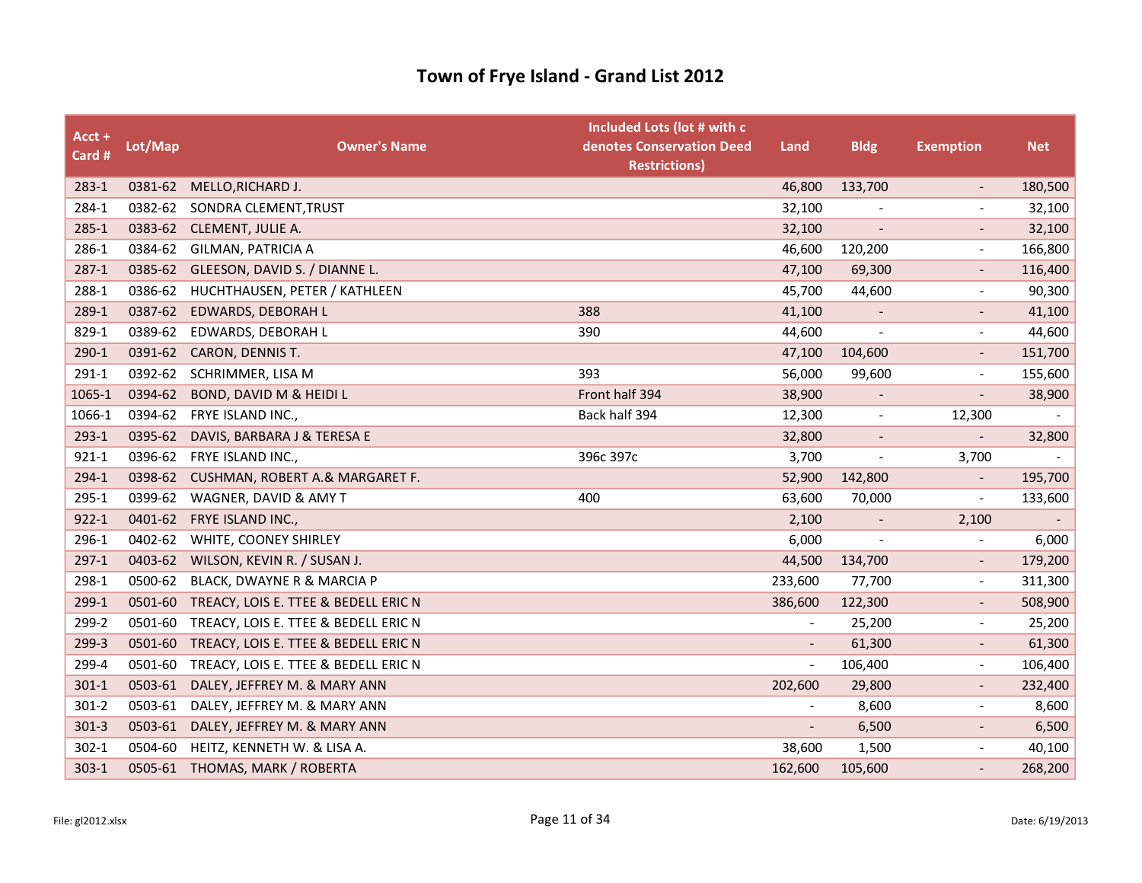| Acct +<br>Card # | Lot/Map | <b>Owner's Name</b>                     | Included Lots (lot # with c<br>denotes Conservation Deed<br><b>Restrictions)</b> | Land                     | <b>Bldg</b>              | <b>Exemption</b>         | <b>Net</b> |
|------------------|---------|-----------------------------------------|----------------------------------------------------------------------------------|--------------------------|--------------------------|--------------------------|------------|
| $283 - 1$        |         | 0381-62 MELLO, RICHARD J.               |                                                                                  | 46,800                   | 133,700                  | $\overline{\phantom{a}}$ | 180,500    |
| 284-1            | 0382-62 | SONDRA CLEMENT, TRUST                   |                                                                                  | 32,100                   |                          |                          | 32,100     |
| $285 - 1$        |         | 0383-62 CLEMENT, JULIE A.               |                                                                                  | 32,100                   |                          |                          | 32,100     |
| 286-1            | 0384-62 | GILMAN, PATRICIA A                      |                                                                                  | 46,600                   | 120,200                  | $\overline{\phantom{a}}$ | 166,800    |
| $287-1$          | 0385-62 | GLEESON, DAVID S. / DIANNE L.           |                                                                                  | 47,100                   | 69,300                   |                          | 116,400    |
| 288-1            | 0386-62 | HUCHTHAUSEN, PETER / KATHLEEN           |                                                                                  | 45,700                   | 44,600                   |                          | 90,300     |
| 289-1            |         | 0387-62 EDWARDS, DEBORAH L              | 388                                                                              | 41,100                   | $\overline{\phantom{a}}$ | $\overline{\phantom{a}}$ | 41,100     |
| 829-1            | 0389-62 | EDWARDS, DEBORAH L                      | 390                                                                              | 44,600                   |                          | $\blacksquare$           | 44,600     |
| $290-1$          | 0391-62 | <b>CARON, DENNIS T.</b>                 |                                                                                  | 47,100                   | 104,600                  |                          | 151,700    |
| 291-1            |         | 0392-62 SCHRIMMER, LISA M               | 393                                                                              | 56,000                   | 99,600                   | $\overline{\phantom{a}}$ | 155,600    |
| 1065-1           | 0394-62 | BOND, DAVID M & HEIDI L                 | Front half 394                                                                   | 38,900                   |                          |                          | 38,900     |
| 1066-1           | 0394-62 | FRYE ISLAND INC.,                       | Back half 394                                                                    | 12,300                   | $\overline{\phantom{a}}$ | 12,300                   |            |
| 293-1            | 0395-62 | DAVIS, BARBARA J & TERESA E             |                                                                                  | 32,800                   | $\overline{\phantom{a}}$ | $\overline{\phantom{a}}$ | 32,800     |
| $921 - 1$        | 0396-62 | FRYE ISLAND INC.,                       | 396c 397c                                                                        | 3,700                    | $\overline{\phantom{a}}$ | 3,700                    |            |
| 294-1            |         | 0398-62 CUSHMAN, ROBERT A.& MARGARET F. |                                                                                  | 52,900                   | 142,800                  |                          | 195,700    |
| 295-1            | 0399-62 | WAGNER, DAVID & AMY T                   | 400                                                                              | 63,600                   | 70,000                   | $\overline{\phantom{a}}$ | 133,600    |
| $922 - 1$        | 0401-62 | FRYE ISLAND INC.,                       |                                                                                  | 2,100                    |                          | 2,100                    |            |
| 296-1            | 0402-62 | WHITE, COONEY SHIRLEY                   |                                                                                  | 6,000                    |                          | $\tilde{\phantom{a}}$    | 6,000      |
| $297-1$          | 0403-62 | WILSON, KEVIN R. / SUSAN J.             |                                                                                  | 44,500                   | 134,700                  | $\overline{\phantom{a}}$ | 179,200    |
| 298-1            | 0500-62 | BLACK, DWAYNE R & MARCIA P              |                                                                                  | 233,600                  | 77,700                   | $\overline{\phantom{a}}$ | 311,300    |
| 299-1            | 0501-60 | TREACY, LOIS E. TTEE & BEDELL ERIC N    |                                                                                  | 386,600                  | 122,300                  |                          | 508,900    |
| 299-2            | 0501-60 | TREACY, LOIS E. TTEE & BEDELL ERIC N    |                                                                                  | $\overline{\phantom{a}}$ | 25,200                   | $\overline{\phantom{a}}$ | 25,200     |
| 299-3            | 0501-60 | TREACY, LOIS E. TTEE & BEDELL ERIC N    |                                                                                  | $\overline{\phantom{a}}$ | 61,300                   | $\overline{\phantom{a}}$ | 61,300     |
| 299-4            | 0501-60 | TREACY, LOIS E. TTEE & BEDELL ERIC N    |                                                                                  | $\overline{\phantom{a}}$ | 106,400                  | $\overline{a}$           | 106,400    |
| $301 - 1$        | 0503-61 | DALEY, JEFFREY M. & MARY ANN            |                                                                                  | 202,600                  | 29,800                   | $\overline{\phantom{a}}$ | 232,400    |
| $301 - 2$        | 0503-61 | DALEY, JEFFREY M. & MARY ANN            |                                                                                  |                          | 8,600                    | $\blacksquare$           | 8,600      |
| $301-3$          | 0503-61 | DALEY, JEFFREY M. & MARY ANN            |                                                                                  | $\overline{\phantom{a}}$ | 6,500                    |                          | 6,500      |
| $302 - 1$        | 0504-60 | HEITZ, KENNETH W. & LISA A.             |                                                                                  | 38,600                   | 1,500                    | $\overline{\phantom{a}}$ | 40,100     |
| $303 - 1$        |         | 0505-61 THOMAS, MARK / ROBERTA          |                                                                                  | 162,600                  | 105,600                  |                          | 268,200    |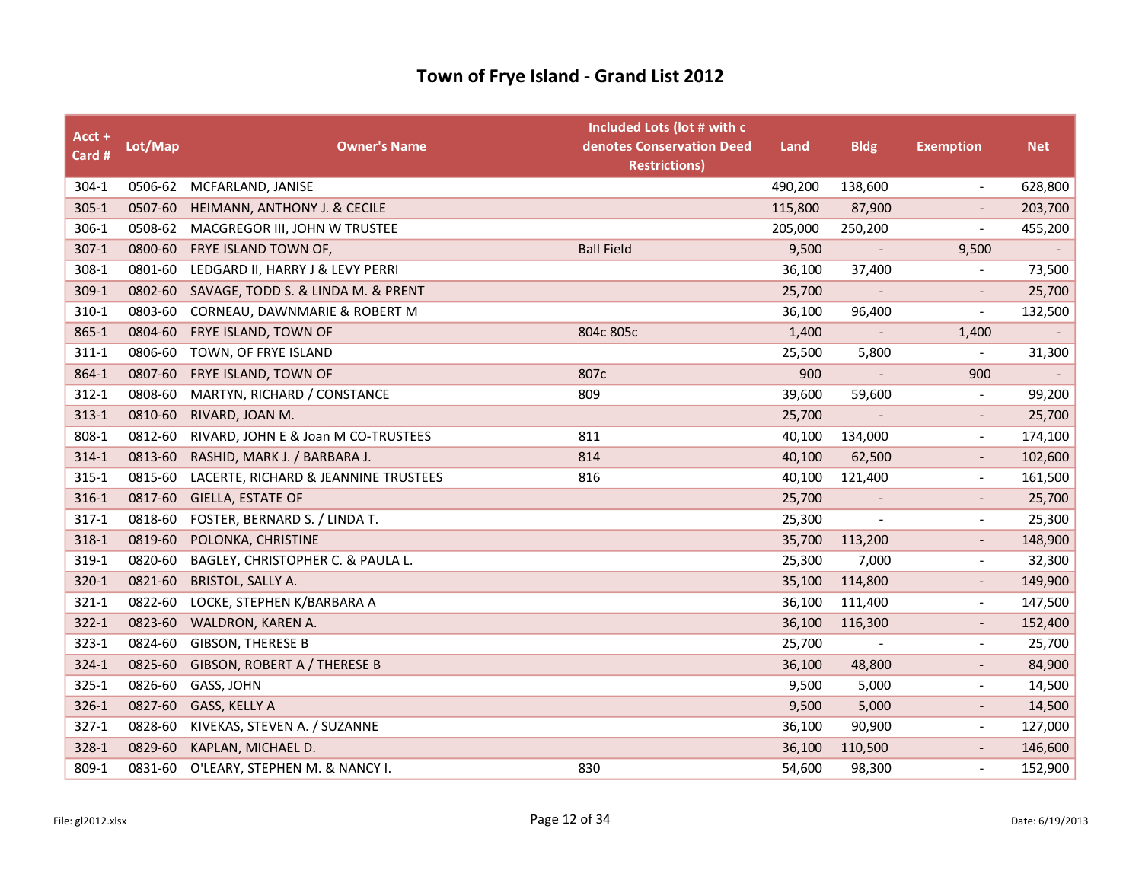| Acct +<br>Card # | Lot/Map | <b>Owner's Name</b>                  | Included Lots (lot # with c<br>denotes Conservation Deed<br><b>Restrictions)</b> | Land    | <b>Bldg</b>              | <b>Exemption</b>             | <b>Net</b>               |
|------------------|---------|--------------------------------------|----------------------------------------------------------------------------------|---------|--------------------------|------------------------------|--------------------------|
| $304-1$          |         | 0506-62 MCFARLAND, JANISE            |                                                                                  | 490,200 | 138,600                  | $\overline{\phantom{a}}$     | 628,800                  |
| $305 - 1$        | 0507-60 | HEIMANN, ANTHONY J. & CECILE         |                                                                                  | 115,800 | 87,900                   |                              | 203,700                  |
| 306-1            | 0508-62 | MACGREGOR III, JOHN W TRUSTEE        |                                                                                  | 205,000 | 250,200                  | $\qquad \qquad \blacksquare$ | 455,200                  |
| $307-1$          | 0800-60 | FRYE ISLAND TOWN OF,                 | <b>Ball Field</b>                                                                | 9,500   |                          | 9,500                        |                          |
| 308-1            | 0801-60 | LEDGARD II, HARRY J & LEVY PERRI     |                                                                                  | 36,100  | 37,400                   |                              | 73,500                   |
| 309-1            | 0802-60 | SAVAGE, TODD S. & LINDA M. & PRENT   |                                                                                  | 25,700  |                          |                              | 25,700                   |
| 310-1            | 0803-60 | CORNEAU, DAWNMARIE & ROBERT M        |                                                                                  | 36,100  | 96,400                   | $\qquad \qquad \blacksquare$ | 132,500                  |
| 865-1            | 0804-60 | FRYE ISLAND, TOWN OF                 | 804c 805c                                                                        | 1,400   | $\overline{\phantom{a}}$ | 1,400                        | $\overline{\phantom{a}}$ |
| $311 - 1$        | 0806-60 | TOWN, OF FRYE ISLAND                 |                                                                                  | 25,500  | 5,800                    |                              | 31,300                   |
| 864-1            | 0807-60 | FRYE ISLAND, TOWN OF                 | 807c                                                                             | 900     |                          | 900                          |                          |
| $312 - 1$        | 0808-60 | MARTYN, RICHARD / CONSTANCE          | 809                                                                              | 39,600  | 59,600                   | $\qquad \qquad \blacksquare$ | 99,200                   |
| $313 - 1$        | 0810-60 | RIVARD, JOAN M.                      |                                                                                  | 25,700  |                          |                              | 25,700                   |
| 808-1            | 0812-60 | RIVARD, JOHN E & Joan M CO-TRUSTEES  | 811                                                                              | 40,100  | 134,000                  | $\qquad \qquad \blacksquare$ | 174,100                  |
| $314-1$          | 0813-60 | RASHID, MARK J. / BARBARA J.         | 814                                                                              | 40,100  | 62,500                   | $\overline{\phantom{a}}$     | 102,600                  |
| $315 - 1$        | 0815-60 | LACERTE, RICHARD & JEANNINE TRUSTEES | 816                                                                              | 40,100  | 121,400                  | $\overline{\phantom{a}}$     | 161,500                  |
| 316-1            | 0817-60 | GIELLA, ESTATE OF                    |                                                                                  | 25,700  | $\overline{\phantom{a}}$ | $\overline{\phantom{a}}$     | 25,700                   |
| $317-1$          | 0818-60 | FOSTER, BERNARD S. / LINDA T.        |                                                                                  | 25,300  |                          | $\overline{\phantom{0}}$     | 25,300                   |
| 318-1            | 0819-60 | POLONKA, CHRISTINE                   |                                                                                  | 35,700  | 113,200                  | $\overline{a}$               | 148,900                  |
| 319-1            | 0820-60 | BAGLEY, CHRISTOPHER C. & PAULA L.    |                                                                                  | 25,300  | 7,000                    | $\overline{a}$               | 32,300                   |
| 320-1            | 0821-60 | <b>BRISTOL, SALLY A.</b>             |                                                                                  | 35,100  | 114,800                  | $\qquad \qquad -$            | 149,900                  |
| 321-1            | 0822-60 | LOCKE, STEPHEN K/BARBARA A           |                                                                                  | 36,100  | 111,400                  | $\overline{\phantom{a}}$     | 147,500                  |
| $322 - 1$        | 0823-60 | WALDRON, KAREN A.                    |                                                                                  | 36,100  | 116,300                  | $\qquad \qquad \blacksquare$ | 152,400                  |
| $323 - 1$        | 0824-60 | <b>GIBSON, THERESE B</b>             |                                                                                  | 25,700  |                          |                              | 25,700                   |
| 324-1            | 0825-60 | GIBSON, ROBERT A / THERESE B         |                                                                                  | 36,100  | 48,800                   |                              | 84,900                   |
| $325 - 1$        | 0826-60 | GASS, JOHN                           |                                                                                  | 9,500   | 5,000                    | $\overline{\phantom{0}}$     | 14,500                   |
| $326-1$          | 0827-60 | GASS, KELLY A                        |                                                                                  | 9,500   | 5,000                    | $\overline{\phantom{a}}$     | 14,500                   |
| $327-1$          | 0828-60 | KIVEKAS, STEVEN A. / SUZANNE         |                                                                                  | 36,100  | 90,900                   | $\overline{\phantom{a}}$     | 127,000                  |
| 328-1            | 0829-60 | KAPLAN, MICHAEL D.                   |                                                                                  | 36,100  | 110,500                  | $\qquad \qquad -$            | 146,600                  |
| 809-1            | 0831-60 | O'LEARY, STEPHEN M. & NANCY I.       | 830                                                                              | 54,600  | 98,300                   | $\overline{\phantom{0}}$     | 152,900                  |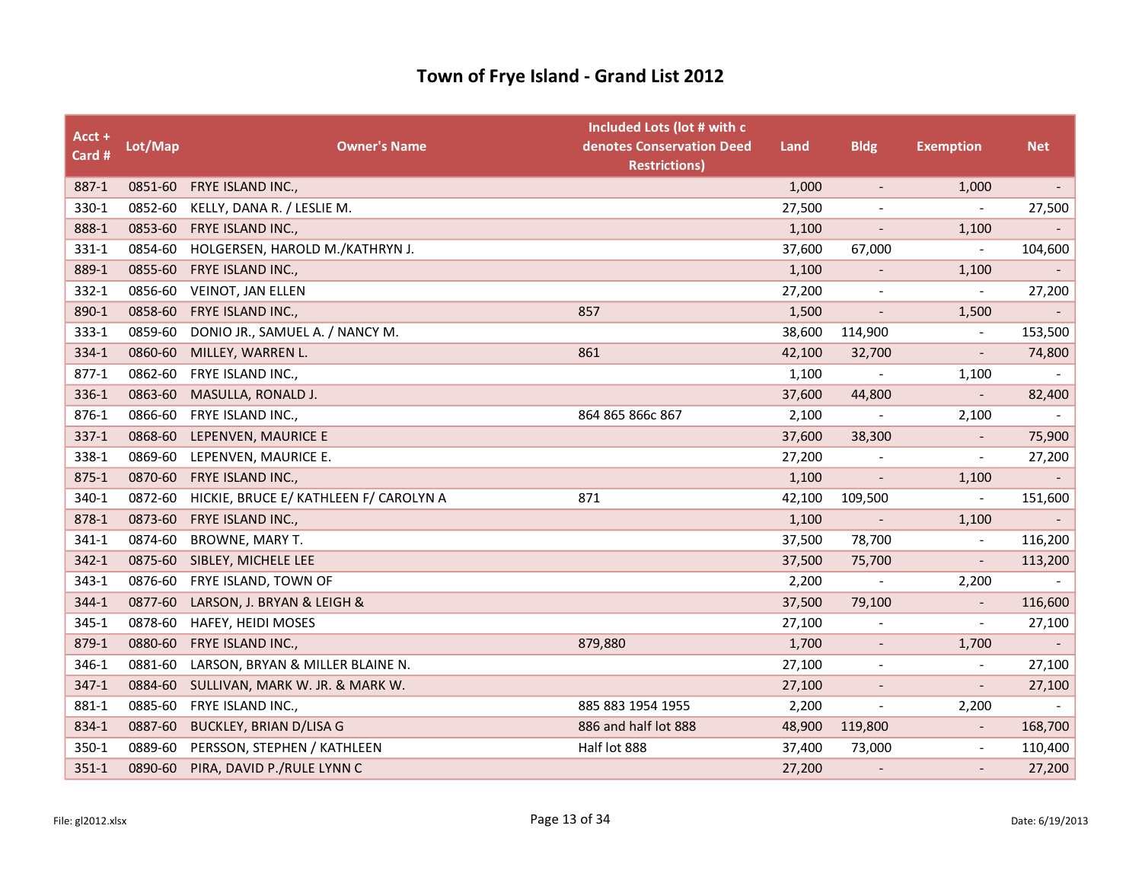| Acct +<br>Card # | Lot/Map | <b>Owner's Name</b>                    | Included Lots (lot # with c<br>denotes Conservation Deed<br><b>Restrictions)</b> | Land   | <b>Bldg</b>              | <b>Exemption</b>             | <b>Net</b>               |
|------------------|---------|----------------------------------------|----------------------------------------------------------------------------------|--------|--------------------------|------------------------------|--------------------------|
| 887-1            | 0851-60 | FRYE ISLAND INC.,                      |                                                                                  | 1,000  | $\blacksquare$           | 1,000                        | $\overline{\phantom{a}}$ |
| 330-1            | 0852-60 | KELLY, DANA R. / LESLIE M.             |                                                                                  | 27,500 |                          | $\overline{\phantom{a}}$     | 27,500                   |
| 888-1            | 0853-60 | FRYE ISLAND INC.,                      |                                                                                  | 1,100  |                          | 1,100                        |                          |
| 331-1            | 0854-60 | HOLGERSEN, HAROLD M./KATHRYN J.        |                                                                                  | 37,600 | 67,000                   | $\overline{\phantom{a}}$     | 104,600                  |
| 889-1            | 0855-60 | FRYE ISLAND INC.,                      |                                                                                  | 1,100  | $\overline{\phantom{a}}$ | 1,100                        |                          |
| 332-1            | 0856-60 | VEINOT, JAN ELLEN                      |                                                                                  | 27,200 |                          | $\overline{\phantom{a}}$     | 27,200                   |
| 890-1            | 0858-60 | FRYE ISLAND INC.,                      | 857                                                                              | 1,500  | $\overline{\phantom{a}}$ | 1,500                        |                          |
| 333-1            | 0859-60 | DONIO JR., SAMUEL A. / NANCY M.        |                                                                                  | 38,600 | 114,900                  | $\overline{\phantom{a}}$     | 153,500                  |
| 334-1            | 0860-60 | MILLEY, WARREN L.                      | 861                                                                              | 42,100 | 32,700                   |                              | 74,800                   |
| $877-1$          | 0862-60 | FRYE ISLAND INC.,                      |                                                                                  | 1,100  |                          | 1,100                        |                          |
| 336-1            | 0863-60 | MASULLA, RONALD J.                     |                                                                                  | 37,600 | 44,800                   | $\overline{\phantom{a}}$     | 82,400                   |
| 876-1            | 0866-60 | FRYE ISLAND INC.,                      | 864 865 866c 867                                                                 | 2,100  |                          | 2,100                        |                          |
| $337-1$          | 0868-60 | LEPENVEN, MAURICE E                    |                                                                                  | 37,600 | 38,300                   | $\overline{\phantom{a}}$     | 75,900                   |
| 338-1            | 0869-60 | LEPENVEN, MAURICE E.                   |                                                                                  | 27,200 | $\overline{\phantom{a}}$ | $\overline{\phantom{a}}$     | 27,200                   |
| $875 - 1$        | 0870-60 | FRYE ISLAND INC.,                      |                                                                                  | 1,100  |                          | 1,100                        |                          |
| 340-1            | 0872-60 | HICKIE, BRUCE E/ KATHLEEN F/ CAROLYN A | 871                                                                              | 42,100 | 109,500                  | $\overline{\phantom{a}}$     | 151,600                  |
| 878-1            | 0873-60 | FRYE ISLAND INC.,                      |                                                                                  | 1,100  | $\overline{\phantom{a}}$ | 1,100                        |                          |
| 341-1            | 0874-60 | <b>BROWNE, MARY T.</b>                 |                                                                                  | 37,500 | 78,700                   |                              | 116,200                  |
| $342 - 1$        | 0875-60 | SIBLEY, MICHELE LEE                    |                                                                                  | 37,500 | 75,700                   | $\overline{\phantom{a}}$     | 113,200                  |
| 343-1            | 0876-60 | FRYE ISLAND, TOWN OF                   |                                                                                  | 2,200  | $\overline{\phantom{a}}$ | 2,200                        |                          |
| 344-1            | 0877-60 | LARSON, J. BRYAN & LEIGH &             |                                                                                  | 37,500 | 79,100                   |                              | 116,600                  |
| 345-1            | 0878-60 | HAFEY, HEIDI MOSES                     |                                                                                  | 27,100 | $\overline{\phantom{a}}$ | $\qquad \qquad \blacksquare$ | 27,100                   |
| 879-1            | 0880-60 | FRYE ISLAND INC.,                      | 879,880                                                                          | 1,700  | $\overline{\phantom{a}}$ | 1,700                        |                          |
| 346-1            | 0881-60 | LARSON, BRYAN & MILLER BLAINE N.       |                                                                                  | 27,100 | $\overline{\phantom{a}}$ |                              | 27,100                   |
| $347 - 1$        | 0884-60 | SULLIVAN, MARK W. JR. & MARK W.        |                                                                                  | 27,100 | $\overline{\phantom{a}}$ | $\overline{\phantom{a}}$     | 27,100                   |
| 881-1            | 0885-60 | FRYE ISLAND INC.,                      | 885 883 1954 1955                                                                | 2,200  | $\overline{\phantom{a}}$ | 2,200                        |                          |
| 834-1            | 0887-60 | <b>BUCKLEY, BRIAN D/LISA G</b>         | 886 and half lot 888                                                             | 48,900 | 119,800                  |                              | 168,700                  |
| $350 - 1$        | 0889-60 | PERSSON, STEPHEN / KATHLEEN            | Half lot 888                                                                     | 37,400 | 73,000                   | $\overline{\phantom{a}}$     | 110,400                  |
| $351 - 1$        | 0890-60 | PIRA, DAVID P./RULE LYNN C             |                                                                                  | 27,200 |                          |                              | 27,200                   |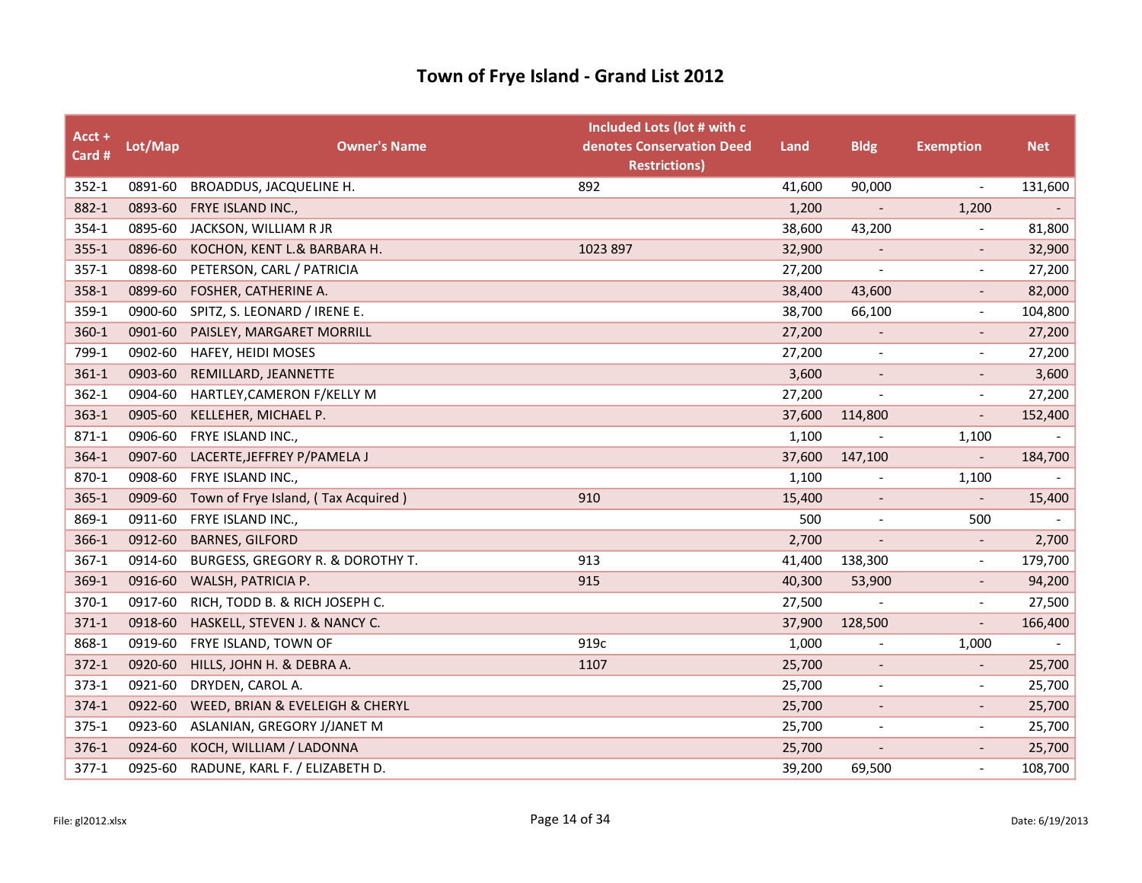| Acct +<br>Card # | Lot/Map | <b>Owner's Name</b>                 | Included Lots (lot # with c<br>denotes Conservation Deed<br><b>Restrictions)</b> | Land   | <b>Bldg</b>              | <b>Exemption</b>             | <b>Net</b>               |
|------------------|---------|-------------------------------------|----------------------------------------------------------------------------------|--------|--------------------------|------------------------------|--------------------------|
| $352 - 1$        | 0891-60 | BROADDUS, JACQUELINE H.             | 892                                                                              | 41,600 | 90,000                   | $\overline{\phantom{a}}$     | 131,600                  |
| 882-1            | 0893-60 | FRYE ISLAND INC.,                   |                                                                                  | 1,200  | $\overline{\phantom{a}}$ | 1,200                        | $\omega_{\rm c}$         |
| 354-1            | 0895-60 | JACKSON, WILLIAM R JR               |                                                                                  | 38,600 | 43,200                   |                              | 81,800                   |
| $355 - 1$        | 0896-60 | KOCHON, KENT L.& BARBARA H.         | 1023 897                                                                         | 32,900 | $\overline{\phantom{a}}$ | $\qquad \qquad \blacksquare$ | 32,900                   |
| $357-1$          | 0898-60 | PETERSON, CARL / PATRICIA           |                                                                                  | 27,200 |                          |                              | 27,200                   |
| 358-1            | 0899-60 | FOSHER, CATHERINE A.                |                                                                                  | 38,400 | 43,600                   |                              | 82,000                   |
| 359-1            | 0900-60 | SPITZ, S. LEONARD / IRENE E.        |                                                                                  | 38,700 | 66,100                   | $\qquad \qquad \blacksquare$ | 104,800                  |
| $360 - 1$        | 0901-60 | PAISLEY, MARGARET MORRILL           |                                                                                  | 27,200 | $\overline{\phantom{a}}$ |                              | 27,200                   |
| 799-1            | 0902-60 | HAFEY, HEIDI MOSES                  |                                                                                  | 27,200 | $\overline{\phantom{a}}$ | $\overline{a}$               | 27,200                   |
| $361 - 1$        | 0903-60 | REMILLARD, JEANNETTE                |                                                                                  | 3,600  | $\overline{\phantom{a}}$ | $\overline{\phantom{a}}$     | 3,600                    |
| $362 - 1$        | 0904-60 | HARTLEY, CAMERON F/KELLY M          |                                                                                  | 27,200 | $\overline{\phantom{a}}$ | $\qquad \qquad \blacksquare$ | 27,200                   |
| 363-1            | 0905-60 | KELLEHER, MICHAEL P.                |                                                                                  | 37,600 | 114,800                  |                              | 152,400                  |
| 871-1            | 0906-60 | FRYE ISLAND INC.,                   |                                                                                  | 1,100  | $\overline{\phantom{a}}$ | 1,100                        | $\overline{\phantom{a}}$ |
| $364-1$          | 0907-60 | LACERTE, JEFFREY P/PAMELA J         |                                                                                  | 37,600 | 147,100                  | $\overline{\phantom{a}}$     | 184,700                  |
| 870-1            | 0908-60 | FRYE ISLAND INC.,                   |                                                                                  | 1,100  |                          | 1,100                        |                          |
| $365 - 1$        | 0909-60 | Town of Frye Island, (Tax Acquired) | 910                                                                              | 15,400 | $\overline{\phantom{a}}$ | $\overline{\phantom{a}}$     | 15,400                   |
| 869-1            | 0911-60 | FRYE ISLAND INC.,                   |                                                                                  | 500    | $\overline{\phantom{a}}$ | 500                          |                          |
| 366-1            | 0912-60 | <b>BARNES, GILFORD</b>              |                                                                                  | 2,700  |                          | $\qquad \qquad \blacksquare$ | 2,700                    |
| $367-1$          | 0914-60 | BURGESS, GREGORY R. & DOROTHY T.    | 913                                                                              | 41,400 | 138,300                  | $\overline{\phantom{a}}$     | 179,700                  |
| 369-1            | 0916-60 | WALSH, PATRICIA P.                  | 915                                                                              | 40,300 | 53,900                   | $\overline{a}$               | 94,200                   |
| 370-1            | 0917-60 | RICH, TODD B. & RICH JOSEPH C.      |                                                                                  | 27,500 |                          | $\overline{\phantom{a}}$     | 27,500                   |
| $371-1$          | 0918-60 | HASKELL, STEVEN J. & NANCY C.       |                                                                                  | 37,900 | 128,500                  | $\qquad \qquad -$            | 166,400                  |
| 868-1            | 0919-60 | FRYE ISLAND, TOWN OF                | 919c                                                                             | 1,000  |                          | 1,000                        |                          |
| $372 - 1$        | 0920-60 | HILLS, JOHN H. & DEBRA A.           | 1107                                                                             | 25,700 | $\overline{\phantom{a}}$ |                              | 25,700                   |
| $373 - 1$        | 0921-60 | DRYDEN, CAROL A.                    |                                                                                  | 25,700 | $\overline{\phantom{a}}$ | $\qquad \qquad \blacksquare$ | 25,700                   |
| $374-1$          | 0922-60 | WEED, BRIAN & EVELEIGH & CHERYL     |                                                                                  | 25,700 |                          | $\overline{\phantom{a}}$     | 25,700                   |
| $375 - 1$        | 0923-60 | ASLANIAN, GREGORY J/JANET M         |                                                                                  | 25,700 | $\overline{\phantom{a}}$ | $\tilde{\phantom{a}}$        | 25,700                   |
| 376-1            | 0924-60 | KOCH, WILLIAM / LADONNA             |                                                                                  | 25,700 | $\overline{\phantom{a}}$ | $\overline{\phantom{a}}$     | 25,700                   |
| $377-1$          | 0925-60 | RADUNE, KARL F. / ELIZABETH D.      |                                                                                  | 39,200 | 69,500                   | $\overline{\phantom{a}}$     | 108,700                  |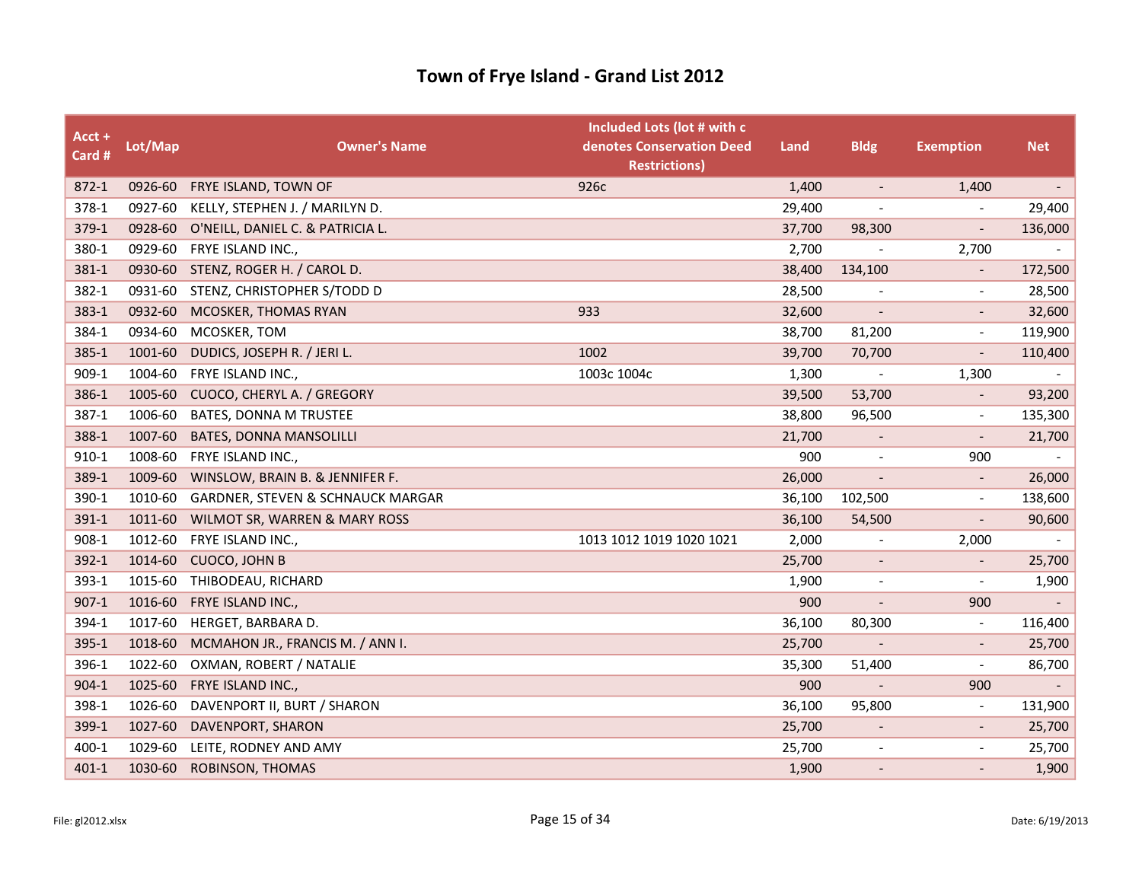| Acct +<br>Card # | Lot/Map | <b>Owner's Name</b>                          | Included Lots (lot # with c<br>denotes Conservation Deed<br><b>Restrictions)</b> | Land   | <b>Bldg</b>              | <b>Exemption</b>             | <b>Net</b> |
|------------------|---------|----------------------------------------------|----------------------------------------------------------------------------------|--------|--------------------------|------------------------------|------------|
| $872 - 1$        | 0926-60 | FRYE ISLAND, TOWN OF                         | 926c                                                                             | 1,400  | $\overline{\phantom{a}}$ | 1,400                        | $\sim$     |
| 378-1            | 0927-60 | KELLY, STEPHEN J. / MARILYN D.               |                                                                                  | 29,400 |                          |                              | 29,400     |
| 379-1            | 0928-60 | O'NEILL, DANIEL C. & PATRICIA L.             |                                                                                  | 37,700 | 98,300                   | $\overline{a}$               | 136,000    |
| 380-1            | 0929-60 | FRYE ISLAND INC.,                            |                                                                                  | 2,700  |                          | 2,700                        |            |
| 381-1            | 0930-60 | STENZ, ROGER H. / CAROL D.                   |                                                                                  | 38,400 | 134,100                  |                              | 172,500    |
| 382-1            | 0931-60 | STENZ, CHRISTOPHER S/TODD D                  |                                                                                  | 28,500 |                          | $\overline{\phantom{a}}$     | 28,500     |
| 383-1            | 0932-60 | MCOSKER, THOMAS RYAN                         | 933                                                                              | 32,600 | $\overline{\phantom{a}}$ | $\qquad \qquad -$            | 32,600     |
| 384-1            | 0934-60 | MCOSKER, TOM                                 |                                                                                  | 38,700 | 81,200                   | $\overline{a}$               | 119,900    |
| 385-1            | 1001-60 | DUDICS, JOSEPH R. / JERI L.                  | 1002                                                                             | 39,700 | 70,700                   |                              | 110,400    |
| 909-1            | 1004-60 | FRYE ISLAND INC.,                            | 1003c 1004c                                                                      | 1,300  | $\overline{\phantom{a}}$ | 1,300                        |            |
| 386-1            | 1005-60 | CUOCO, CHERYL A. / GREGORY                   |                                                                                  | 39,500 | 53,700                   |                              | 93,200     |
| 387-1            | 1006-60 | BATES, DONNA M TRUSTEE                       |                                                                                  | 38,800 | 96,500                   | $\overline{\phantom{a}}$     | 135,300    |
| 388-1            | 1007-60 | <b>BATES, DONNA MANSOLILLI</b>               |                                                                                  | 21,700 | $\overline{\phantom{a}}$ | $\overline{a}$               | 21,700     |
| $910 - 1$        | 1008-60 | FRYE ISLAND INC.,                            |                                                                                  | 900    |                          | 900                          |            |
| 389-1            | 1009-60 | WINSLOW, BRAIN B. & JENNIFER F.              |                                                                                  | 26,000 |                          | $\overline{\phantom{a}}$     | 26,000     |
| 390-1            | 1010-60 | <b>GARDNER, STEVEN &amp; SCHNAUCK MARGAR</b> |                                                                                  | 36,100 | 102,500                  | $\overline{a}$               | 138,600    |
| 391-1            | 1011-60 | WILMOT SR, WARREN & MARY ROSS                |                                                                                  | 36,100 | 54,500                   |                              | 90,600     |
| 908-1            | 1012-60 | FRYE ISLAND INC.,                            | 1013 1012 1019 1020 1021                                                         | 2,000  | $\overline{\phantom{a}}$ | 2,000                        |            |
| 392-1            | 1014-60 | CUOCO, JOHN B                                |                                                                                  | 25,700 | $\overline{\phantom{a}}$ | $\qquad \qquad \blacksquare$ | 25,700     |
| 393-1            | 1015-60 | THIBODEAU, RICHARD                           |                                                                                  | 1,900  |                          | $\overline{\phantom{a}}$     | 1,900      |
| $907 - 1$        | 1016-60 | FRYE ISLAND INC.,                            |                                                                                  | 900    |                          | 900                          |            |
| 394-1            | 1017-60 | HERGET, BARBARA D.                           |                                                                                  | 36,100 | 80,300                   | $\overline{\phantom{a}}$     | 116,400    |
| 395-1            | 1018-60 | MCMAHON JR., FRANCIS M. / ANN I.             |                                                                                  | 25,700 | $\overline{\phantom{a}}$ |                              | 25,700     |
| 396-1            | 1022-60 | OXMAN, ROBERT / NATALIE                      |                                                                                  | 35,300 | 51,400                   | $\overline{\phantom{a}}$     | 86,700     |
| $904 - 1$        | 1025-60 | FRYE ISLAND INC.,                            |                                                                                  | 900    | $\overline{\phantom{a}}$ | 900                          | $\sim$     |
| 398-1            | 1026-60 | DAVENPORT II, BURT / SHARON                  |                                                                                  | 36,100 | 95,800                   | $\overline{\phantom{a}}$     | 131,900    |
| 399-1            | 1027-60 | DAVENPORT, SHARON                            |                                                                                  | 25,700 | $\overline{\phantom{a}}$ | $\qquad \qquad \blacksquare$ | 25,700     |
| 400-1            | 1029-60 | LEITE, RODNEY AND AMY                        |                                                                                  | 25,700 | $\overline{\phantom{a}}$ | $\qquad \qquad \blacksquare$ | 25,700     |
| $401 - 1$        | 1030-60 | ROBINSON, THOMAS                             |                                                                                  | 1,900  |                          |                              | 1,900      |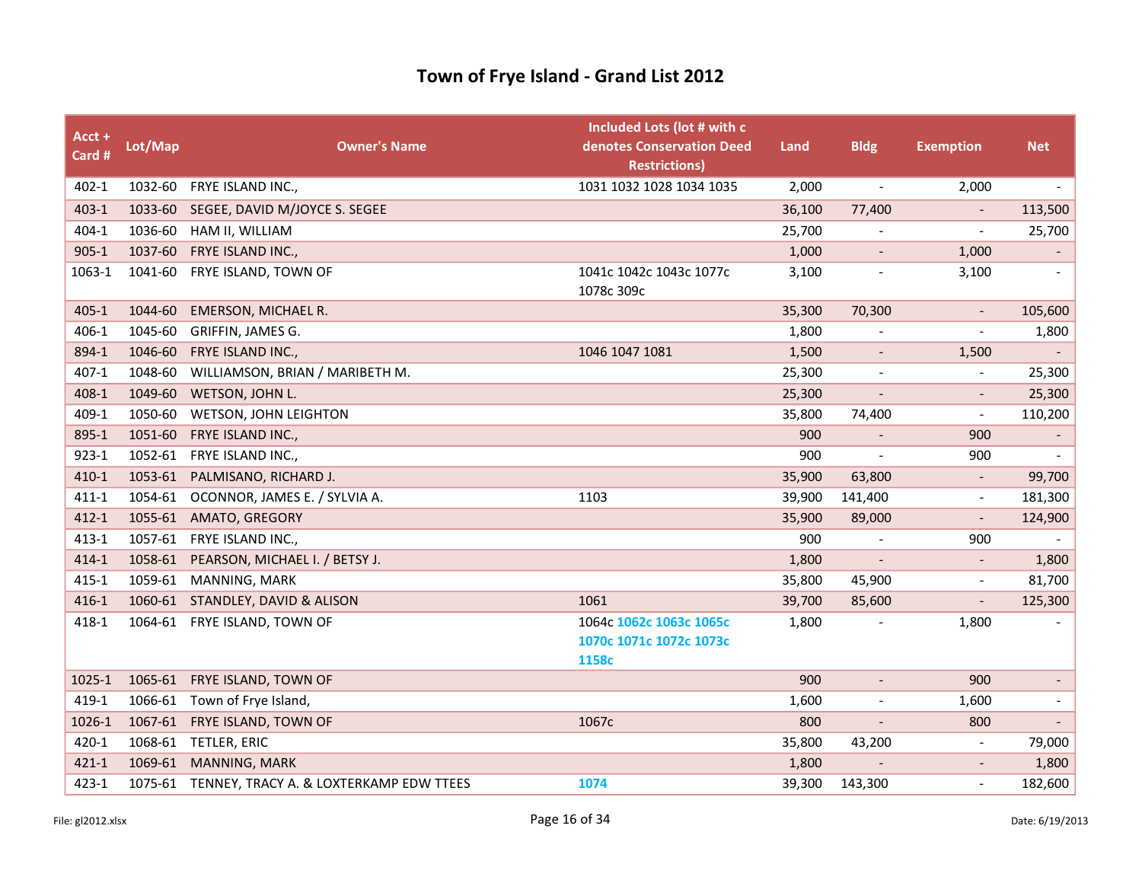| $Acct +$<br>Card # | Lot/Map | <b>Owner's Name</b>                             | Included Lots (lot # with c<br>denotes Conservation Deed<br><b>Restrictions)</b> | Land   | <b>Bldg</b>              | <b>Exemption</b>         | <b>Net</b>               |
|--------------------|---------|-------------------------------------------------|----------------------------------------------------------------------------------|--------|--------------------------|--------------------------|--------------------------|
| $402 - 1$          |         | 1032-60 FRYE ISLAND INC.,                       | 1031 1032 1028 1034 1035                                                         | 2,000  | $\overline{\phantom{a}}$ | 2,000                    | $\overline{\phantom{a}}$ |
| $403 - 1$          |         | 1033-60 SEGEE, DAVID M/JOYCE S. SEGEE           |                                                                                  | 36,100 | 77,400                   |                          | 113,500                  |
| 404-1              | 1036-60 | HAM II, WILLIAM                                 |                                                                                  | 25,700 |                          |                          | 25,700                   |
| $905 - 1$          | 1037-60 | FRYE ISLAND INC.,                               |                                                                                  | 1,000  | $\overline{\phantom{a}}$ | 1,000                    | $\overline{\phantom{a}}$ |
| 1063-1             | 1041-60 | FRYE ISLAND, TOWN OF                            | 1041c 1042c 1043c 1077c<br>1078c 309c                                            | 3,100  | $\overline{\phantom{a}}$ | 3,100                    | $\overline{\phantom{a}}$ |
| $405 - 1$          | 1044-60 | <b>EMERSON, MICHAEL R.</b>                      |                                                                                  | 35,300 | 70,300                   | $\overline{\phantom{a}}$ | 105,600                  |
| 406-1              | 1045-60 | GRIFFIN, JAMES G.                               |                                                                                  | 1,800  |                          |                          | 1,800                    |
| 894-1              | 1046-60 | FRYE ISLAND INC.,                               | 1046 1047 1081                                                                   | 1,500  | $\overline{\phantom{a}}$ | 1,500                    | $\blacksquare$           |
| $407 - 1$          | 1048-60 | WILLIAMSON, BRIAN / MARIBETH M.                 |                                                                                  | 25,300 | $\overline{\phantom{a}}$ | $\overline{a}$           | 25,300                   |
| 408-1              | 1049-60 | WETSON, JOHN L.                                 |                                                                                  | 25,300 |                          |                          | 25,300                   |
| 409-1              | 1050-60 | WETSON, JOHN LEIGHTON                           |                                                                                  | 35,800 | 74,400                   | $\overline{\phantom{a}}$ | 110,200                  |
| 895-1              | 1051-60 | FRYE ISLAND INC.,                               |                                                                                  | 900    | $\overline{\phantom{a}}$ | 900                      |                          |
| $923 - 1$          | 1052-61 | FRYE ISLAND INC.,                               |                                                                                  | 900    |                          | 900                      | $\overline{\phantom{a}}$ |
| 410-1              | 1053-61 | PALMISANO, RICHARD J.                           |                                                                                  | 35,900 | 63,800                   |                          | 99,700                   |
| $411 - 1$          | 1054-61 | OCONNOR, JAMES E. / SYLVIA A.                   | 1103                                                                             | 39,900 | 141,400                  | $\overline{\phantom{a}}$ | 181,300                  |
| $412 - 1$          | 1055-61 | AMATO, GREGORY                                  |                                                                                  | 35,900 | 89,000                   |                          | 124,900                  |
| $413 - 1$          |         | 1057-61 FRYE ISLAND INC.,                       |                                                                                  | 900    |                          | 900                      |                          |
| $414 - 1$          | 1058-61 | PEARSON, MICHAEL I. / BETSY J.                  |                                                                                  | 1,800  |                          | $\overline{\phantom{a}}$ | 1,800                    |
| $415 - 1$          | 1059-61 | MANNING, MARK                                   |                                                                                  | 35,800 | 45,900                   | $\overline{a}$           | 81,700                   |
| $416 - 1$          |         | 1060-61 STANDLEY, DAVID & ALISON                | 1061                                                                             | 39,700 | 85,600                   |                          | 125,300                  |
| 418-1              |         | 1064-61 FRYE ISLAND, TOWN OF                    | 1064с 1062с 1063с 1065с                                                          | 1,800  |                          | 1,800                    |                          |
|                    |         |                                                 | 1070c 1071c 1072c 1073c                                                          |        |                          |                          |                          |
|                    |         |                                                 | 1158c                                                                            |        |                          |                          |                          |
| 1025-1             | 1065-61 | FRYE ISLAND, TOWN OF                            |                                                                                  | 900    | $\overline{\phantom{a}}$ | 900                      | $\overline{\phantom{a}}$ |
| 419-1              |         | 1066-61 Town of Frye Island,                    |                                                                                  | 1,600  |                          | 1,600                    | $\overline{\phantom{a}}$ |
| 1026-1             | 1067-61 | FRYE ISLAND, TOWN OF                            | 1067c                                                                            | 800    |                          | 800                      |                          |
| 420-1              |         | 1068-61 TETLER, ERIC                            |                                                                                  | 35,800 | 43,200                   | $\overline{\phantom{a}}$ | 79,000                   |
| $421 - 1$          | 1069-61 | MANNING, MARK                                   |                                                                                  | 1,800  |                          |                          | 1,800                    |
| 423-1              |         | 1075-61 TENNEY, TRACY A. & LOXTERKAMP EDW TTEES | 1074                                                                             | 39,300 | 143,300                  | $\overline{\phantom{a}}$ | 182,600                  |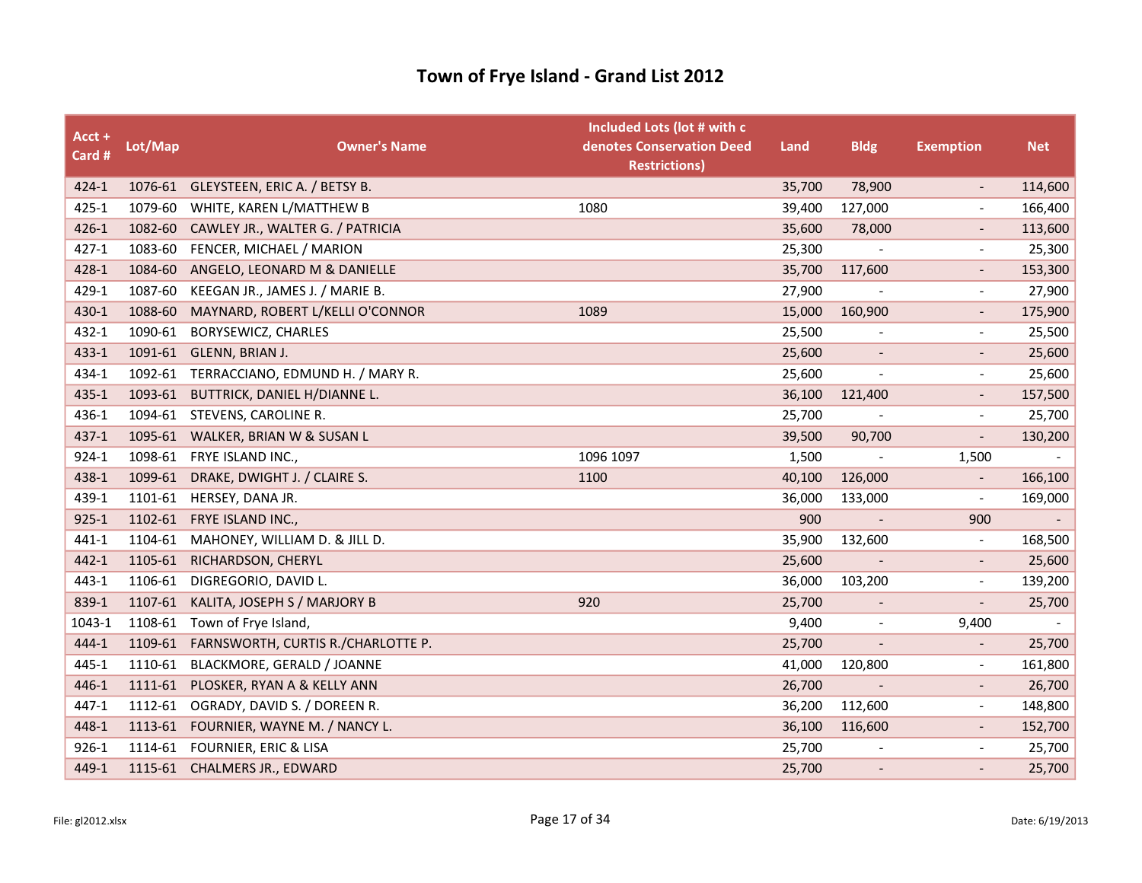| Acct +<br>Card # | Lot/Map | <b>Owner's Name</b>                      | Included Lots (lot # with c<br>denotes Conservation Deed<br><b>Restrictions)</b> | Land   | <b>Bldg</b>              | <b>Exemption</b>         | <b>Net</b> |
|------------------|---------|------------------------------------------|----------------------------------------------------------------------------------|--------|--------------------------|--------------------------|------------|
| 424-1            |         | 1076-61 GLEYSTEEN, ERIC A. / BETSY B.    |                                                                                  | 35,700 | 78,900                   | $\overline{\phantom{a}}$ | 114,600    |
| $425 - 1$        | 1079-60 | WHITE, KAREN L/MATTHEW B                 | 1080                                                                             | 39,400 | 127,000                  |                          | 166,400    |
| $426 - 1$        | 1082-60 | CAWLEY JR., WALTER G. / PATRICIA         |                                                                                  | 35,600 | 78,000                   |                          | 113,600    |
| 427-1            | 1083-60 | FENCER, MICHAEL / MARION                 |                                                                                  | 25,300 |                          | $\overline{\phantom{a}}$ | 25,300     |
| 428-1            | 1084-60 | ANGELO, LEONARD M & DANIELLE             |                                                                                  | 35,700 | 117,600                  |                          | 153,300    |
| 429-1            | 1087-60 | KEEGAN JR., JAMES J. / MARIE B.          |                                                                                  | 27,900 |                          |                          | 27,900     |
| 430-1            | 1088-60 | MAYNARD, ROBERT L/KELLI O'CONNOR         | 1089                                                                             | 15,000 | 160,900                  | $\overline{\phantom{a}}$ | 175,900    |
| 432-1            | 1090-61 | BORYSEWICZ, CHARLES                      |                                                                                  | 25,500 | $\blacksquare$           | $\overline{\phantom{a}}$ | 25,500     |
| 433-1            | 1091-61 | GLENN, BRIAN J.                          |                                                                                  | 25,600 |                          |                          | 25,600     |
| 434-1            |         | 1092-61 TERRACCIANO, EDMUND H. / MARY R. |                                                                                  | 25,600 | $\overline{\phantom{a}}$ | $\overline{\phantom{a}}$ | 25,600     |
| 435-1            | 1093-61 | BUTTRICK, DANIEL H/DIANNE L.             |                                                                                  | 36,100 | 121,400                  |                          | 157,500    |
| 436-1            |         | 1094-61 STEVENS, CAROLINE R.             |                                                                                  | 25,700 |                          |                          | 25,700     |
| 437-1            |         | 1095-61 WALKER, BRIAN W & SUSAN L        |                                                                                  | 39,500 | 90,700                   | $\overline{\phantom{a}}$ | 130,200    |
| 924-1            | 1098-61 | FRYE ISLAND INC.,                        | 1096 1097                                                                        | 1,500  | $\overline{\phantom{a}}$ | 1,500                    |            |
| 438-1            | 1099-61 | DRAKE, DWIGHT J. / CLAIRE S.             | 1100                                                                             | 40,100 | 126,000                  |                          | 166,100    |
| 439-1            | 1101-61 | HERSEY, DANA JR.                         |                                                                                  | 36,000 | 133,000                  | $\overline{\phantom{a}}$ | 169,000    |
| $925 - 1$        | 1102-61 | <b>FRYE ISLAND INC.,</b>                 |                                                                                  | 900    | $\blacksquare$           | 900                      |            |
| 441-1            | 1104-61 | MAHONEY, WILLIAM D. & JILL D.            |                                                                                  | 35,900 | 132,600                  | $\overline{\phantom{a}}$ | 168,500    |
| 442-1            | 1105-61 | RICHARDSON, CHERYL                       |                                                                                  | 25,600 | $\overline{\phantom{a}}$ | $\overline{\phantom{a}}$ | 25,600     |
| 443-1            | 1106-61 | DIGREGORIO, DAVID L.                     |                                                                                  | 36,000 | 103,200                  | $\overline{\phantom{a}}$ | 139,200    |
| 839-1            | 1107-61 | KALITA, JOSEPH S / MARJORY B             | 920                                                                              | 25,700 |                          |                          | 25,700     |
| 1043-1           |         | 1108-61 Town of Frye Island,             |                                                                                  | 9,400  | $\overline{\phantom{a}}$ | 9,400                    |            |
| 444-1            | 1109-61 | FARNSWORTH, CURTIS R./CHARLOTTE P.       |                                                                                  | 25,700 | $\overline{\phantom{a}}$ | $\overline{\phantom{a}}$ | 25,700     |
| 445-1            | 1110-61 | BLACKMORE, GERALD / JOANNE               |                                                                                  | 41,000 | 120,800                  | $\overline{\phantom{a}}$ | 161,800    |
| 446-1            | 1111-61 | PLOSKER, RYAN A & KELLY ANN              |                                                                                  | 26,700 | $\overline{\phantom{a}}$ | $\overline{\phantom{a}}$ | 26,700     |
| 447-1            | 1112-61 | OGRADY, DAVID S. / DOREEN R.             |                                                                                  | 36,200 | 112,600                  | $\overline{\phantom{a}}$ | 148,800    |
| 448-1            |         | 1113-61 FOURNIER, WAYNE M. / NANCY L.    |                                                                                  | 36,100 | 116,600                  |                          | 152,700    |
| $926 - 1$        |         | 1114-61 FOURNIER, ERIC & LISA            |                                                                                  | 25,700 |                          | $\overline{\phantom{a}}$ | 25,700     |
| 449-1            |         | 1115-61 CHALMERS JR., EDWARD             |                                                                                  | 25,700 | $\overline{\phantom{a}}$ |                          | 25,700     |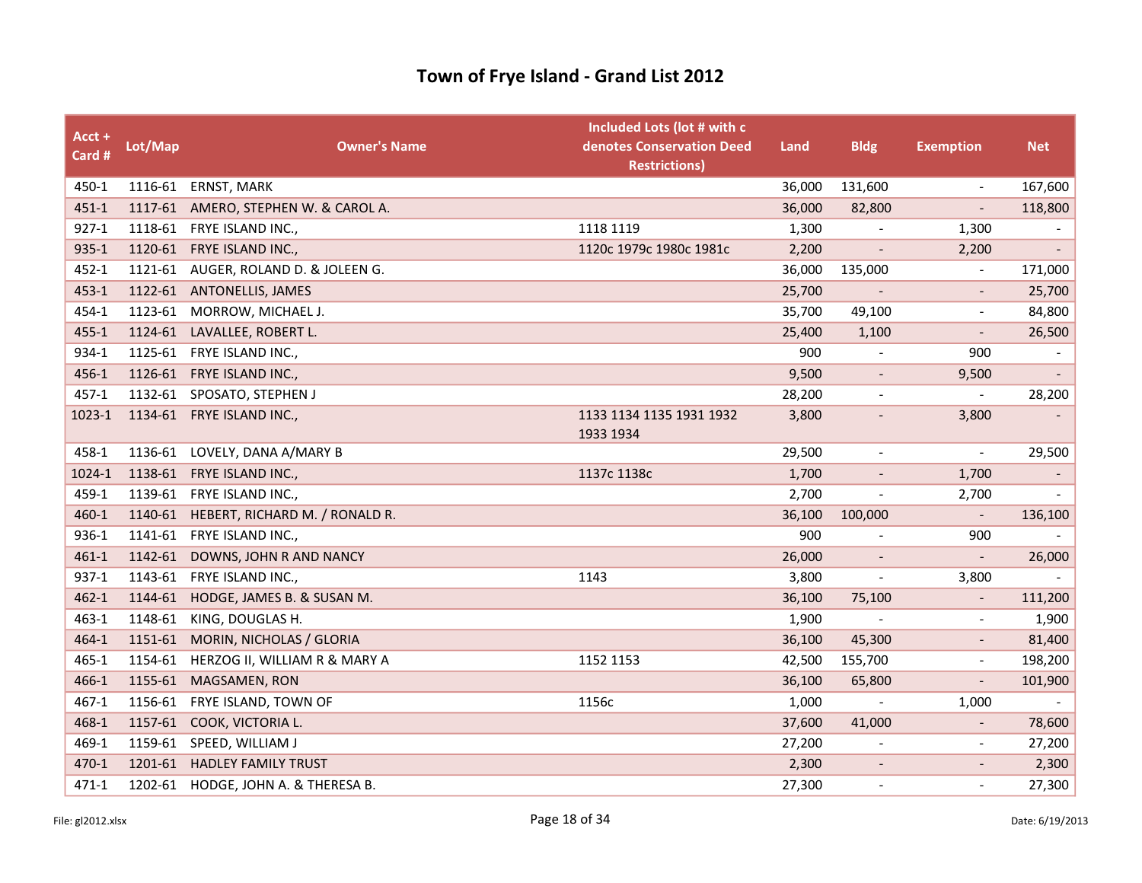| $Acct +$<br>Card # | Lot/Map | <b>Owner's Name</b>                    | Included Lots (lot # with c<br>denotes Conservation Deed<br><b>Restrictions)</b> | Land   | <b>Bldg</b>              | <b>Exemption</b>         | <b>Net</b>               |
|--------------------|---------|----------------------------------------|----------------------------------------------------------------------------------|--------|--------------------------|--------------------------|--------------------------|
| 450-1              |         | 1116-61 ERNST, MARK                    |                                                                                  | 36,000 | 131,600                  | $\overline{\phantom{a}}$ | 167,600                  |
| $451 - 1$          |         | 1117-61 AMERO, STEPHEN W. & CAROL A.   |                                                                                  | 36,000 | 82,800                   | $\overline{a}$           | 118,800                  |
| $927 - 1$          |         | 1118-61 FRYE ISLAND INC.,              | 1118 1119                                                                        | 1,300  |                          | 1,300                    |                          |
| 935-1              |         | 1120-61 FRYE ISLAND INC.,              | 1120c 1979c 1980c 1981c                                                          | 2,200  | $\overline{\phantom{a}}$ | 2,200                    |                          |
| $452 - 1$          |         | 1121-61 AUGER, ROLAND D. & JOLEEN G.   |                                                                                  | 36,000 | 135,000                  | $\overline{\phantom{a}}$ | 171,000                  |
| $453 - 1$          | 1122-61 | <b>ANTONELLIS, JAMES</b>               |                                                                                  | 25,700 | $\blacksquare$           |                          | 25,700                   |
| 454-1              | 1123-61 | MORROW, MICHAEL J.                     |                                                                                  | 35,700 | 49,100                   | $\overline{\phantom{a}}$ | 84,800                   |
| $455 - 1$          | 1124-61 | LAVALLEE, ROBERT L.                    |                                                                                  | 25,400 | 1,100                    |                          | 26,500                   |
| 934-1              | 1125-61 | FRYE ISLAND INC.,                      |                                                                                  | 900    | $\overline{\phantom{a}}$ | 900                      | $\overline{\phantom{a}}$ |
| 456-1              |         | 1126-61 FRYE ISLAND INC.,              |                                                                                  | 9,500  | $\overline{\phantom{a}}$ | 9,500                    |                          |
| $457 - 1$          |         | 1132-61 SPOSATO, STEPHEN J             |                                                                                  | 28,200 | $\overline{\phantom{a}}$ | $\overline{\phantom{a}}$ | 28,200                   |
| 1023-1             |         | 1134-61 FRYE ISLAND INC.,              | 1133 1134 1135 1931 1932<br>1933 1934                                            | 3,800  | $\overline{\phantom{a}}$ | 3,800                    |                          |
| 458-1              |         | 1136-61 LOVELY, DANA A/MARY B          |                                                                                  | 29,500 | $\overline{\phantom{a}}$ | $\overline{\phantom{a}}$ | 29,500                   |
| 1024-1             | 1138-61 | FRYE ISLAND INC.,                      | 1137c 1138c                                                                      | 1,700  | $\overline{\phantom{a}}$ | 1,700                    |                          |
| 459-1              |         | 1139-61 FRYE ISLAND INC.,              |                                                                                  | 2,700  | $\overline{\phantom{a}}$ | 2,700                    |                          |
| 460-1              |         | 1140-61 HEBERT, RICHARD M. / RONALD R. |                                                                                  | 36,100 | 100,000                  |                          | 136,100                  |
| 936-1              | 1141-61 | FRYE ISLAND INC.,                      |                                                                                  | 900    | $\frac{1}{2}$            | 900                      |                          |
| $461 - 1$          | 1142-61 | DOWNS, JOHN R AND NANCY                |                                                                                  | 26,000 |                          | $\overline{\phantom{a}}$ | 26,000                   |
| 937-1              |         | 1143-61 FRYE ISLAND INC.,              | 1143                                                                             | 3,800  | $\overline{\phantom{a}}$ | 3,800                    |                          |
| $462 - 1$          | 1144-61 | HODGE, JAMES B. & SUSAN M.             |                                                                                  | 36,100 | 75,100                   | $\overline{\phantom{a}}$ | 111,200                  |
| $463 - 1$          | 1148-61 | KING, DOUGLAS H.                       |                                                                                  | 1,900  | $\overline{\phantom{a}}$ |                          | 1,900                    |
| 464-1              | 1151-61 | MORIN, NICHOLAS / GLORIA               |                                                                                  | 36,100 | 45,300                   |                          | 81,400                   |
| $465 - 1$          | 1154-61 | HERZOG II, WILLIAM R & MARY A          | 1152 1153                                                                        | 42,500 | 155,700                  | $\overline{\phantom{a}}$ | 198,200                  |
| 466-1              | 1155-61 | MAGSAMEN, RON                          |                                                                                  | 36,100 | 65,800                   | $\overline{\phantom{a}}$ | 101,900                  |
| $467 - 1$          | 1156-61 | FRYE ISLAND, TOWN OF                   | 1156c                                                                            | 1,000  | $\overline{\phantom{a}}$ | 1,000                    |                          |
| 468-1              |         | 1157-61 COOK, VICTORIA L.              |                                                                                  | 37,600 | 41,000                   | $\qquad \qquad -$        | 78,600                   |
| 469-1              |         | 1159-61 SPEED, WILLIAM J               |                                                                                  | 27,200 | $\overline{\phantom{a}}$ | $\overline{\phantom{a}}$ | 27,200                   |
| 470-1              | 1201-61 | <b>HADLEY FAMILY TRUST</b>             |                                                                                  | 2,300  | $\overline{\phantom{a}}$ |                          | 2,300                    |
| 471-1              |         | 1202-61 HODGE, JOHN A. & THERESA B.    |                                                                                  | 27,300 | $\overline{\phantom{a}}$ |                          | 27,300                   |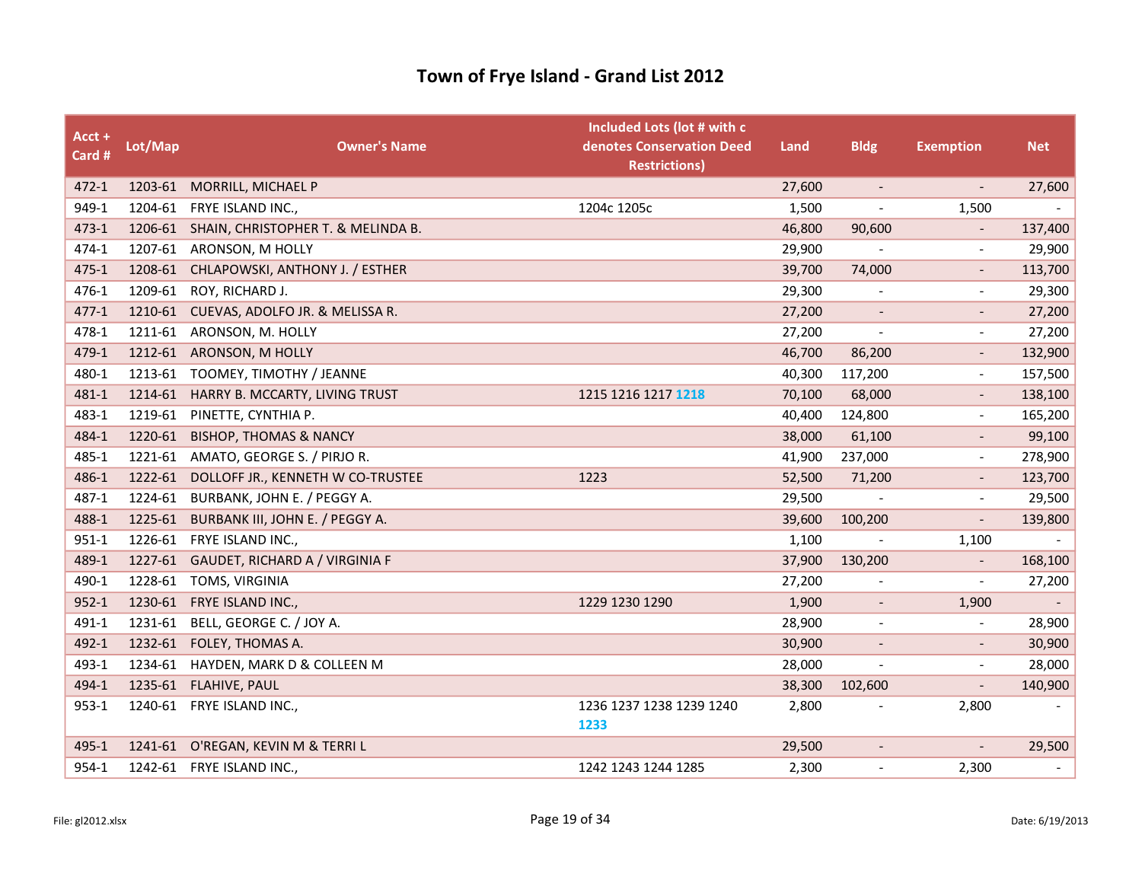| Acct +<br>Card # | Lot/Map | <b>Owner's Name</b>                        | Included Lots (lot # with c<br>denotes Conservation Deed<br><b>Restrictions)</b> | Land   | <b>Bldg</b>              | <b>Exemption</b>             | <b>Net</b>               |
|------------------|---------|--------------------------------------------|----------------------------------------------------------------------------------|--------|--------------------------|------------------------------|--------------------------|
| $472 - 1$        |         | 1203-61 MORRILL, MICHAEL P                 |                                                                                  | 27,600 | $\overline{\phantom{a}}$ | $\overline{\phantom{a}}$     | 27,600                   |
| 949-1            | 1204-61 | FRYE ISLAND INC.,                          | 1204c 1205c                                                                      | 1,500  |                          | 1,500                        | $\blacksquare$           |
| 473-1            |         | 1206-61 SHAIN, CHRISTOPHER T. & MELINDA B. |                                                                                  | 46,800 | 90,600                   | $\qquad \qquad \blacksquare$ | 137,400                  |
| 474-1            | 1207-61 | ARONSON, M HOLLY                           |                                                                                  | 29,900 |                          | $\overline{a}$               | 29,900                   |
| $475 - 1$        | 1208-61 | CHLAPOWSKI, ANTHONY J. / ESTHER            |                                                                                  | 39,700 | 74,000                   | $\overline{\phantom{0}}$     | 113,700                  |
| 476-1            | 1209-61 | ROY, RICHARD J.                            |                                                                                  | 29,300 |                          |                              | 29,300                   |
| $477 - 1$        |         | 1210-61 CUEVAS, ADOLFO JR. & MELISSA R.    |                                                                                  | 27,200 | $\overline{\phantom{a}}$ | $\overline{\phantom{a}}$     | 27,200                   |
| 478-1            | 1211-61 | ARONSON, M. HOLLY                          |                                                                                  | 27,200 | $\overline{\phantom{a}}$ | $\overline{\phantom{0}}$     | 27,200                   |
| 479-1            |         | 1212-61 ARONSON, M HOLLY                   |                                                                                  | 46,700 | 86,200                   | $\overline{\phantom{a}}$     | 132,900                  |
| 480-1            |         | 1213-61 TOOMEY, TIMOTHY / JEANNE           |                                                                                  | 40,300 | 117,200                  | $\blacksquare$               | 157,500                  |
| 481-1            | 1214-61 | HARRY B. MCCARTY, LIVING TRUST             | 1215 1216 1217 1218                                                              | 70,100 | 68,000                   | $\qquad \qquad \blacksquare$ | 138,100                  |
| 483-1            | 1219-61 | PINETTE, CYNTHIA P.                        |                                                                                  | 40,400 | 124,800                  | $\overline{\phantom{a}}$     | 165,200                  |
| 484-1            | 1220-61 | <b>BISHOP, THOMAS &amp; NANCY</b>          |                                                                                  | 38,000 | 61,100                   | $\overline{\phantom{a}}$     | 99,100                   |
| 485-1            | 1221-61 | AMATO, GEORGE S. / PIRJO R.                |                                                                                  | 41,900 | 237,000                  | $\overline{\phantom{a}}$     | 278,900                  |
| 486-1            | 1222-61 | DOLLOFF JR., KENNETH W CO-TRUSTEE          | 1223                                                                             | 52,500 | 71,200                   |                              | 123,700                  |
| 487-1            | 1224-61 | BURBANK, JOHN E. / PEGGY A.                |                                                                                  | 29,500 |                          | $\tilde{\phantom{a}}$        | 29,500                   |
| 488-1            | 1225-61 | BURBANK III, JOHN E. / PEGGY A.            |                                                                                  | 39,600 | 100,200                  | $\overline{\phantom{a}}$     | 139,800                  |
| $951 - 1$        | 1226-61 | FRYE ISLAND INC.,                          |                                                                                  | 1,100  | $\overline{a}$           | 1,100                        |                          |
| 489-1            | 1227-61 | GAUDET, RICHARD A / VIRGINIA F             |                                                                                  | 37,900 | 130,200                  | $\qquad \qquad \blacksquare$ | 168,100                  |
| 490-1            | 1228-61 | TOMS, VIRGINIA                             |                                                                                  | 27,200 |                          | $\overline{\phantom{a}}$     | 27,200                   |
| $952 - 1$        | 1230-61 | FRYE ISLAND INC.,                          | 1229 1230 1290                                                                   | 1,900  | $\overline{\phantom{a}}$ | 1,900                        |                          |
| 491-1            | 1231-61 | BELL, GEORGE C. / JOY A.                   |                                                                                  | 28,900 | $\overline{\phantom{a}}$ | $\overline{a}$               | 28,900                   |
| 492-1            | 1232-61 | FOLEY, THOMAS A.                           |                                                                                  | 30,900 |                          |                              | 30,900                   |
| 493-1            | 1234-61 | HAYDEN, MARK D & COLLEEN M                 |                                                                                  | 28,000 | $\overline{\phantom{a}}$ |                              | 28,000                   |
| 494-1            | 1235-61 | FLAHIVE, PAUL                              |                                                                                  | 38,300 | 102,600                  | $\qquad \qquad \blacksquare$ | 140,900                  |
| $953 - 1$        |         | 1240-61 FRYE ISLAND INC.,                  | 1236 1237 1238 1239 1240<br>1233                                                 | 2,800  |                          | 2,800                        |                          |
| 495-1            |         | 1241-61 O'REGAN, KEVIN M & TERRIL          |                                                                                  | 29,500 | $\overline{\phantom{a}}$ |                              | 29,500                   |
| 954-1            | 1242-61 | FRYE ISLAND INC.,                          | 1242 1243 1244 1285                                                              | 2,300  | $\tilde{\phantom{a}}$    | 2,300                        | $\overline{\phantom{a}}$ |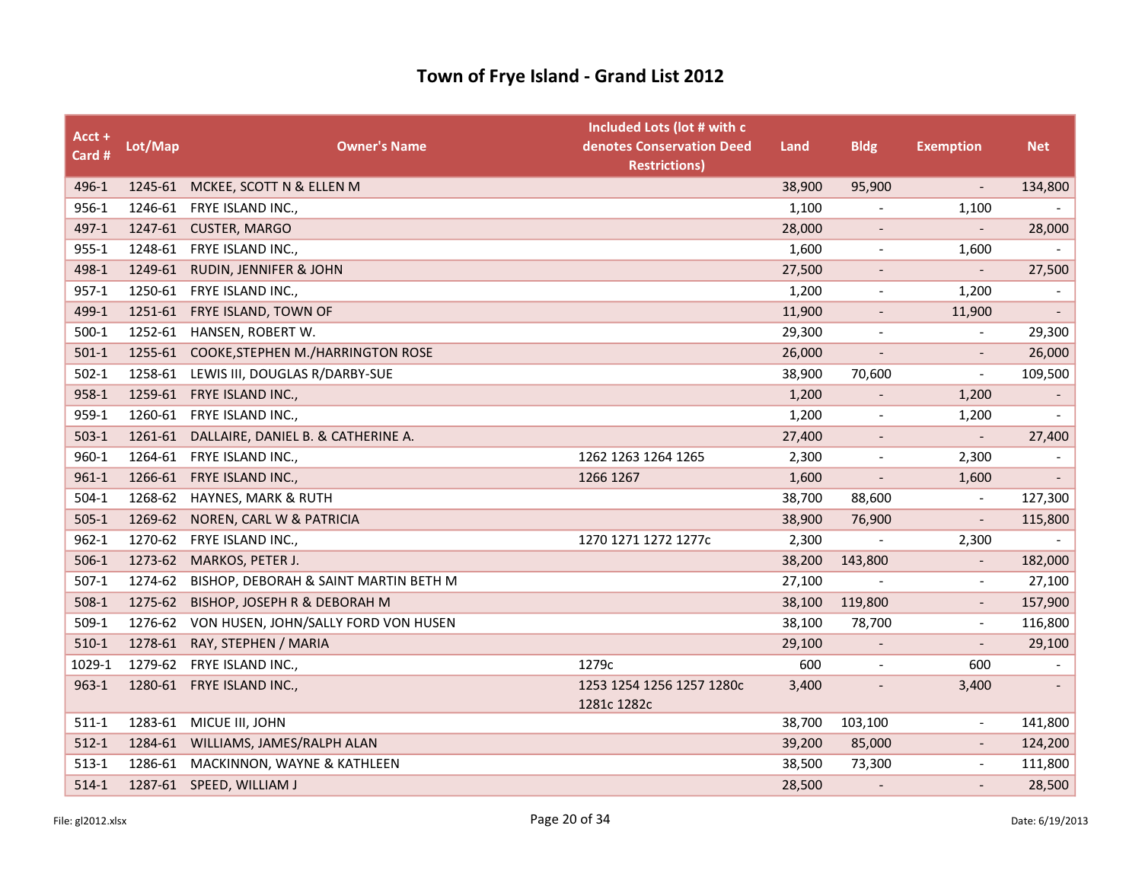| Acct +<br>Card # | Lot/Map | <b>Owner's Name</b>                          | Included Lots (lot # with c<br>denotes Conservation Deed<br><b>Restrictions)</b> | Land   | <b>Bldg</b>                  | <b>Exemption</b>             | <b>Net</b>               |
|------------------|---------|----------------------------------------------|----------------------------------------------------------------------------------|--------|------------------------------|------------------------------|--------------------------|
| 496-1            | 1245-61 | MCKEE, SCOTT N & ELLEN M                     |                                                                                  | 38,900 | 95,900                       |                              | 134,800                  |
| 956-1            |         | 1246-61 FRYE ISLAND INC.,                    |                                                                                  | 1,100  | $\overline{\phantom{a}}$     | 1,100                        | $\overline{\phantom{a}}$ |
| 497-1            | 1247-61 | <b>CUSTER, MARGO</b>                         |                                                                                  | 28,000 | $\blacksquare$               | $\overline{\phantom{a}}$     | 28,000                   |
| $955 - 1$        |         | 1248-61 FRYE ISLAND INC.,                    |                                                                                  | 1,600  | $\overline{\phantom{a}}$     | 1,600                        |                          |
| 498-1            | 1249-61 | RUDIN, JENNIFER & JOHN                       |                                                                                  | 27,500 | $\overline{\phantom{a}}$     |                              | 27,500                   |
| $957 - 1$        |         | 1250-61 FRYE ISLAND INC.,                    |                                                                                  | 1,200  | $\overline{\phantom{a}}$     | 1,200                        |                          |
| 499-1            |         | 1251-61 FRYE ISLAND, TOWN OF                 |                                                                                  | 11,900 | $\overline{\phantom{a}}$     | 11,900                       | $\overline{\phantom{a}}$ |
| $500-1$          |         | 1252-61 HANSEN, ROBERT W.                    |                                                                                  | 29,300 | $\overline{\phantom{a}}$     |                              | 29,300                   |
| $501-1$          |         | 1255-61 COOKE, STEPHEN M./HARRINGTON ROSE    |                                                                                  | 26,000 | $\overline{\phantom{a}}$     | $\qquad \qquad \blacksquare$ | 26,000                   |
| $502-1$          | 1258-61 | LEWIS III, DOUGLAS R/DARBY-SUE               |                                                                                  | 38,900 | 70,600                       | $\overline{\phantom{a}}$     | 109,500                  |
| 958-1            |         | 1259-61 FRYE ISLAND INC.,                    |                                                                                  | 1,200  | $\overline{\phantom{a}}$     | 1,200                        | $\overline{\phantom{a}}$ |
| 959-1            | 1260-61 | FRYE ISLAND INC.,                            |                                                                                  | 1,200  | $\overline{\phantom{a}}$     | 1,200                        |                          |
| $503-1$          |         | 1261-61 DALLAIRE, DANIEL B. & CATHERINE A.   |                                                                                  | 27,400 | $\overline{\phantom{a}}$     | $\overline{\phantom{a}}$     | 27,400                   |
| 960-1            | 1264-61 | FRYE ISLAND INC.,                            | 1262 1263 1264 1265                                                              | 2,300  | $\qquad \qquad \blacksquare$ | 2,300                        |                          |
| $961 - 1$        | 1266-61 | FRYE ISLAND INC.,                            | 1266 1267                                                                        | 1,600  |                              | 1,600                        |                          |
| $504-1$          | 1268-62 | HAYNES, MARK & RUTH                          |                                                                                  | 38,700 | 88,600                       | $\overline{\phantom{a}}$     | 127,300                  |
| $505-1$          | 1269-62 | NOREN, CARL W & PATRICIA                     |                                                                                  | 38,900 | 76,900                       | $\overline{\phantom{a}}$     | 115,800                  |
| $962 - 1$        | 1270-62 | FRYE ISLAND INC.,                            | 1270 1271 1272 1277c                                                             | 2,300  |                              | 2,300                        |                          |
| $506-1$          | 1273-62 | MARKOS, PETER J.                             |                                                                                  | 38,200 | 143,800                      |                              | 182,000                  |
| $507-1$          | 1274-62 | BISHOP, DEBORAH & SAINT MARTIN BETH M        |                                                                                  | 27,100 |                              | $\overline{a}$               | 27,100                   |
| $508-1$          | 1275-62 | BISHOP, JOSEPH R & DEBORAH M                 |                                                                                  | 38,100 | 119,800                      | $\overline{\phantom{a}}$     | 157,900                  |
| $509-1$          |         | 1276-62 VON HUSEN, JOHN/SALLY FORD VON HUSEN |                                                                                  | 38,100 | 78,700                       | $\overline{a}$               | 116,800                  |
| $510-1$          |         | 1278-61 RAY, STEPHEN / MARIA                 |                                                                                  | 29,100 | $\overline{\phantom{a}}$     |                              | 29,100                   |
| 1029-1           |         | 1279-62 FRYE ISLAND INC.,                    | 1279c                                                                            | 600    | $\blacksquare$               | 600                          | $\overline{\phantom{a}}$ |
| $963 - 1$        |         | 1280-61 FRYE ISLAND INC.,                    | 1253 1254 1256 1257 1280c<br>1281c 1282c                                         | 3,400  | $\overline{\phantom{a}}$     | 3,400                        |                          |
| $511-1$          |         | 1283-61 MICUE III, JOHN                      |                                                                                  | 38,700 | 103,100                      | $\tilde{\phantom{a}}$        | 141,800                  |
| $512-1$          | 1284-61 | WILLIAMS, JAMES/RALPH ALAN                   |                                                                                  | 39,200 | 85,000                       |                              | 124,200                  |
| $513 - 1$        | 1286-61 | MACKINNON, WAYNE & KATHLEEN                  |                                                                                  | 38,500 | 73,300                       | $\tilde{\phantom{a}}$        | 111,800                  |
| $514-1$          |         | 1287-61 SPEED, WILLIAM J                     |                                                                                  | 28,500 |                              |                              | 28,500                   |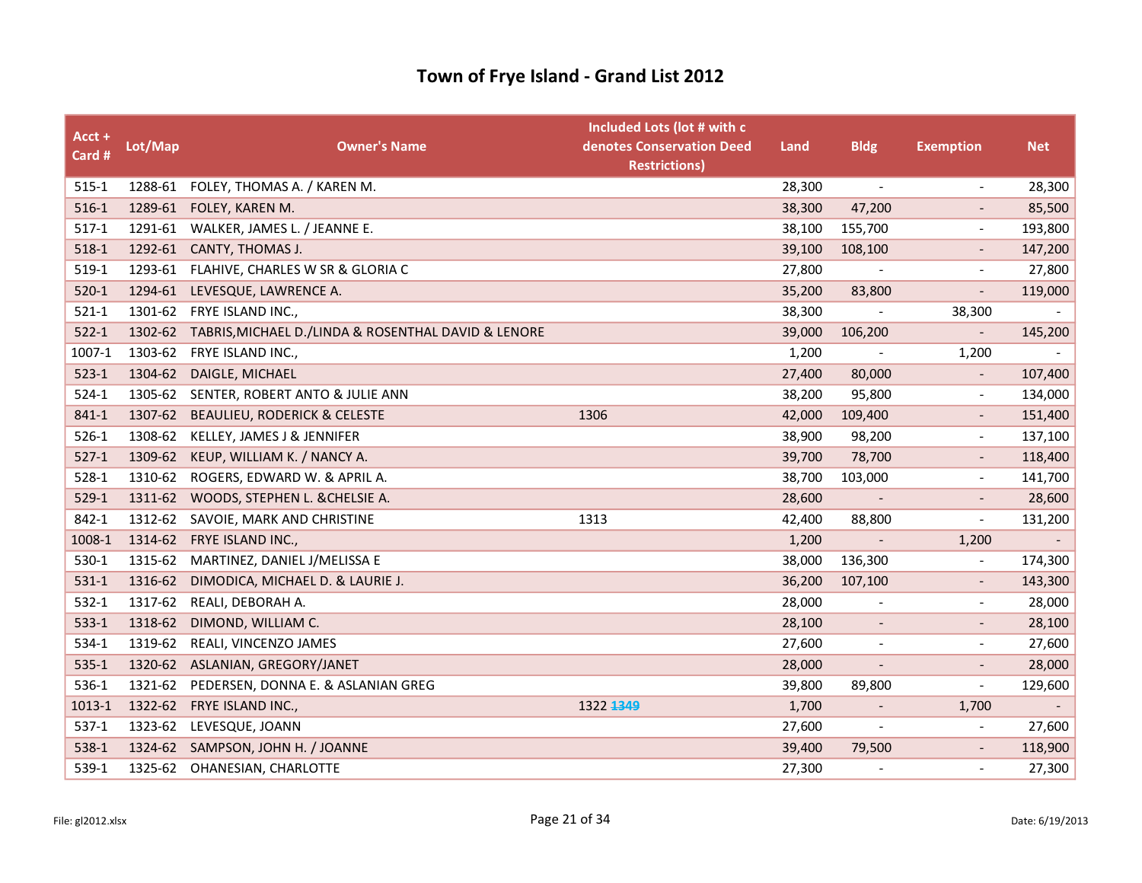| Acct +<br>Card # | Lot/Map | <b>Owner's Name</b>                                         | Included Lots (lot # with c<br>denotes Conservation Deed<br><b>Restrictions)</b> | Land   | <b>Bldg</b>              | <b>Exemption</b>             | <b>Net</b>               |
|------------------|---------|-------------------------------------------------------------|----------------------------------------------------------------------------------|--------|--------------------------|------------------------------|--------------------------|
| $515-1$          |         | 1288-61 FOLEY, THOMAS A. / KAREN M.                         |                                                                                  | 28,300 | $\overline{\phantom{a}}$ | $\overline{\phantom{a}}$     | 28,300                   |
| $516-1$          |         | 1289-61 FOLEY, KAREN M.                                     |                                                                                  | 38,300 | 47,200                   |                              | 85,500                   |
| $517-1$          |         | 1291-61 WALKER, JAMES L. / JEANNE E.                        |                                                                                  | 38,100 | 155,700                  | $\overline{\phantom{a}}$     | 193,800                  |
| 518-1            |         | 1292-61 CANTY, THOMAS J.                                    |                                                                                  | 39,100 | 108,100                  | $\overline{\phantom{a}}$     | 147,200                  |
| 519-1            | 1293-61 | FLAHIVE, CHARLES W SR & GLORIA C                            |                                                                                  | 27,800 |                          |                              | 27,800                   |
| $520 - 1$        | 1294-61 | LEVESQUE, LAWRENCE A.                                       |                                                                                  | 35,200 | 83,800                   |                              | 119,000                  |
| $521-1$          | 1301-62 | FRYE ISLAND INC.,                                           |                                                                                  | 38,300 | $\overline{\phantom{a}}$ | 38,300                       | $\overline{\phantom{a}}$ |
| $522 - 1$        |         | 1302-62 TABRIS, MICHAEL D./LINDA & ROSENTHAL DAVID & LENORE |                                                                                  | 39,000 | 106,200                  | $\overline{\phantom{a}}$     | 145,200                  |
| 1007-1           |         | 1303-62 FRYE ISLAND INC.,                                   |                                                                                  | 1,200  |                          | 1,200                        |                          |
| $523-1$          | 1304-62 | DAIGLE, MICHAEL                                             |                                                                                  | 27,400 | 80,000                   | $\overline{\phantom{a}}$     | 107,400                  |
| $524-1$          | 1305-62 | SENTER, ROBERT ANTO & JULIE ANN                             |                                                                                  | 38,200 | 95,800                   | $\blacksquare$               | 134,000                  |
| 841-1            | 1307-62 | <b>BEAULIEU, RODERICK &amp; CELESTE</b>                     | 1306                                                                             | 42,000 | 109,400                  |                              | 151,400                  |
| $526-1$          | 1308-62 | KELLEY, JAMES J & JENNIFER                                  |                                                                                  | 38,900 | 98,200                   | $\overline{\phantom{a}}$     | 137,100                  |
| $527-1$          | 1309-62 | KEUP, WILLIAM K. / NANCY A.                                 |                                                                                  | 39,700 | 78,700                   | $\overline{\phantom{a}}$     | 118,400                  |
| $528-1$          |         | 1310-62 ROGERS, EDWARD W. & APRIL A.                        |                                                                                  | 38,700 | 103,000                  | $\overline{\phantom{a}}$     | 141,700                  |
| $529-1$          |         | 1311-62 WOODS, STEPHEN L. & CHELSIE A.                      |                                                                                  | 28,600 |                          | $\overline{\phantom{a}}$     | 28,600                   |
| 842-1            | 1312-62 | SAVOIE, MARK AND CHRISTINE                                  | 1313                                                                             | 42,400 | 88,800                   | $\overline{\phantom{a}}$     | 131,200                  |
| 1008-1           | 1314-62 | FRYE ISLAND INC.,                                           |                                                                                  | 1,200  |                          | 1,200                        | $\overline{\phantom{a}}$ |
| 530-1            | 1315-62 | MARTINEZ, DANIEL J/MELISSA E                                |                                                                                  | 38,000 | 136,300                  | $\overline{\phantom{a}}$     | 174,300                  |
| $531-1$          | 1316-62 | DIMODICA, MICHAEL D. & LAURIE J.                            |                                                                                  | 36,200 | 107,100                  |                              | 143,300                  |
| $532-1$          |         | 1317-62 REALI, DEBORAH A.                                   |                                                                                  | 28,000 |                          | $\overline{\phantom{a}}$     | 28,000                   |
| $533-1$          | 1318-62 | DIMOND, WILLIAM C.                                          |                                                                                  | 28,100 | $\overline{\phantom{a}}$ |                              | 28,100                   |
| 534-1            | 1319-62 | REALI, VINCENZO JAMES                                       |                                                                                  | 27,600 | $\overline{\phantom{a}}$ |                              | 27,600                   |
| $535-1$          | 1320-62 | ASLANIAN, GREGORY/JANET                                     |                                                                                  | 28,000 |                          |                              | 28,000                   |
| 536-1            | 1321-62 | PEDERSEN, DONNA E. & ASLANIAN GREG                          |                                                                                  | 39,800 | 89,800                   | $\overline{\phantom{a}}$     | 129,600                  |
| 1013-1           | 1322-62 | FRYE ISLAND INC.,                                           | 1322 1349                                                                        | 1,700  | $\overline{\phantom{a}}$ | 1,700                        | $\overline{\phantom{a}}$ |
| $537-1$          | 1323-62 | LEVESQUE, JOANN                                             |                                                                                  | 27,600 |                          | $\qquad \qquad \blacksquare$ | 27,600                   |
| 538-1            | 1324-62 | SAMPSON, JOHN H. / JOANNE                                   |                                                                                  | 39,400 | 79,500                   |                              | 118,900                  |
| 539-1            | 1325-62 | OHANESIAN, CHARLOTTE                                        |                                                                                  | 27,300 |                          |                              | 27,300                   |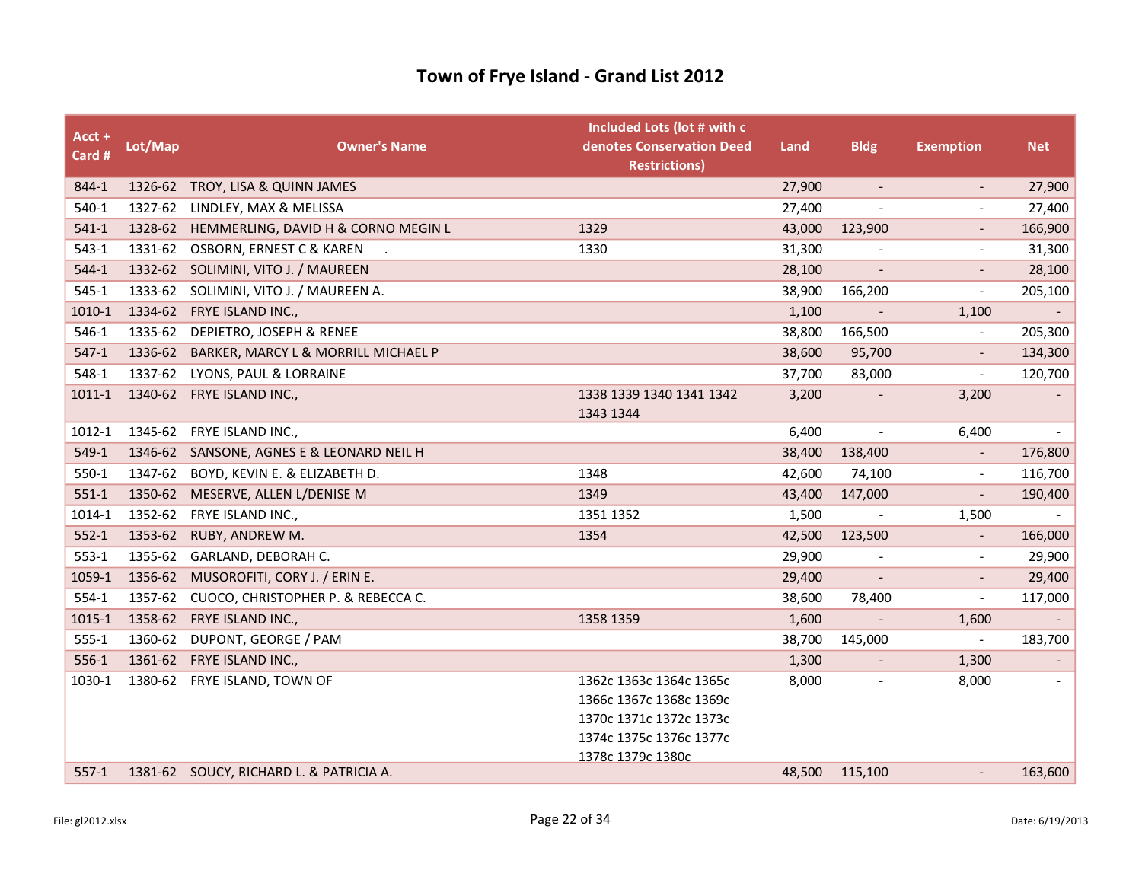| $Acct +$<br>Card # | Lot/Map | <b>Owner's Name</b>                         | Included Lots (lot # with c<br>denotes Conservation Deed<br><b>Restrictions)</b> | Land   | <b>Bldg</b>              | <b>Exemption</b>         | <b>Net</b>               |
|--------------------|---------|---------------------------------------------|----------------------------------------------------------------------------------|--------|--------------------------|--------------------------|--------------------------|
| 844-1              |         | 1326-62 TROY, LISA & QUINN JAMES            |                                                                                  | 27,900 | $\blacksquare$           | $\overline{\phantom{a}}$ | 27,900                   |
| 540-1              | 1327-62 | LINDLEY, MAX & MELISSA                      |                                                                                  | 27,400 |                          |                          | 27,400                   |
| $541-1$            |         | 1328-62 HEMMERLING, DAVID H & CORNO MEGIN L | 1329                                                                             | 43,000 | 123,900                  |                          | 166,900                  |
| $543-1$            | 1331-62 | OSBORN, ERNEST C & KAREN                    | 1330                                                                             | 31,300 | $\overline{\phantom{a}}$ | $\overline{\phantom{a}}$ | 31,300                   |
| $544-1$            | 1332-62 | SOLIMINI, VITO J. / MAUREEN                 |                                                                                  | 28,100 | $\overline{\phantom{a}}$ |                          | 28,100                   |
| $545-1$            |         | 1333-62 SOLIMINI, VITO J. / MAUREEN A.      |                                                                                  | 38,900 | 166,200                  | $\overline{\phantom{a}}$ | 205,100                  |
| 1010-1             | 1334-62 | FRYE ISLAND INC.,                           |                                                                                  | 1,100  | $\overline{\phantom{a}}$ | 1,100                    | $\overline{\phantom{a}}$ |
| 546-1              | 1335-62 | DEPIETRO, JOSEPH & RENEE                    |                                                                                  | 38,800 | 166,500                  | $\overline{a}$           | 205,300                  |
| $547-1$            |         | 1336-62 BARKER, MARCY L & MORRILL MICHAEL P |                                                                                  | 38,600 | 95,700                   |                          | 134,300                  |
| 548-1              |         | 1337-62 LYONS, PAUL & LORRAINE              |                                                                                  | 37,700 | 83,000                   | $\overline{\phantom{a}}$ | 120,700                  |
| 1011-1             |         | 1340-62 FRYE ISLAND INC.,                   | 1338 1339 1340 1341 1342<br>1343 1344                                            | 3,200  |                          | 3,200                    |                          |
| 1012-1             |         | 1345-62 FRYE ISLAND INC.,                   |                                                                                  | 6,400  | $\overline{\phantom{a}}$ | 6,400                    |                          |
| 549-1              |         | 1346-62 SANSONE, AGNES E & LEONARD NEIL H   |                                                                                  | 38,400 | 138,400                  |                          | 176,800                  |
| 550-1              | 1347-62 | BOYD, KEVIN E. & ELIZABETH D.               | 1348                                                                             | 42,600 | 74,100                   | $\overline{\phantom{a}}$ | 116,700                  |
| $551-1$            | 1350-62 | MESERVE, ALLEN L/DENISE M                   | 1349                                                                             | 43,400 | 147,000                  | $\overline{\phantom{a}}$ | 190,400                  |
| 1014-1             |         | 1352-62 FRYE ISLAND INC.,                   | 1351 1352                                                                        | 1,500  |                          | 1,500                    |                          |
| $552-1$            | 1353-62 | RUBY, ANDREW M.                             | 1354                                                                             | 42,500 | 123,500                  | $\overline{\phantom{a}}$ | 166,000                  |
| $553-1$            | 1355-62 | GARLAND, DEBORAH C.                         |                                                                                  | 29,900 |                          |                          | 29,900                   |
| 1059-1             | 1356-62 | MUSOROFITI, CORY J. / ERIN E.               |                                                                                  | 29,400 |                          |                          | 29,400                   |
| $554-1$            | 1357-62 | CUOCO, CHRISTOPHER P. & REBECCA C.          |                                                                                  | 38,600 | 78,400                   | $\overline{\phantom{a}}$ | 117,000                  |
| 1015-1             | 1358-62 | FRYE ISLAND INC.,                           | 1358 1359                                                                        | 1,600  | $\blacksquare$           | 1,600                    | $\blacksquare$           |
| $555 - 1$          |         | 1360-62 DUPONT, GEORGE / PAM                |                                                                                  | 38,700 | 145,000                  | $\overline{\phantom{a}}$ | 183,700                  |
| 556-1              | 1361-62 | FRYE ISLAND INC.,                           |                                                                                  | 1,300  |                          | 1,300                    |                          |
| 1030-1             |         | 1380-62 FRYE ISLAND, TOWN OF                | 1362c 1363c 1364c 1365c                                                          | 8,000  | $\overline{\phantom{a}}$ | 8,000                    |                          |
|                    |         |                                             | 1366c 1367c 1368c 1369c                                                          |        |                          |                          |                          |
|                    |         |                                             | 1370c 1371c 1372c 1373c                                                          |        |                          |                          |                          |
|                    |         |                                             | 1374c 1375c 1376c 1377c                                                          |        |                          |                          |                          |
| $557-1$            |         | 1381-62 SOUCY, RICHARD L. & PATRICIA A.     | 1378c 1379c 1380c                                                                | 48,500 | 115,100                  |                          | 163,600                  |
|                    |         |                                             |                                                                                  |        |                          |                          |                          |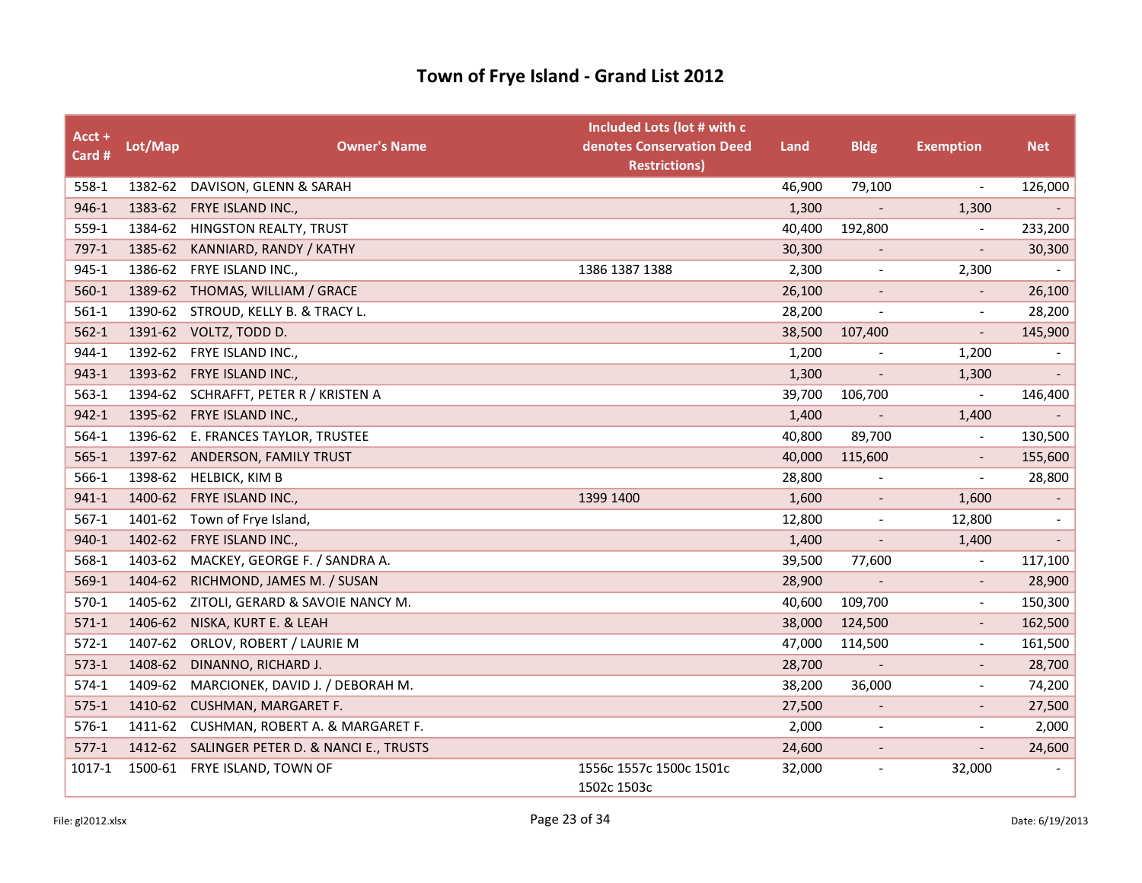| Acct +<br>Card # | Lot/Map | <b>Owner's Name</b>                          | Included Lots (lot # with c<br>denotes Conservation Deed<br><b>Restrictions)</b> | Land   | <b>Bldg</b>              | <b>Exemption</b>             | <b>Net</b>                  |
|------------------|---------|----------------------------------------------|----------------------------------------------------------------------------------|--------|--------------------------|------------------------------|-----------------------------|
| 558-1            | 1382-62 | DAVISON, GLENN & SARAH                       |                                                                                  | 46,900 | 79,100                   | $\overline{\phantom{a}}$     | 126,000                     |
| 946-1            |         | 1383-62 FRYE ISLAND INC.,                    |                                                                                  | 1,300  | $\overline{\phantom{a}}$ | 1,300                        | $\sim$                      |
| 559-1            | 1384-62 | HINGSTON REALTY, TRUST                       |                                                                                  | 40,400 | 192,800                  | $\overline{a}$               | 233,200                     |
| 797-1            | 1385-62 | KANNIARD, RANDY / KATHY                      |                                                                                  | 30,300 |                          |                              | 30,300                      |
| 945-1            | 1386-62 | FRYE ISLAND INC.,                            | 1386 1387 1388                                                                   | 2,300  | $\overline{\phantom{a}}$ | 2,300                        |                             |
| $560-1$          |         | 1389-62 THOMAS, WILLIAM / GRACE              |                                                                                  | 26,100 | $\overline{\phantom{a}}$ | $\overline{\phantom{a}}$     | 26,100                      |
| $561-1$          |         | 1390-62 STROUD, KELLY B. & TRACY L.          |                                                                                  | 28,200 | $\overline{\phantom{a}}$ | $\overline{a}$               | 28,200                      |
| $562-1$          |         | 1391-62 VOLTZ, TODD D.                       |                                                                                  | 38,500 | 107,400                  | $\overline{a}$               | 145,900                     |
| 944-1            | 1392-62 | FRYE ISLAND INC.,                            |                                                                                  | 1,200  | $\overline{\phantom{a}}$ | 1,200                        | $\overline{\phantom{a}}$    |
| 943-1            | 1393-62 | FRYE ISLAND INC.,                            |                                                                                  | 1,300  | $\overline{\phantom{a}}$ | 1,300                        | $\mathcal{L}_{\mathcal{A}}$ |
| $563-1$          |         | 1394-62 SCHRAFFT, PETER R / KRISTEN A        |                                                                                  | 39,700 | 106,700                  | $\overline{\phantom{a}}$     | 146,400                     |
| $942 - 1$        | 1395-62 | FRYE ISLAND INC.,                            |                                                                                  | 1,400  |                          | 1,400                        |                             |
| $564-1$          |         | 1396-62 E. FRANCES TAYLOR, TRUSTEE           |                                                                                  | 40,800 | 89,700                   | $\blacksquare$               | 130,500                     |
| $565-1$          |         | 1397-62 ANDERSON, FAMILY TRUST               |                                                                                  | 40,000 | 115,600                  |                              | 155,600                     |
| 566-1            |         | 1398-62 HELBICK, KIM B                       |                                                                                  | 28,800 | $\overline{\phantom{a}}$ | $\overline{a}$               | 28,800                      |
| $941 - 1$        | 1400-62 | FRYE ISLAND INC.,                            | 1399 1400                                                                        | 1,600  | $\overline{\phantom{a}}$ | 1,600                        | $\overline{\phantom{a}}$    |
| $567-1$          | 1401-62 | Town of Frye Island,                         |                                                                                  | 12,800 | $\overline{\phantom{a}}$ | 12,800                       | $\overline{\phantom{a}}$    |
| 940-1            | 1402-62 | FRYE ISLAND INC.,                            |                                                                                  | 1,400  | $\overline{a}$           | 1,400                        | $\overline{\phantom{a}}$    |
| 568-1            | 1403-62 | MACKEY, GEORGE F. / SANDRA A.                |                                                                                  | 39,500 | 77,600                   | $\overline{\phantom{a}}$     | 117,100                     |
| 569-1            | 1404-62 | RICHMOND, JAMES M. / SUSAN                   |                                                                                  | 28,900 |                          | $\overline{\phantom{a}}$     | 28,900                      |
| 570-1            | 1405-62 | ZITOLI, GERARD & SAVOIE NANCY M.             |                                                                                  | 40,600 | 109,700                  | $\overline{\phantom{a}}$     | 150,300                     |
| $571-1$          | 1406-62 | NISKA, KURT E. & LEAH                        |                                                                                  | 38,000 | 124,500                  | $\overline{\phantom{0}}$     | 162,500                     |
| $572-1$          | 1407-62 | ORLOV, ROBERT / LAURIE M                     |                                                                                  | 47,000 | 114,500                  | $\qquad \qquad \blacksquare$ | 161,500                     |
| $573-1$          | 1408-62 | DINANNO, RICHARD J.                          |                                                                                  | 28,700 | $\overline{\phantom{a}}$ | $\overline{\phantom{a}}$     | 28,700                      |
| $574-1$          | 1409-62 | MARCIONEK, DAVID J. / DEBORAH M.             |                                                                                  | 38,200 | 36,000                   | $\overline{\phantom{a}}$     | 74,200                      |
| $575-1$          | 1410-62 | <b>CUSHMAN, MARGARET F.</b>                  |                                                                                  | 27,500 |                          |                              | 27,500                      |
| 576-1            | 1411-62 | CUSHMAN, ROBERT A. & MARGARET F.             |                                                                                  | 2,000  | $\overline{\phantom{a}}$ | $\overline{\phantom{a}}$     | 2,000                       |
| $577-1$          |         | 1412-62 SALINGER PETER D. & NANCI E., TRUSTS |                                                                                  | 24,600 | $\overline{\phantom{a}}$ | $\overline{\phantom{a}}$     | 24,600                      |
| 1017-1           | 1500-61 | FRYE ISLAND, TOWN OF                         | 1556c 1557c 1500c 1501c<br>1502c 1503c                                           | 32,000 | $\overline{\phantom{a}}$ | 32,000                       |                             |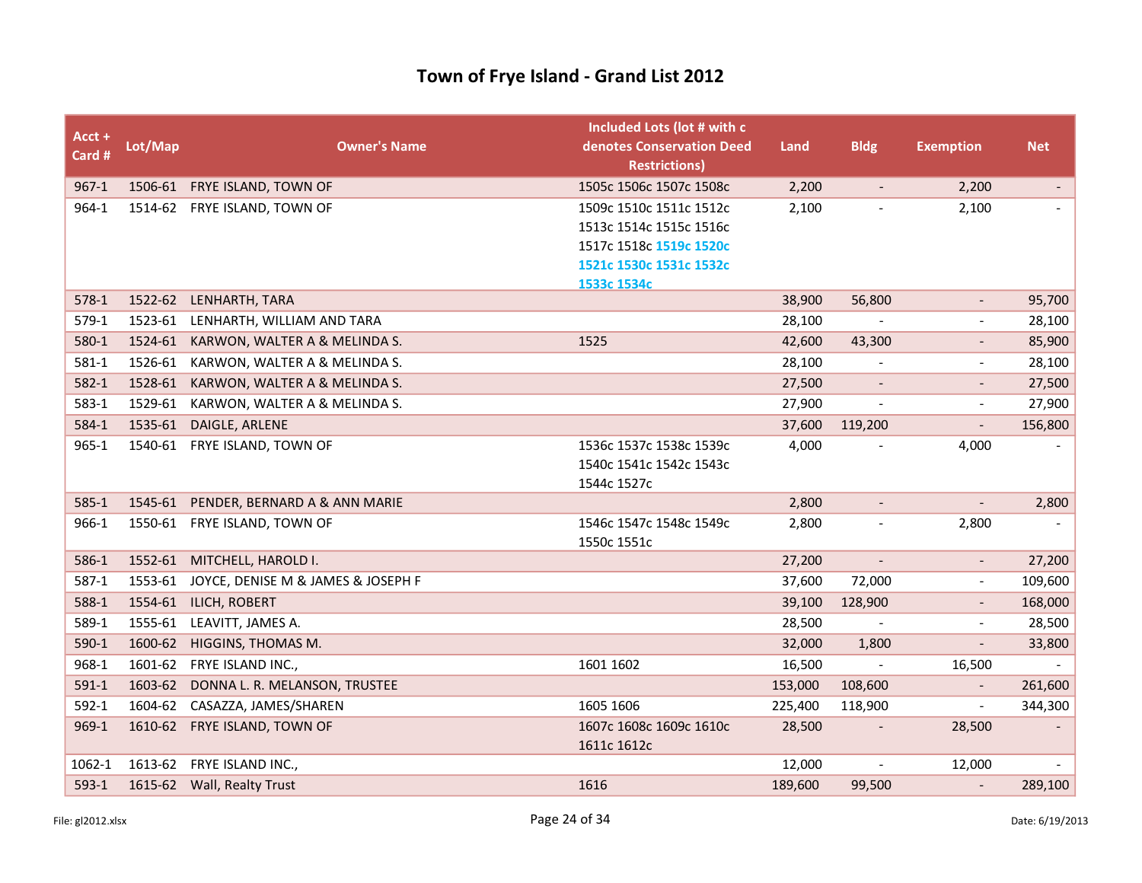| $Acct +$<br>Card # | Lot/Map            | <b>Owner's Name</b>                                            | Included Lots (lot # with c<br>denotes Conservation Deed<br><b>Restrictions)</b>                         | Land             | <b>Bldg</b>              | <b>Exemption</b>         | <b>Net</b>               |
|--------------------|--------------------|----------------------------------------------------------------|----------------------------------------------------------------------------------------------------------|------------------|--------------------------|--------------------------|--------------------------|
| $967 - 1$          |                    | 1506-61 FRYE ISLAND, TOWN OF                                   | 1505c 1506c 1507c 1508c                                                                                  | 2,200            | $\overline{\phantom{a}}$ | 2,200                    | $\overline{\phantom{a}}$ |
| 964-1              |                    | 1514-62 FRYE ISLAND, TOWN OF                                   | 1509c 1510c 1511c 1512c<br>1513c 1514c 1515c 1516c<br>1517c 1518c 1519c 1520c<br>1521c 1530c 1531c 1532c | 2,100            | $\overline{\phantom{a}}$ | 2,100                    |                          |
|                    |                    |                                                                | 1533c 1534c                                                                                              | 38,900           | 56,800                   | $\sim$                   |                          |
| $578-1$<br>579-1   |                    | 1522-62 LENHARTH, TARA                                         |                                                                                                          |                  |                          |                          | 95,700                   |
| 580-1              |                    | 1523-61 LENHARTH, WILLIAM AND TARA                             | 1525                                                                                                     | 28,100<br>42,600 |                          |                          | 28,100                   |
| 581-1              | 1524-61<br>1526-61 | KARWON, WALTER A & MELINDA S.<br>KARWON, WALTER A & MELINDA S. |                                                                                                          | 28,100           | 43,300                   | $\sim$                   | 85,900<br>28,100         |
| $582 - 1$          | 1528-61            | KARWON, WALTER A & MELINDA S.                                  |                                                                                                          | 27,500           |                          |                          | 27,500                   |
| $583-1$            | 1529-61            | KARWON, WALTER A & MELINDA S.                                  |                                                                                                          | 27,900           |                          |                          | 27,900                   |
| 584-1              | 1535-61            | DAIGLE, ARLENE                                                 |                                                                                                          | 37,600           | 119,200                  | $\overline{\phantom{a}}$ | 156,800                  |
| $965 - 1$          |                    | 1540-61 FRYE ISLAND, TOWN OF                                   | 1536c 1537c 1538c 1539c                                                                                  | 4,000            |                          | 4,000                    |                          |
|                    |                    |                                                                | 1540c 1541c 1542c 1543c<br>1544c 1527c                                                                   |                  |                          |                          |                          |
| $585-1$            |                    | 1545-61 PENDER, BERNARD A & ANN MARIE                          |                                                                                                          | 2,800            | $\blacksquare$           | $\mathbb{Z}^{\times}$    | 2,800                    |
| 966-1              |                    | 1550-61 FRYE ISLAND, TOWN OF                                   | 1546c 1547c 1548c 1549c<br>1550c 1551c                                                                   | 2,800            | $\overline{\phantom{a}}$ | 2,800                    |                          |
| 586-1              |                    | 1552-61 MITCHELL, HAROLD I.                                    |                                                                                                          | 27,200           |                          | $\overline{\phantom{a}}$ | 27,200                   |
| 587-1              |                    | 1553-61 JOYCE, DENISE M & JAMES & JOSEPH F                     |                                                                                                          | 37,600           | 72,000                   | $\blacksquare$           | 109,600                  |
| 588-1              |                    | 1554-61 ILICH, ROBERT                                          |                                                                                                          | 39,100           | 128,900                  |                          | 168,000                  |
| 589-1              | 1555-61            | LEAVITT, JAMES A.                                              |                                                                                                          | 28,500           |                          |                          | 28,500                   |
| 590-1              | 1600-62            | HIGGINS, THOMAS M.                                             |                                                                                                          | 32,000           | 1,800                    | $\overline{\phantom{a}}$ | 33,800                   |
| 968-1              | 1601-62            | FRYE ISLAND INC.,                                              | 1601 1602                                                                                                | 16,500           | $\mathcal{L}$            | 16,500                   |                          |
| $591-1$            | 1603-62            | DONNA L. R. MELANSON, TRUSTEE                                  |                                                                                                          | 153,000          | 108,600                  |                          | 261,600                  |
| $592-1$            | 1604-62            | CASAZZA, JAMES/SHAREN                                          | 1605 1606                                                                                                | 225,400          | 118,900                  |                          | 344,300                  |
| 969-1              |                    | 1610-62 FRYE ISLAND, TOWN OF                                   | 1607c 1608c 1609c 1610c<br>1611c 1612c                                                                   | 28,500           |                          | 28,500                   |                          |
| 1062-1             | 1613-62            | FRYE ISLAND INC.,                                              |                                                                                                          | 12,000           | $\overline{\phantom{a}}$ | 12,000                   | $\blacksquare$           |
| $593-1$            |                    | 1615-62 Wall, Realty Trust                                     | 1616                                                                                                     | 189,600          | 99,500                   |                          | 289,100                  |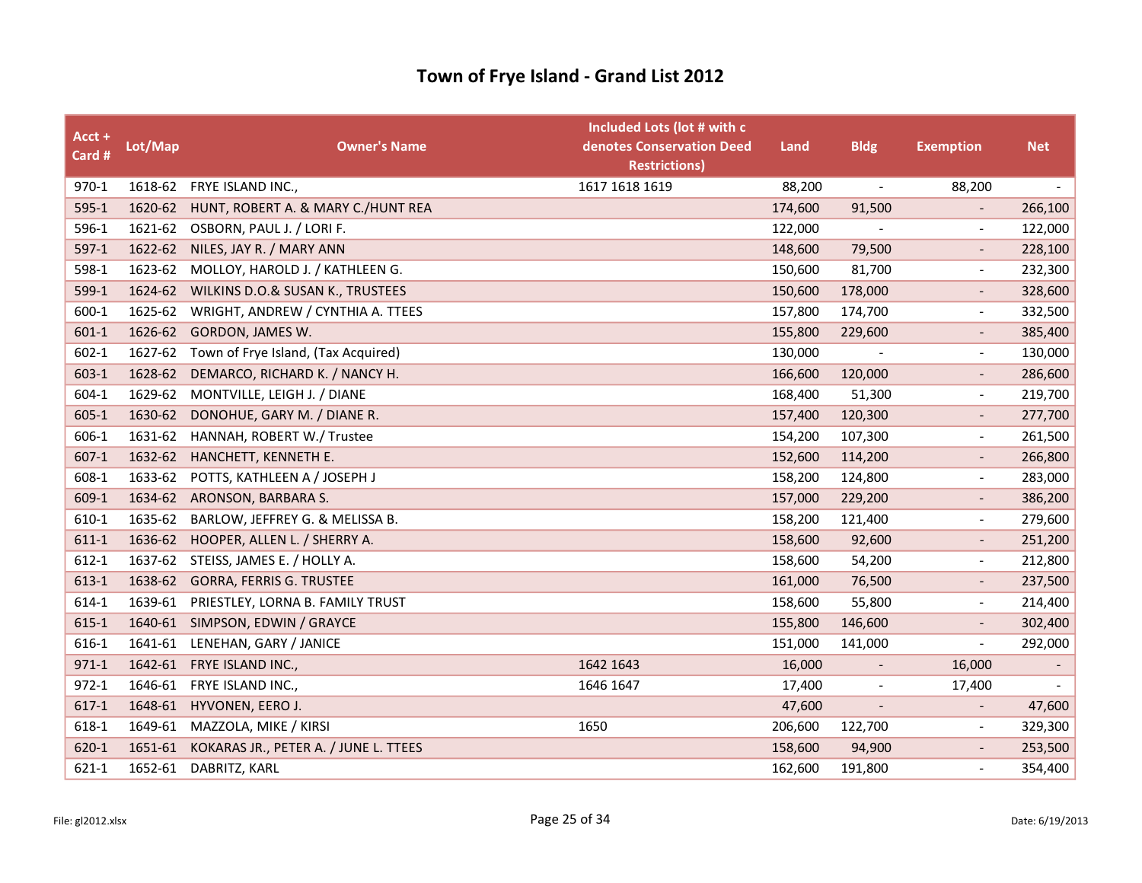| Acct +<br>Card # | Lot/Map | <b>Owner's Name</b>                      | Included Lots (lot # with c<br>denotes Conservation Deed<br><b>Restrictions)</b> | Land    | <b>Bldg</b>              | <b>Exemption</b>         | <b>Net</b>               |
|------------------|---------|------------------------------------------|----------------------------------------------------------------------------------|---------|--------------------------|--------------------------|--------------------------|
| 970-1            |         | 1618-62 FRYE ISLAND INC.,                | 1617 1618 1619                                                                   | 88,200  | $\overline{\phantom{a}}$ | 88,200                   | $\overline{\phantom{a}}$ |
| $595-1$          | 1620-62 | HUNT, ROBERT A. & MARY C./HUNT REA       |                                                                                  | 174,600 | 91,500                   |                          | 266,100                  |
| 596-1            |         | 1621-62 OSBORN, PAUL J. / LORI F.        |                                                                                  | 122,000 |                          | $\overline{\phantom{a}}$ | 122,000                  |
| $597-1$          | 1622-62 | NILES, JAY R. / MARY ANN                 |                                                                                  | 148,600 | 79,500                   | $\overline{\phantom{a}}$ | 228,100                  |
| 598-1            | 1623-62 | MOLLOY, HAROLD J. / KATHLEEN G.          |                                                                                  | 150,600 | 81,700                   | $\overline{\phantom{a}}$ | 232,300                  |
| 599-1            | 1624-62 | WILKINS D.O.& SUSAN K., TRUSTEES         |                                                                                  | 150,600 | 178,000                  |                          | 328,600                  |
| 600-1            | 1625-62 | WRIGHT, ANDREW / CYNTHIA A. TTEES        |                                                                                  | 157,800 | 174,700                  | $\overline{\phantom{a}}$ | 332,500                  |
| $601-1$          | 1626-62 | GORDON, JAMES W.                         |                                                                                  | 155,800 | 229,600                  | $\overline{\phantom{a}}$ | 385,400                  |
| $602 - 1$        | 1627-62 | Town of Frye Island, (Tax Acquired)      |                                                                                  | 130,000 |                          | $\blacksquare$           | 130,000                  |
| $603-1$          | 1628-62 | DEMARCO, RICHARD K. / NANCY H.           |                                                                                  | 166,600 | 120,000                  | $\overline{\phantom{a}}$ | 286,600                  |
| 604-1            | 1629-62 | MONTVILLE, LEIGH J. / DIANE              |                                                                                  | 168,400 | 51,300                   | $\overline{\phantom{a}}$ | 219,700                  |
| $605 - 1$        | 1630-62 | DONOHUE, GARY M. / DIANE R.              |                                                                                  | 157,400 | 120,300                  |                          | 277,700                  |
| 606-1            | 1631-62 | HANNAH, ROBERT W./ Trustee               |                                                                                  | 154,200 | 107,300                  | $\overline{\phantom{a}}$ | 261,500                  |
| $607-1$          | 1632-62 | HANCHETT, KENNETH E.                     |                                                                                  | 152,600 | 114,200                  | $\overline{\phantom{a}}$ | 266,800                  |
| 608-1            | 1633-62 | POTTS, KATHLEEN A / JOSEPH J             |                                                                                  | 158,200 | 124,800                  | $\overline{\phantom{a}}$ | 283,000                  |
| 609-1            | 1634-62 | ARONSON, BARBARA S.                      |                                                                                  | 157,000 | 229,200                  | $\overline{\phantom{a}}$ | 386,200                  |
| 610-1            | 1635-62 | BARLOW, JEFFREY G. & MELISSA B.          |                                                                                  | 158,200 | 121,400                  | $\blacksquare$           | 279,600                  |
| 611-1            | 1636-62 | HOOPER, ALLEN L. / SHERRY A.             |                                                                                  | 158,600 | 92,600                   |                          | 251,200                  |
| 612-1            | 1637-62 | STEISS, JAMES E. / HOLLY A.              |                                                                                  | 158,600 | 54,200                   | $\overline{\phantom{a}}$ | 212,800                  |
| 613-1            | 1638-62 | <b>GORRA, FERRIS G. TRUSTEE</b>          |                                                                                  | 161,000 | 76,500                   | $\overline{\phantom{a}}$ | 237,500                  |
| 614-1            |         | 1639-61 PRIESTLEY, LORNA B. FAMILY TRUST |                                                                                  | 158,600 | 55,800                   | $\overline{\phantom{a}}$ | 214,400                  |
| $615 - 1$        |         | 1640-61 SIMPSON, EDWIN / GRAYCE          |                                                                                  | 155,800 | 146,600                  | $\overline{\phantom{a}}$ | 302,400                  |
| 616-1            | 1641-61 | LENEHAN, GARY / JANICE                   |                                                                                  | 151,000 | 141,000                  | $\overline{\phantom{a}}$ | 292,000                  |
| $971 - 1$        | 1642-61 | FRYE ISLAND INC.,                        | 1642 1643                                                                        | 16,000  |                          | 16,000                   |                          |
| $972 - 1$        | 1646-61 | FRYE ISLAND INC.,                        | 1646 1647                                                                        | 17,400  | $\overline{\phantom{a}}$ | 17,400                   | $\overline{\phantom{a}}$ |
| $617-1$          | 1648-61 | HYVONEN, EERO J.                         |                                                                                  | 47,600  |                          |                          | 47,600                   |
| 618-1            |         | 1649-61 MAZZOLA, MIKE / KIRSI            | 1650                                                                             | 206,600 | 122,700                  | $\overline{\phantom{a}}$ | 329,300                  |
| 620-1            | 1651-61 | KOKARAS JR., PETER A. / JUNE L. TTEES    |                                                                                  | 158,600 | 94,900                   | $\overline{\phantom{a}}$ | 253,500                  |
| $621 - 1$        | 1652-61 | DABRITZ, KARL                            |                                                                                  | 162,600 | 191,800                  | $\overline{\phantom{a}}$ | 354,400                  |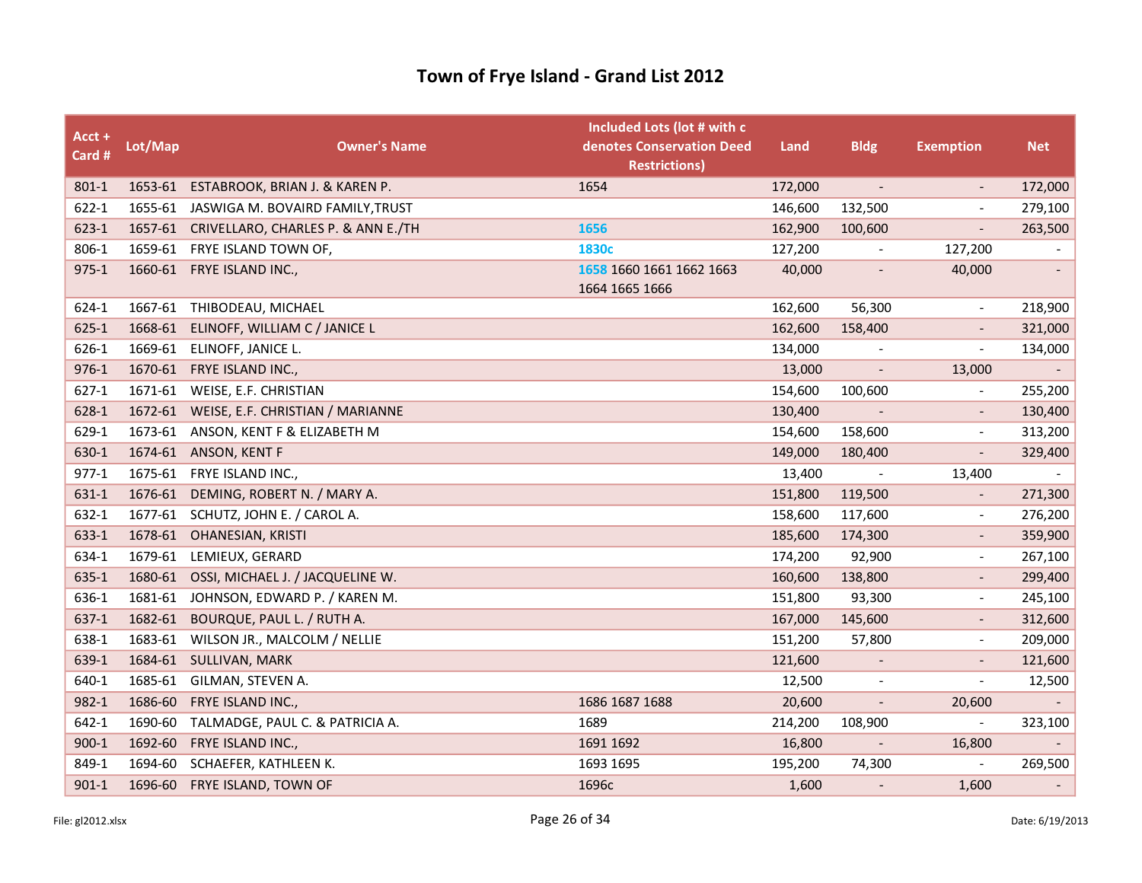| Acct +<br>Card # | Lot/Map | <b>Owner's Name</b>                        | Included Lots (lot # with c<br>denotes Conservation Deed<br><b>Restrictions)</b> | Land    | <b>Bldg</b>                  | <b>Exemption</b>             | <b>Net</b>               |
|------------------|---------|--------------------------------------------|----------------------------------------------------------------------------------|---------|------------------------------|------------------------------|--------------------------|
| 801-1            | 1653-61 | ESTABROOK, BRIAN J. & KAREN P.             | 1654                                                                             | 172,000 | $\overline{\phantom{a}}$     |                              | 172,000                  |
| $622 - 1$        |         | 1655-61 JASWIGA M. BOVAIRD FAMILY, TRUST   |                                                                                  | 146,600 | 132,500                      | $\overline{a}$               | 279,100                  |
| $623-1$          |         | 1657-61 CRIVELLARO, CHARLES P. & ANN E./TH | 1656                                                                             | 162,900 | 100,600                      |                              | 263,500                  |
| 806-1            |         | 1659-61 FRYE ISLAND TOWN OF,               | 1830 <sub>c</sub>                                                                | 127,200 | $\overline{a}$               | 127,200                      |                          |
| $975 - 1$        |         | 1660-61 FRYE ISLAND INC.,                  | 1658 1660 1661 1662 1663<br>1664 1665 1666                                       | 40,000  | $\qquad \qquad \blacksquare$ | 40,000                       | $\overline{\phantom{a}}$ |
| 624-1            |         | 1667-61 THIBODEAU, MICHAEL                 |                                                                                  | 162,600 | 56,300                       | $\overline{\phantom{a}}$     | 218,900                  |
| 625-1            | 1668-61 | ELINOFF, WILLIAM C / JANICE L              |                                                                                  | 162,600 | 158,400                      |                              | 321,000                  |
| 626-1            |         | 1669-61 ELINOFF, JANICE L.                 |                                                                                  | 134,000 |                              | $\overline{a}$               | 134,000                  |
| 976-1            |         | 1670-61 FRYE ISLAND INC.,                  |                                                                                  | 13,000  | $\overline{\phantom{a}}$     | 13,000                       |                          |
| $627 - 1$        | 1671-61 | WEISE, E.F. CHRISTIAN                      |                                                                                  | 154,600 | 100,600                      | $\overline{\phantom{a}}$     | 255,200                  |
| 628-1            | 1672-61 | WEISE, E.F. CHRISTIAN / MARIANNE           |                                                                                  | 130,400 | $\overline{\phantom{a}}$     | $\overline{\phantom{a}}$     | 130,400                  |
| 629-1            | 1673-61 | ANSON, KENT F & ELIZABETH M                |                                                                                  | 154,600 | 158,600                      | $\tilde{\phantom{a}}$        | 313,200                  |
| 630-1            | 1674-61 | <b>ANSON, KENT F</b>                       |                                                                                  | 149,000 | 180,400                      | $\qquad \qquad \blacksquare$ | 329,400                  |
| $977-1$          | 1675-61 | FRYE ISLAND INC.,                          |                                                                                  | 13,400  | $\blacksquare$               | 13,400                       |                          |
| 631-1            | 1676-61 | DEMING, ROBERT N. / MARY A.                |                                                                                  | 151,800 | 119,500                      | $\overline{\phantom{a}}$     | 271,300                  |
| 632-1            | 1677-61 | SCHUTZ, JOHN E. / CAROL A.                 |                                                                                  | 158,600 | 117,600                      | $\tilde{\phantom{a}}$        | 276,200                  |
| 633-1            | 1678-61 | <b>OHANESIAN, KRISTI</b>                   |                                                                                  | 185,600 | 174,300                      | $\qquad \qquad \blacksquare$ | 359,900                  |
| 634-1            | 1679-61 | LEMIEUX, GERARD                            |                                                                                  | 174,200 | 92,900                       | $\overline{a}$               | 267,100                  |
| 635-1            | 1680-61 | OSSI, MICHAEL J. / JACQUELINE W.           |                                                                                  | 160,600 | 138,800                      | $\overline{a}$               | 299,400                  |
| 636-1            | 1681-61 | JOHNSON, EDWARD P. / KAREN M.              |                                                                                  | 151,800 | 93,300                       | $\overline{\phantom{a}}$     | 245,100                  |
| 637-1            | 1682-61 | BOURQUE, PAUL L. / RUTH A.                 |                                                                                  | 167,000 | 145,600                      | $\overline{a}$               | 312,600                  |
| 638-1            | 1683-61 | WILSON JR., MALCOLM / NELLIE               |                                                                                  | 151,200 | 57,800                       | $\overline{\phantom{a}}$     | 209,000                  |
| 639-1            | 1684-61 | SULLIVAN, MARK                             |                                                                                  | 121,600 |                              |                              | 121,600                  |
| 640-1            | 1685-61 | GILMAN, STEVEN A.                          |                                                                                  | 12,500  | $\overline{\phantom{a}}$     | $\overline{\phantom{a}}$     | 12,500                   |
| 982-1            | 1686-60 | FRYE ISLAND INC.,                          | 1686 1687 1688                                                                   | 20,600  | $\overline{\phantom{a}}$     | 20,600                       |                          |
| 642-1            | 1690-60 | TALMADGE, PAUL C. & PATRICIA A.            | 1689                                                                             | 214,200 | 108,900                      | $\overline{\phantom{a}}$     | 323,100                  |
| $900 - 1$        | 1692-60 | FRYE ISLAND INC.,                          | 1691 1692                                                                        | 16,800  | $\overline{\phantom{a}}$     | 16,800                       |                          |
| 849-1            | 1694-60 | SCHAEFER, KATHLEEN K.                      | 1693 1695                                                                        | 195,200 | 74,300                       |                              | 269,500                  |
| $901-1$          | 1696-60 | FRYE ISLAND, TOWN OF                       | 1696c                                                                            | 1,600   |                              | 1,600                        | $\overline{\phantom{a}}$ |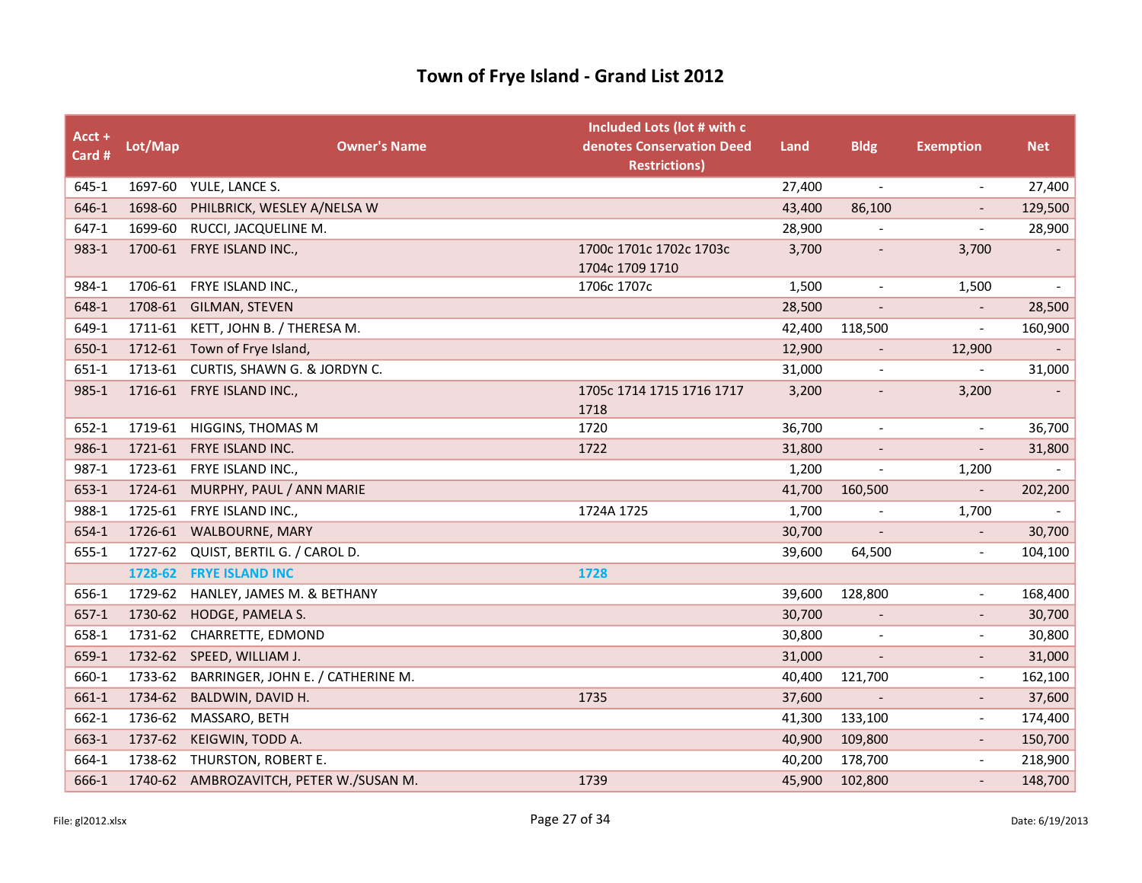| Acct +<br>Card # | Lot/Map | <b>Owner's Name</b>                     | Included Lots (lot # with c<br>denotes Conservation Deed<br><b>Restrictions)</b> | Land   | <b>Bldg</b>              | <b>Exemption</b>         | <b>Net</b>               |
|------------------|---------|-----------------------------------------|----------------------------------------------------------------------------------|--------|--------------------------|--------------------------|--------------------------|
| 645-1            |         | 1697-60 YULE, LANCE S.                  |                                                                                  | 27,400 | $\overline{\phantom{a}}$ | $\overline{\phantom{a}}$ | 27,400                   |
| 646-1            | 1698-60 | PHILBRICK, WESLEY A/NELSA W             |                                                                                  | 43,400 | 86,100                   | $\qquad \qquad -$        | 129,500                  |
| 647-1            |         | 1699-60 RUCCI, JACQUELINE M.            |                                                                                  | 28,900 |                          | $\overline{\phantom{a}}$ | 28,900                   |
| 983-1            |         | 1700-61 FRYE ISLAND INC.,               | 1700c 1701c 1702c 1703c<br>1704c 1709 1710                                       | 3,700  |                          | 3,700                    |                          |
| 984-1            |         | 1706-61 FRYE ISLAND INC.,               | 1706c 1707c                                                                      | 1,500  | $\overline{\phantom{a}}$ | 1,500                    | $\overline{\phantom{a}}$ |
| 648-1            |         | 1708-61 GILMAN, STEVEN                  |                                                                                  | 28,500 | $\overline{\phantom{a}}$ | $\overline{\phantom{a}}$ | 28,500                   |
| 649-1            |         | 1711-61 KETT, JOHN B. / THERESA M.      |                                                                                  | 42,400 | 118,500                  | $\overline{\phantom{a}}$ | 160,900                  |
| 650-1            |         | 1712-61 Town of Frye Island,            |                                                                                  | 12,900 | $\overline{\phantom{a}}$ | 12,900                   |                          |
| 651-1            |         | 1713-61 CURTIS, SHAWN G. & JORDYN C.    |                                                                                  | 31,000 | $\blacksquare$           | $\overline{a}$           | 31,000                   |
| 985-1            |         | 1716-61 FRYE ISLAND INC.,               | 1705c 1714 1715 1716 1717<br>1718                                                | 3,200  | $\overline{\phantom{a}}$ | 3,200                    |                          |
| 652-1            |         | 1719-61 HIGGINS, THOMAS M               | 1720                                                                             | 36,700 | $\blacksquare$           | $\overline{\phantom{a}}$ | 36,700                   |
| 986-1            | 1721-61 | FRYE ISLAND INC.                        | 1722                                                                             | 31,800 |                          |                          | 31,800                   |
| 987-1            |         | 1723-61 FRYE ISLAND INC.,               |                                                                                  | 1,200  | $\overline{\phantom{a}}$ | 1,200                    |                          |
| 653-1            | 1724-61 | MURPHY, PAUL / ANN MARIE                |                                                                                  | 41,700 | 160,500                  | $\overline{\phantom{a}}$ | 202,200                  |
| 988-1            |         | 1725-61 FRYE ISLAND INC.,               | 1724A 1725                                                                       | 1,700  |                          | 1,700                    |                          |
| 654-1            |         | 1726-61 WALBOURNE, MARY                 |                                                                                  | 30,700 | $\overline{\phantom{a}}$ | $\overline{\phantom{a}}$ | 30,700                   |
| 655-1            | 1727-62 | QUIST, BERTIL G. / CAROL D.             |                                                                                  | 39,600 | 64,500                   | $\overline{\phantom{a}}$ | 104,100                  |
|                  |         | 1728-62 FRYE ISLAND INC                 | 1728                                                                             |        |                          |                          |                          |
| 656-1            | 1729-62 | HANLEY, JAMES M. & BETHANY              |                                                                                  | 39,600 | 128,800                  | $\tilde{\phantom{a}}$    | 168,400                  |
| $657-1$          | 1730-62 | HODGE, PAMELA S.                        |                                                                                  | 30,700 | $\overline{\phantom{a}}$ | $\overline{\phantom{a}}$ | 30,700                   |
| 658-1            | 1731-62 | CHARRETTE, EDMOND                       |                                                                                  | 30,800 |                          |                          | 30,800                   |
| 659-1            |         | 1732-62 SPEED, WILLIAM J.               |                                                                                  | 31,000 |                          |                          | 31,000                   |
| 660-1            | 1733-62 | BARRINGER, JOHN E. / CATHERINE M.       |                                                                                  | 40,400 | 121,700                  | $\overline{\phantom{a}}$ | 162,100                  |
| 661-1            | 1734-62 | BALDWIN, DAVID H.                       | 1735                                                                             | 37,600 | $\overline{\phantom{a}}$ | $\overline{a}$           | 37,600                   |
| 662-1            |         | 1736-62 MASSARO, BETH                   |                                                                                  | 41,300 | 133,100                  | $\overline{a}$           | 174,400                  |
| 663-1            | 1737-62 | KEIGWIN, TODD A.                        |                                                                                  | 40,900 | 109,800                  | $\overline{\phantom{a}}$ | 150,700                  |
| 664-1            |         | 1738-62 THURSTON, ROBERT E.             |                                                                                  | 40,200 | 178,700                  | $\overline{\phantom{a}}$ | 218,900                  |
| 666-1            |         | 1740-62 AMBROZAVITCH, PETER W./SUSAN M. | 1739                                                                             | 45,900 | 102,800                  |                          | 148,700                  |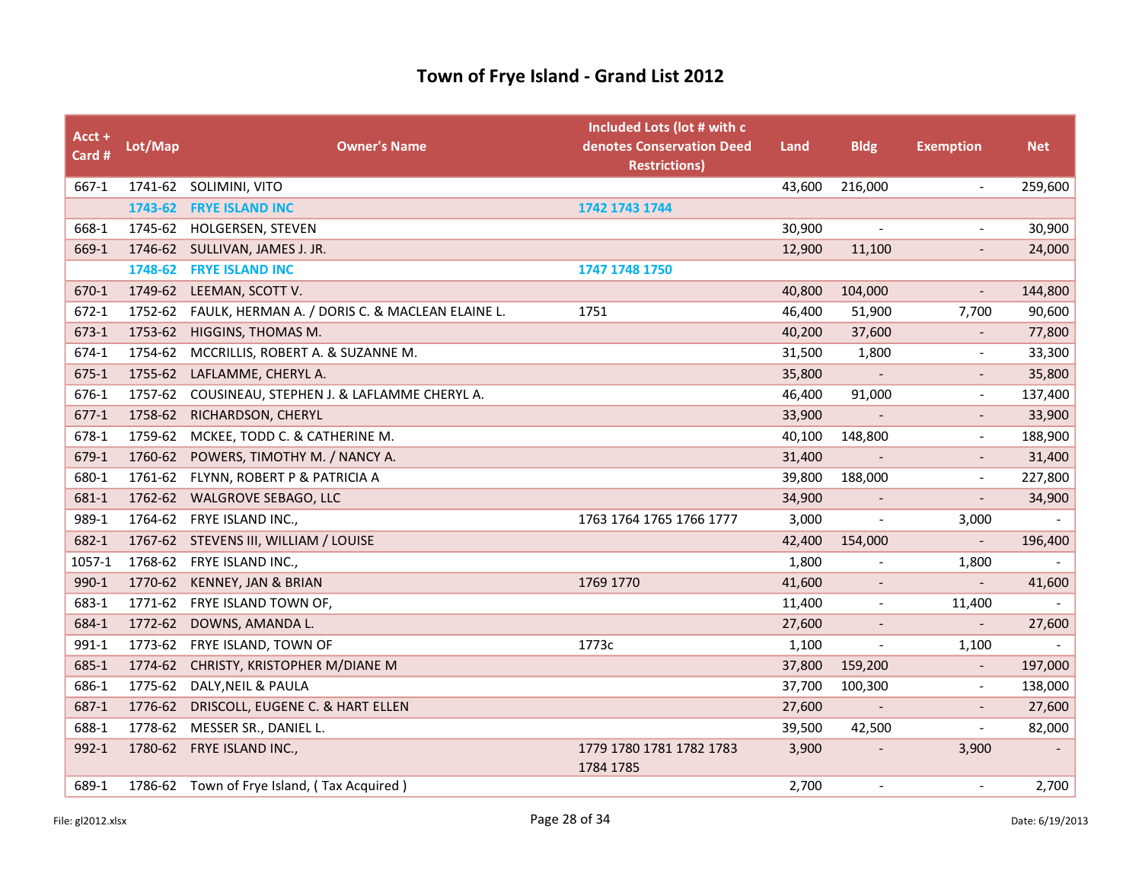| Acct +<br>Card # | Lot/Map | <b>Owner's Name</b>                                | Included Lots (lot # with c<br>denotes Conservation Deed<br><b>Restrictions)</b> | Land   | <b>Bldg</b>              | <b>Exemption</b>             | <b>Net</b> |
|------------------|---------|----------------------------------------------------|----------------------------------------------------------------------------------|--------|--------------------------|------------------------------|------------|
| 667-1            |         | 1741-62 SOLIMINI, VITO                             |                                                                                  | 43,600 | 216,000                  |                              | 259,600    |
|                  | 1743-62 | <b>FRYE ISLAND INC</b>                             | 1742 1743 1744                                                                   |        |                          |                              |            |
| 668-1            | 1745-62 | HOLGERSEN, STEVEN                                  |                                                                                  | 30,900 | $\overline{\phantom{a}}$ | $\overline{a}$               | 30,900     |
| 669-1            |         | 1746-62 SULLIVAN, JAMES J. JR.                     |                                                                                  | 12,900 | 11,100                   |                              | 24,000     |
|                  | 1748-62 | <b>FRYE ISLAND INC</b>                             | 1747 1748 1750                                                                   |        |                          |                              |            |
| 670-1            | 1749-62 | LEEMAN, SCOTT V.                                   |                                                                                  | 40,800 | 104,000                  | $\overline{\phantom{a}}$     | 144,800    |
| 672-1            | 1752-62 | FAULK, HERMAN A. / DORIS C. & MACLEAN ELAINE L.    | 1751                                                                             | 46,400 | 51,900                   | 7,700                        | 90,600     |
| 673-1            | 1753-62 | <b>HIGGINS, THOMAS M.</b>                          |                                                                                  | 40,200 | 37,600                   |                              | 77,800     |
| 674-1            | 1754-62 | MCCRILLIS, ROBERT A. & SUZANNE M.                  |                                                                                  | 31,500 | 1,800                    | $\overline{\phantom{a}}$     | 33,300     |
| 675-1            | 1755-62 | LAFLAMME, CHERYL A.                                |                                                                                  | 35,800 | $\overline{\phantom{a}}$ | $\overline{\phantom{0}}$     | 35,800     |
| 676-1            |         | 1757-62 COUSINEAU, STEPHEN J. & LAFLAMME CHERYL A. |                                                                                  | 46,400 | 91,000                   | $\overline{\phantom{a}}$     | 137,400    |
| $677-1$          | 1758-62 | RICHARDSON, CHERYL                                 |                                                                                  | 33,900 |                          |                              | 33,900     |
| 678-1            | 1759-62 | MCKEE, TODD C. & CATHERINE M.                      |                                                                                  | 40,100 | 148,800                  | $\tilde{\phantom{a}}$        | 188,900    |
| 679-1            | 1760-62 | POWERS, TIMOTHY M. / NANCY A.                      |                                                                                  | 31,400 | $\overline{\phantom{a}}$ |                              | 31,400     |
| 680-1            |         | 1761-62 FLYNN, ROBERT P & PATRICIA A               |                                                                                  | 39,800 | 188,000                  | $\qquad \qquad \blacksquare$ | 227,800    |
| 681-1            | 1762-62 | <b>WALGROVE SEBAGO, LLC</b>                        |                                                                                  | 34,900 |                          |                              | 34,900     |
| 989-1            |         | 1764-62 FRYE ISLAND INC.,                          | 1763 1764 1765 1766 1777                                                         | 3,000  | $\overline{\phantom{a}}$ | 3,000                        | $\sim$     |
| 682-1            |         | 1767-62 STEVENS III, WILLIAM / LOUISE              |                                                                                  | 42,400 | 154,000                  | $\overline{\phantom{a}}$     | 196,400    |
| 1057-1           |         | 1768-62 FRYE ISLAND INC.,                          |                                                                                  | 1,800  |                          | 1,800                        |            |
| 990-1            | 1770-62 | <b>KENNEY, JAN &amp; BRIAN</b>                     | 1769 1770                                                                        | 41,600 | $\overline{\phantom{a}}$ | $\overline{\phantom{a}}$     | 41,600     |
| 683-1            | 1771-62 | FRYE ISLAND TOWN OF,                               |                                                                                  | 11,400 | $\overline{\phantom{a}}$ | 11,400                       |            |
| 684-1            | 1772-62 | DOWNS, AMANDA L.                                   |                                                                                  | 27,600 |                          | $\overline{\phantom{a}}$     | 27,600     |
| 991-1            | 1773-62 | FRYE ISLAND, TOWN OF                               | 1773c                                                                            | 1,100  | $\overline{\phantom{a}}$ | 1,100                        | $\sim$     |
| 685-1            | 1774-62 | CHRISTY, KRISTOPHER M/DIANE M                      |                                                                                  | 37,800 | 159,200                  | $\overline{\phantom{a}}$     | 197,000    |
| 686-1            | 1775-62 | DALY, NEIL & PAULA                                 |                                                                                  | 37,700 | 100,300                  | $\overline{\phantom{a}}$     | 138,000    |
| 687-1            | 1776-62 | DRISCOLL, EUGENE C. & HART ELLEN                   |                                                                                  | 27,600 |                          |                              | 27,600     |
| 688-1            | 1778-62 | MESSER SR., DANIEL L.                              |                                                                                  | 39,500 | 42,500                   |                              | 82,000     |
| 992-1            |         | 1780-62 FRYE ISLAND INC.,                          | 1779 1780 1781 1782 1783<br>1784 1785                                            | 3,900  |                          | 3,900                        |            |
| 689-1            |         | 1786-62 Town of Frye Island, (Tax Acquired)        |                                                                                  | 2,700  | $\overline{a}$           | $\blacksquare$               | 2,700      |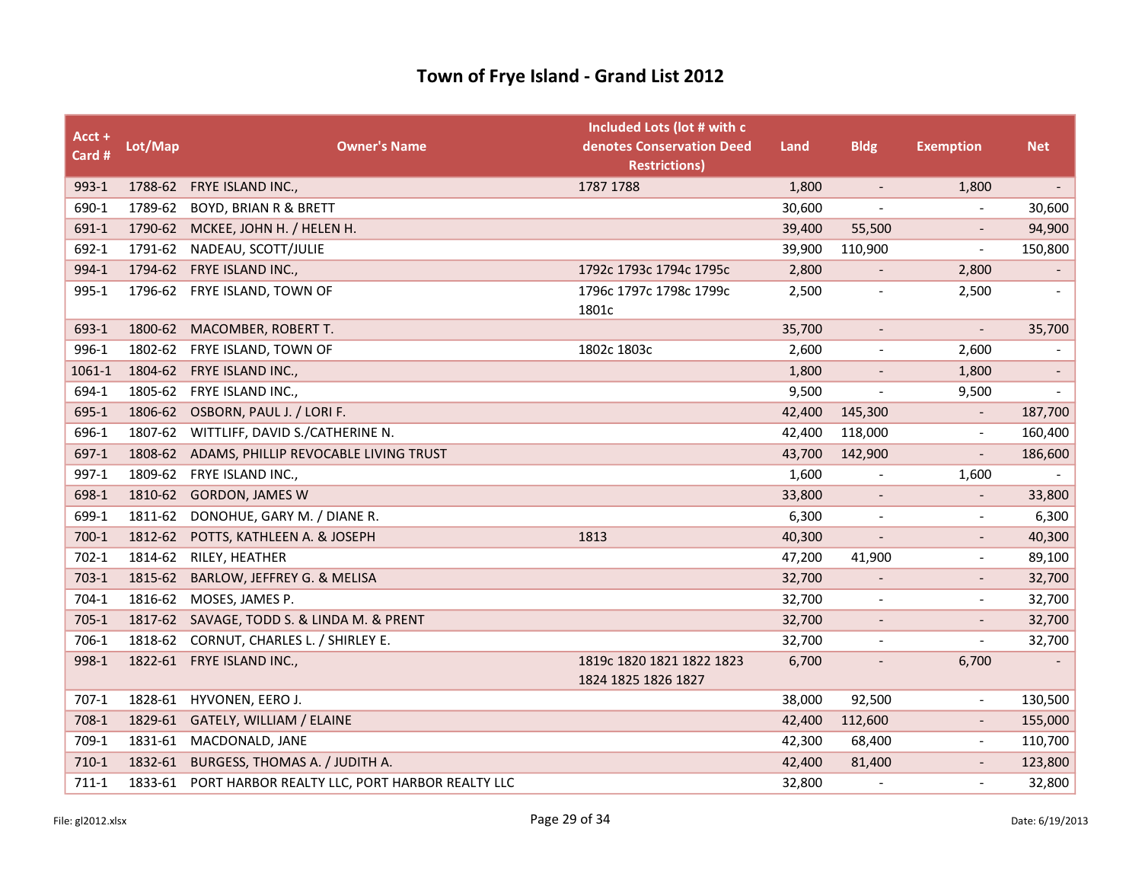| Acct +<br>Card # | Lot/Map | <b>Owner's Name</b>                            | Included Lots (lot # with c<br>denotes Conservation Deed<br><b>Restrictions)</b> | Land   | <b>Bldg</b>              | <b>Exemption</b>             | <b>Net</b>               |
|------------------|---------|------------------------------------------------|----------------------------------------------------------------------------------|--------|--------------------------|------------------------------|--------------------------|
| 993-1            |         | 1788-62 FRYE ISLAND INC.,                      | 1787 1788                                                                        | 1,800  | $\overline{\phantom{a}}$ | 1,800                        | $\overline{\phantom{a}}$ |
| 690-1            | 1789-62 | <b>BOYD, BRIAN R &amp; BRETT</b>               |                                                                                  | 30,600 |                          |                              | 30,600                   |
| 691-1            |         | 1790-62 MCKEE, JOHN H. / HELEN H.              |                                                                                  | 39,400 | 55,500                   |                              | 94,900                   |
| 692-1            | 1791-62 | NADEAU, SCOTT/JULIE                            |                                                                                  | 39,900 | 110,900                  | $\overline{\phantom{a}}$     | 150,800                  |
| 994-1            | 1794-62 | FRYE ISLAND INC.,                              | 1792c 1793c 1794c 1795c                                                          | 2,800  | $\overline{\phantom{a}}$ | 2,800                        |                          |
| 995-1            |         | 1796-62 FRYE ISLAND, TOWN OF                   | 1796c 1797c 1798c 1799c<br>1801c                                                 | 2,500  |                          | 2,500                        |                          |
| 693-1            | 1800-62 | MACOMBER, ROBERT T.                            |                                                                                  | 35,700 |                          | $\overline{\phantom{a}}$     | 35,700                   |
| 996-1            |         | 1802-62 FRYE ISLAND, TOWN OF                   | 1802c 1803c                                                                      | 2,600  | $\overline{\phantom{a}}$ | 2,600                        | $\overline{\phantom{a}}$ |
| 1061-1           | 1804-62 | FRYE ISLAND INC.,                              |                                                                                  | 1,800  | $\overline{\phantom{a}}$ | 1,800                        | $\overline{\phantom{a}}$ |
| 694-1            |         | 1805-62 FRYE ISLAND INC.,                      |                                                                                  | 9,500  | $\overline{\phantom{a}}$ | 9,500                        |                          |
| 695-1            | 1806-62 | OSBORN, PAUL J. / LORI F.                      |                                                                                  | 42,400 | 145,300                  |                              | 187,700                  |
| 696-1            | 1807-62 | WITTLIFF, DAVID S./CATHERINE N.                |                                                                                  | 42,400 | 118,000                  | $\overline{\phantom{0}}$     | 160,400                  |
| 697-1            | 1808-62 | ADAMS, PHILLIP REVOCABLE LIVING TRUST          |                                                                                  | 43,700 | 142,900                  | $\overline{\phantom{a}}$     | 186,600                  |
| 997-1            |         | 1809-62 FRYE ISLAND INC.,                      |                                                                                  | 1,600  |                          | 1,600                        |                          |
| 698-1            | 1810-62 | <b>GORDON, JAMES W</b>                         |                                                                                  | 33,800 | $\overline{\phantom{a}}$ | $\qquad \qquad \blacksquare$ | 33,800                   |
| 699-1            | 1811-62 | DONOHUE, GARY M. / DIANE R.                    |                                                                                  | 6,300  | $\overline{\phantom{a}}$ | $\blacksquare$               | 6,300                    |
| $700-1$          | 1812-62 | POTTS, KATHLEEN A. & JOSEPH                    | 1813                                                                             | 40,300 |                          |                              | 40,300                   |
| $702-1$          | 1814-62 | RILEY, HEATHER                                 |                                                                                  | 47,200 | 41,900                   | $\overline{\phantom{a}}$     | 89,100                   |
| $703-1$          | 1815-62 | BARLOW, JEFFREY G. & MELISA                    |                                                                                  | 32,700 | $\overline{\phantom{a}}$ | $\overline{\phantom{a}}$     | 32,700                   |
| 704-1            | 1816-62 | MOSES, JAMES P.                                |                                                                                  | 32,700 |                          |                              | 32,700                   |
| $705-1$          | 1817-62 | SAVAGE, TODD S. & LINDA M. & PRENT             |                                                                                  | 32,700 | $\overline{\phantom{a}}$ |                              | 32,700                   |
| 706-1            | 1818-62 | CORNUT, CHARLES L. / SHIRLEY E.                |                                                                                  | 32,700 | $\overline{\phantom{a}}$ | $\overline{\phantom{a}}$     | 32,700                   |
| 998-1            | 1822-61 | FRYE ISLAND INC.,                              | 1819c 1820 1821 1822 1823<br>1824 1825 1826 1827                                 | 6,700  | $\overline{\phantom{a}}$ | 6,700                        |                          |
| $707-1$          |         | 1828-61 HYVONEN, EERO J.                       |                                                                                  | 38,000 | 92,500                   | $\overline{\phantom{a}}$     | 130,500                  |
| 708-1            | 1829-61 | GATELY, WILLIAM / ELAINE                       |                                                                                  | 42,400 | 112,600                  |                              | 155,000                  |
| 709-1            | 1831-61 | MACDONALD, JANE                                |                                                                                  | 42,300 | 68,400                   | $\overline{\phantom{a}}$     | 110,700                  |
| $710-1$          | 1832-61 | BURGESS, THOMAS A. / JUDITH A.                 |                                                                                  | 42,400 | 81,400                   |                              | 123,800                  |
| $711-1$          | 1833-61 | PORT HARBOR REALTY LLC, PORT HARBOR REALTY LLC |                                                                                  | 32,800 |                          |                              | 32,800                   |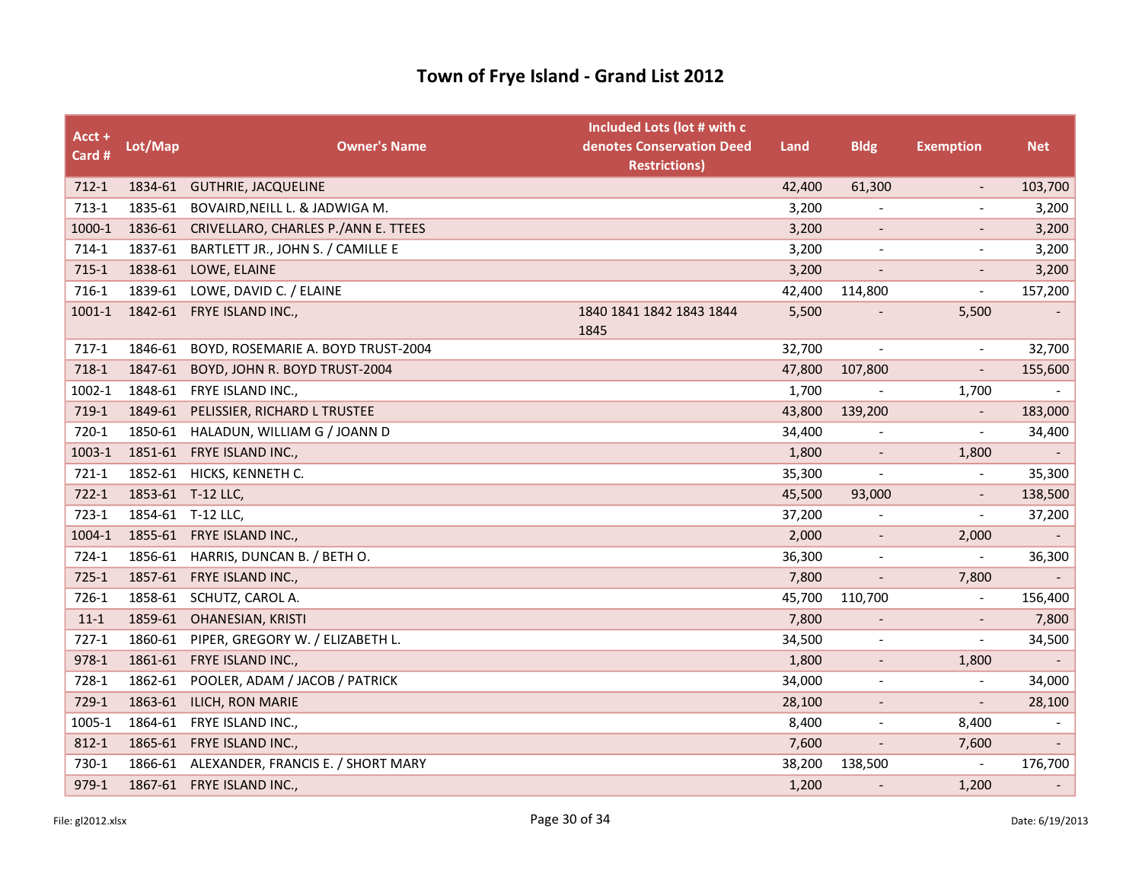| Acct +<br>Card # | Lot/Map | <b>Owner's Name</b>                       | Included Lots (lot # with c<br>denotes Conservation Deed<br><b>Restrictions)</b> | Land   | <b>Bldg</b>              | <b>Exemption</b>             | <b>Net</b>               |
|------------------|---------|-------------------------------------------|----------------------------------------------------------------------------------|--------|--------------------------|------------------------------|--------------------------|
| $712-1$          | 1834-61 | <b>GUTHRIE, JACQUELINE</b>                |                                                                                  | 42,400 | 61,300                   |                              | 103,700                  |
| $713-1$          | 1835-61 | BOVAIRD, NEILL L. & JADWIGA M.            |                                                                                  | 3,200  |                          | $\overline{\phantom{a}}$     | 3,200                    |
| 1000-1           | 1836-61 | CRIVELLARO, CHARLES P./ANN E. TTEES       |                                                                                  | 3,200  |                          |                              | 3,200                    |
| 714-1            |         | 1837-61 BARTLETT JR., JOHN S. / CAMILLE E |                                                                                  | 3,200  |                          | $\qquad \qquad \blacksquare$ | 3,200                    |
| $715-1$          | 1838-61 | LOWE, ELAINE                              |                                                                                  | 3,200  | $\overline{\phantom{a}}$ | $\overline{\phantom{a}}$     | 3,200                    |
| 716-1            | 1839-61 | LOWE, DAVID C. / ELAINE                   |                                                                                  | 42,400 | 114,800                  | $\overline{\phantom{a}}$     | 157,200                  |
| 1001-1           |         | 1842-61 FRYE ISLAND INC.,                 | 1840 1841 1842 1843 1844<br>1845                                                 | 5,500  |                          | 5,500                        |                          |
| $717-1$          | 1846-61 | BOYD, ROSEMARIE A. BOYD TRUST-2004        |                                                                                  | 32,700 |                          | $\overline{\phantom{a}}$     | 32,700                   |
| 718-1            | 1847-61 | BOYD, JOHN R. BOYD TRUST-2004             |                                                                                  | 47,800 | 107,800                  |                              | 155,600                  |
| 1002-1           | 1848-61 | FRYE ISLAND INC.,                         |                                                                                  | 1,700  | $\overline{a}$           | 1,700                        |                          |
| $719-1$          | 1849-61 | PELISSIER, RICHARD L TRUSTEE              |                                                                                  | 43,800 | 139,200                  |                              | 183,000                  |
| 720-1            | 1850-61 | HALADUN, WILLIAM G / JOANN D              |                                                                                  | 34,400 |                          |                              | 34,400                   |
| 1003-1           |         | 1851-61 FRYE ISLAND INC.,                 |                                                                                  | 1,800  | $\overline{\phantom{a}}$ | 1,800                        |                          |
| $721-1$          | 1852-61 | HICKS, KENNETH C.                         |                                                                                  | 35,300 | $\sim$                   |                              | 35,300                   |
| 722-1            |         | 1853-61 T-12 LLC,                         |                                                                                  | 45,500 | 93,000                   |                              | 138,500                  |
| $723-1$          | 1854-61 | T-12 LLC,                                 |                                                                                  | 37,200 | $\overline{\phantom{a}}$ | $\overline{\phantom{a}}$     | 37,200                   |
| 1004-1           | 1855-61 | FRYE ISLAND INC.,                         |                                                                                  | 2,000  | $\overline{\phantom{a}}$ | 2,000                        | $\overline{\phantom{a}}$ |
| $724-1$          |         | 1856-61 HARRIS, DUNCAN B. / BETH O.       |                                                                                  | 36,300 |                          | $\overline{\phantom{a}}$     | 36,300                   |
| $725-1$          |         | 1857-61 FRYE ISLAND INC.,                 |                                                                                  | 7,800  | $\overline{\phantom{a}}$ | 7,800                        |                          |
| 726-1            | 1858-61 | SCHUTZ, CAROL A.                          |                                                                                  | 45,700 | 110,700                  | $\overline{\phantom{a}}$     | 156,400                  |
| $11-1$           | 1859-61 | OHANESIAN, KRISTI                         |                                                                                  | 7,800  |                          |                              | 7,800                    |
| $727-1$          | 1860-61 | PIPER, GREGORY W. / ELIZABETH L.          |                                                                                  | 34,500 |                          | $\overline{\phantom{a}}$     | 34,500                   |
| 978-1            | 1861-61 | FRYE ISLAND INC.,                         |                                                                                  | 1,800  | $\overline{\phantom{a}}$ | 1,800                        | $\overline{\phantom{a}}$ |
| 728-1            | 1862-61 | POOLER, ADAM / JACOB / PATRICK            |                                                                                  | 34,000 | $\overline{\phantom{a}}$ | $\overline{\phantom{a}}$     | 34,000                   |
| $729-1$          | 1863-61 | ILICH, RON MARIE                          |                                                                                  | 28,100 |                          | $\overline{\phantom{a}}$     | 28,100                   |
| 1005-1           | 1864-61 | FRYE ISLAND INC.,                         |                                                                                  | 8,400  | $\overline{\phantom{a}}$ | 8,400                        |                          |
| $812 - 1$        |         | 1865-61 FRYE ISLAND INC.,                 |                                                                                  | 7,600  | $\overline{\phantom{a}}$ | 7,600                        |                          |
| 730-1            | 1866-61 | ALEXANDER, FRANCIS E. / SHORT MARY        |                                                                                  | 38,200 | 138,500                  |                              | 176,700                  |
| 979-1            |         | 1867-61 FRYE ISLAND INC.,                 |                                                                                  | 1,200  |                          | 1,200                        | $\overline{\phantom{0}}$ |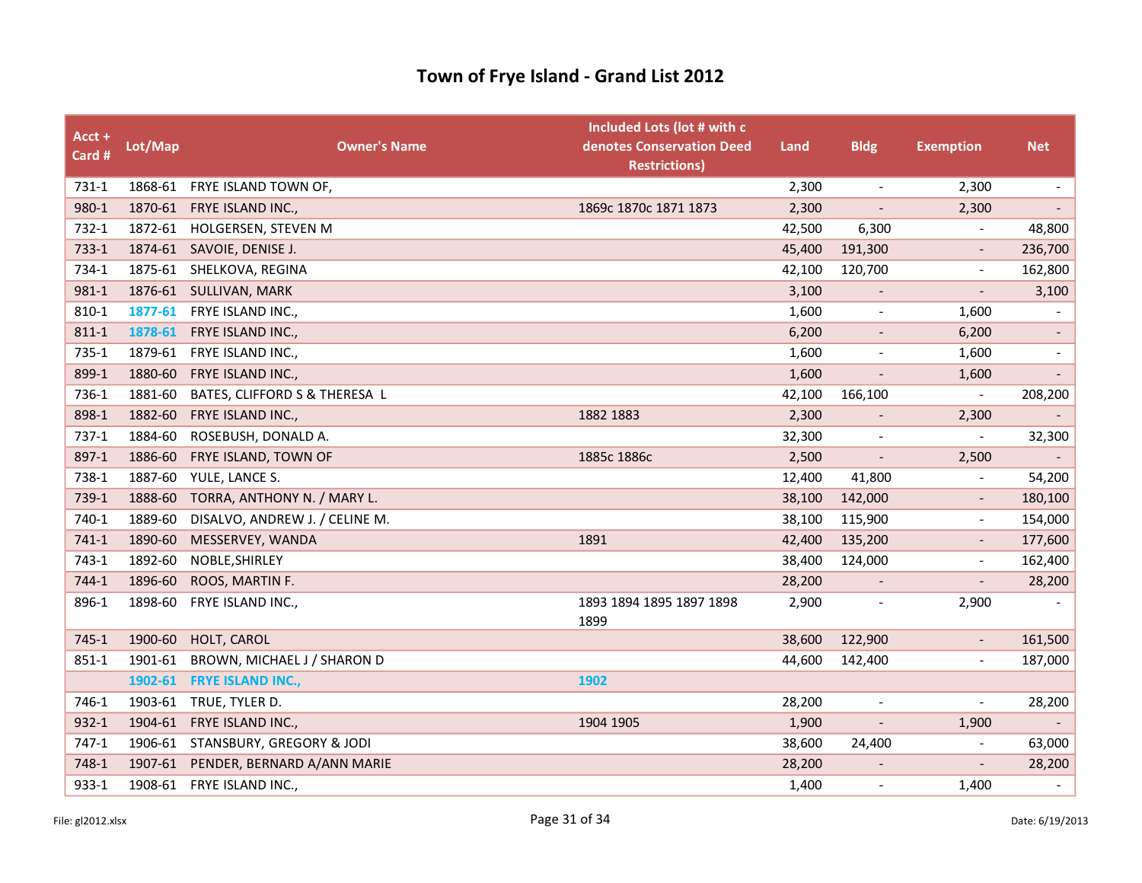| $Acct +$<br>Card # | Lot/Map | <b>Owner's Name</b>            | Included Lots (lot # with c<br>denotes Conservation Deed<br><b>Restrictions)</b> | Land   | <b>Bldg</b>              | <b>Exemption</b>         | <b>Net</b>               |
|--------------------|---------|--------------------------------|----------------------------------------------------------------------------------|--------|--------------------------|--------------------------|--------------------------|
| 731-1              |         | 1868-61 FRYE ISLAND TOWN OF,   |                                                                                  | 2,300  | $\overline{\phantom{a}}$ | 2,300                    | $\overline{\phantom{a}}$ |
| 980-1              |         | 1870-61 FRYE ISLAND INC.,      | 1869c 1870c 1871 1873                                                            | 2,300  | $\blacksquare$           | 2,300                    | $\overline{\phantom{a}}$ |
| 732-1              | 1872-61 | HOLGERSEN, STEVEN M            |                                                                                  | 42,500 | 6,300                    |                          | 48,800                   |
| 733-1              |         | 1874-61 SAVOIE, DENISE J.      |                                                                                  | 45,400 | 191,300                  |                          | 236,700                  |
| 734-1              | 1875-61 | SHELKOVA, REGINA               |                                                                                  | 42,100 | 120,700                  | $\overline{\phantom{a}}$ | 162,800                  |
| 981-1              | 1876-61 | SULLIVAN, MARK                 |                                                                                  | 3,100  | $\overline{\phantom{a}}$ |                          | 3,100                    |
| 810-1              | 1877-61 | FRYE ISLAND INC.,              |                                                                                  | 1,600  | $\overline{\phantom{a}}$ | 1,600                    |                          |
| 811-1              | 1878-61 | FRYE ISLAND INC.,              |                                                                                  | 6,200  | $\overline{\phantom{a}}$ | 6,200                    | $\overline{\phantom{a}}$ |
| 735-1              | 1879-61 | FRYE ISLAND INC.,              |                                                                                  | 1,600  | $\overline{\phantom{a}}$ | 1,600                    | $\overline{\phantom{a}}$ |
| 899-1              | 1880-60 | FRYE ISLAND INC.,              |                                                                                  | 1,600  | $\overline{\phantom{a}}$ | 1,600                    | $\overline{\phantom{a}}$ |
| 736-1              | 1881-60 | BATES, CLIFFORD S & THERESA L  |                                                                                  | 42,100 | 166,100                  | $\overline{\phantom{a}}$ | 208,200                  |
| 898-1              | 1882-60 | FRYE ISLAND INC.,              | 1882 1883                                                                        | 2,300  |                          | 2,300                    |                          |
| 737-1              | 1884-60 | ROSEBUSH, DONALD A.            |                                                                                  | 32,300 | $\blacksquare$           |                          | 32,300                   |
| 897-1              | 1886-60 | FRYE ISLAND, TOWN OF           | 1885c 1886c                                                                      | 2,500  | $\overline{a}$           | 2,500                    |                          |
| 738-1              | 1887-60 | YULE, LANCE S.                 |                                                                                  | 12,400 | 41,800                   |                          | 54,200                   |
| 739-1              | 1888-60 | TORRA, ANTHONY N. / MARY L.    |                                                                                  | 38,100 | 142,000                  | $\overline{\phantom{a}}$ | 180,100                  |
| 740-1              | 1889-60 | DISALVO, ANDREW J. / CELINE M. |                                                                                  | 38,100 | 115,900                  |                          | 154,000                  |
| $741-1$            | 1890-60 | MESSERVEY, WANDA               | 1891                                                                             | 42,400 | 135,200                  |                          | 177,600                  |
| 743-1              | 1892-60 | NOBLE, SHIRLEY                 |                                                                                  | 38,400 | 124,000                  |                          | 162,400                  |
| 744-1              | 1896-60 | ROOS, MARTIN F.                |                                                                                  | 28,200 | $\overline{\phantom{a}}$ | $\overline{\phantom{a}}$ | 28,200                   |
| 896-1              | 1898-60 | FRYE ISLAND INC.,              | 1893 1894 1895 1897 1898<br>1899                                                 | 2,900  |                          | 2,900                    |                          |
| $745 - 1$          | 1900-60 | HOLT, CAROL                    |                                                                                  | 38,600 | 122,900                  |                          | 161,500                  |
| $851 - 1$          | 1901-61 | BROWN, MICHAEL J / SHARON D    |                                                                                  | 44,600 | 142,400                  |                          | 187,000                  |
|                    | 1902-61 | <b>FRYE ISLAND INC.,</b>       | 1902                                                                             |        |                          |                          |                          |
| 746-1              | 1903-61 | TRUE, TYLER D.                 |                                                                                  | 28,200 | $\blacksquare$           |                          | 28,200                   |
| 932-1              | 1904-61 | FRYE ISLAND INC.,              | 1904 1905                                                                        | 1,900  | $\overline{\phantom{a}}$ | 1,900                    |                          |
| 747-1              | 1906-61 | STANSBURY, GREGORY & JODI      |                                                                                  | 38,600 | 24,400                   |                          | 63,000                   |
| 748-1              | 1907-61 | PENDER, BERNARD A/ANN MARIE    |                                                                                  | 28,200 | $\overline{\phantom{a}}$ |                          | 28,200                   |
| 933-1              |         | 1908-61 FRYE ISLAND INC.,      |                                                                                  | 1,400  |                          | 1,400                    |                          |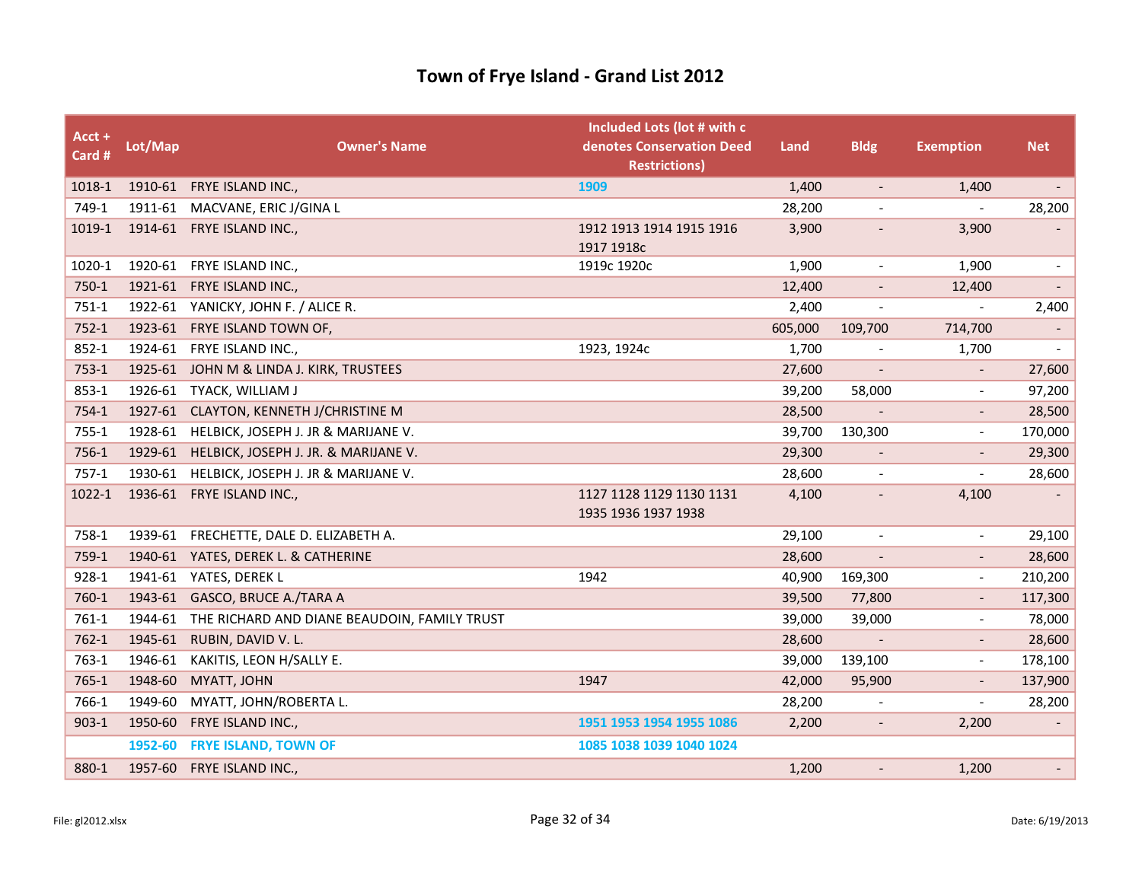| Acct +<br>Card # | Lot/Map | <b>Owner's Name</b>                                  | Included Lots (lot # with c<br>denotes Conservation Deed<br><b>Restrictions)</b> | Land    | <b>Bldg</b>              | <b>Exemption</b>         | <b>Net</b>               |
|------------------|---------|------------------------------------------------------|----------------------------------------------------------------------------------|---------|--------------------------|--------------------------|--------------------------|
| 1018-1           |         | 1910-61 FRYE ISLAND INC.,                            | 1909                                                                             | 1,400   | $\overline{\phantom{a}}$ | 1,400                    | $\overline{\phantom{a}}$ |
| 749-1            |         | 1911-61 MACVANE, ERIC J/GINA L                       |                                                                                  | 28,200  |                          |                          | 28,200                   |
| 1019-1           |         | 1914-61 FRYE ISLAND INC.,                            | 1912 1913 1914 1915 1916<br>1917 1918c                                           | 3,900   | $\overline{\phantom{a}}$ | 3,900                    |                          |
| 1020-1           |         | 1920-61 FRYE ISLAND INC.,                            | 1919c 1920c                                                                      | 1,900   | $\overline{\phantom{a}}$ | 1,900                    | $\overline{\phantom{a}}$ |
| 750-1            | 1921-61 | FRYE ISLAND INC.,                                    |                                                                                  | 12,400  | $\overline{\phantom{a}}$ | 12,400                   |                          |
| $751-1$          |         | 1922-61 YANICKY, JOHN F. / ALICE R.                  |                                                                                  | 2,400   |                          |                          | 2,400                    |
| $752-1$          |         | 1923-61 FRYE ISLAND TOWN OF,                         |                                                                                  | 605,000 | 109,700                  | 714,700                  | $\overline{\phantom{a}}$ |
| $852 - 1$        | 1924-61 | FRYE ISLAND INC.,                                    | 1923, 1924c                                                                      | 1,700   | $\overline{\phantom{a}}$ | 1,700                    | $\sim$                   |
| $753-1$          |         | 1925-61 JOHN M & LINDA J. KIRK, TRUSTEES             |                                                                                  | 27,600  |                          |                          | 27,600                   |
| 853-1            | 1926-61 | TYACK, WILLIAM J                                     |                                                                                  | 39,200  | 58,000                   | $\overline{\phantom{a}}$ | 97,200                   |
| $754-1$          | 1927-61 | CLAYTON, KENNETH J/CHRISTINE M                       |                                                                                  | 28,500  | $\blacksquare$           | $\overline{\phantom{a}}$ | 28,500                   |
| $755 - 1$        |         | 1928-61 HELBICK, JOSEPH J. JR & MARIJANE V.          |                                                                                  | 39,700  | 130,300                  |                          | 170,000                  |
| 756-1            | 1929-61 | HELBICK, JOSEPH J. JR. & MARIJANE V.                 |                                                                                  | 29,300  | $\overline{\phantom{a}}$ |                          | 29,300                   |
| $757-1$          | 1930-61 | HELBICK, JOSEPH J. JR & MARIJANE V.                  |                                                                                  | 28,600  | $\blacksquare$           | $\overline{\phantom{a}}$ | 28,600                   |
| 1022-1           |         | 1936-61 FRYE ISLAND INC.,                            | 1127 1128 1129 1130 1131<br>1935 1936 1937 1938                                  | 4,100   | $\overline{\phantom{a}}$ | 4,100                    |                          |
| 758-1            | 1939-61 | FRECHETTE, DALE D. ELIZABETH A.                      |                                                                                  | 29,100  | $\blacksquare$           | $\overline{\phantom{0}}$ | 29,100                   |
| 759-1            |         | 1940-61 YATES, DEREK L. & CATHERINE                  |                                                                                  | 28,600  |                          |                          | 28,600                   |
| 928-1            | 1941-61 | YATES, DEREK L                                       | 1942                                                                             | 40,900  | 169,300                  | $\overline{\phantom{a}}$ | 210,200                  |
| 760-1            | 1943-61 | GASCO, BRUCE A./TARA A                               |                                                                                  | 39,500  | 77,800                   | $\overline{\phantom{a}}$ | 117,300                  |
| 761-1            |         | 1944-61 THE RICHARD AND DIANE BEAUDOIN, FAMILY TRUST |                                                                                  | 39,000  | 39,000                   |                          | 78,000                   |
| $762-1$          | 1945-61 | RUBIN, DAVID V. L.                                   |                                                                                  | 28,600  |                          |                          | 28,600                   |
| 763-1            | 1946-61 | KAKITIS, LEON H/SALLY E.                             |                                                                                  | 39,000  | 139,100                  | $\blacksquare$           | 178,100                  |
| $765-1$          | 1948-60 | MYATT, JOHN                                          | 1947                                                                             | 42,000  | 95,900                   |                          | 137,900                  |
| 766-1            | 1949-60 | MYATT, JOHN/ROBERTA L.                               |                                                                                  | 28,200  |                          | $\overline{\phantom{a}}$ | 28,200                   |
| $903 - 1$        | 1950-60 | FRYE ISLAND INC.,                                    | 1951 1953 1954 1955 1086                                                         | 2,200   | $\overline{\phantom{a}}$ | 2,200                    |                          |
|                  | 1952-60 | <b>FRYE ISLAND, TOWN OF</b>                          | 1085 1038 1039 1040 1024                                                         |         |                          |                          |                          |
| 880-1            | 1957-60 | FRYE ISLAND INC.,                                    |                                                                                  | 1,200   | $\overline{\phantom{a}}$ | 1,200                    | $\overline{\phantom{a}}$ |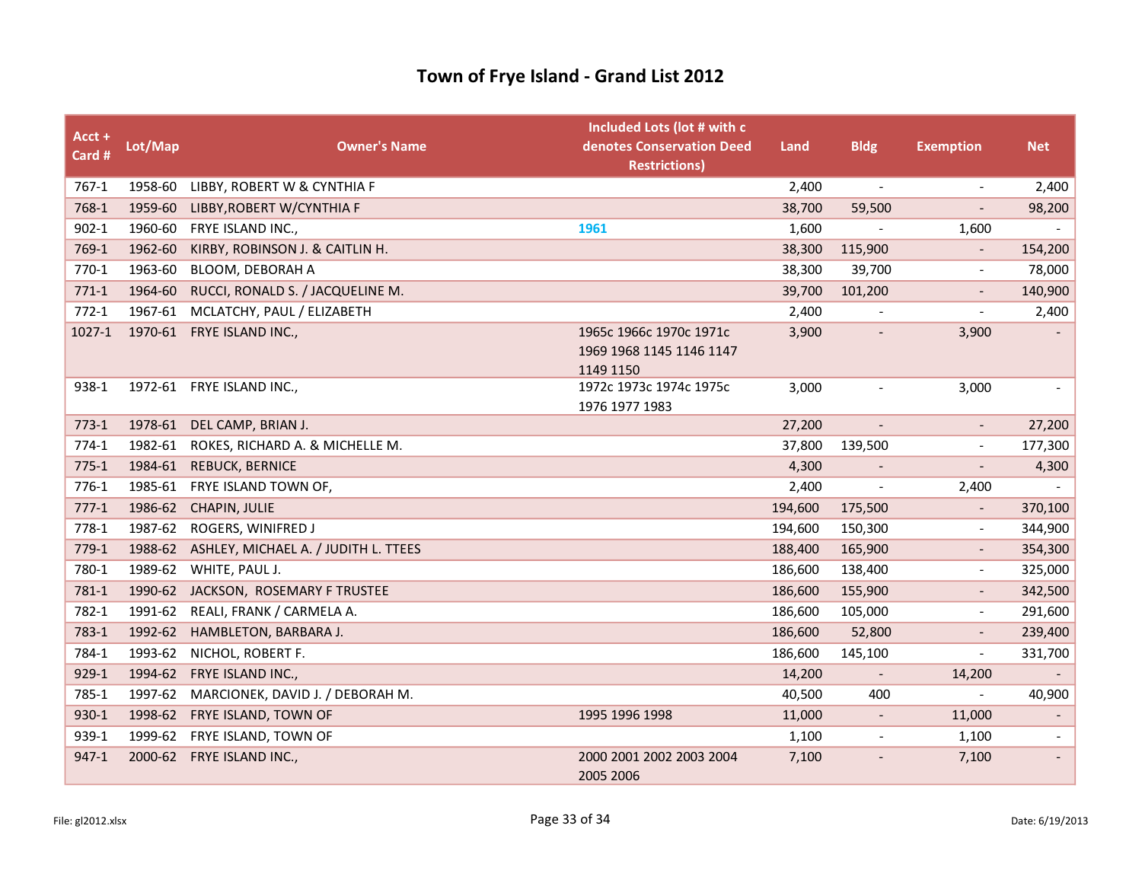| Acct +<br>Card # | Lot/Map | <b>Owner's Name</b>                      | Included Lots (lot # with c<br>denotes Conservation Deed<br><b>Restrictions)</b> | Land    | <b>Bldg</b>              | <b>Exemption</b>         | <b>Net</b>               |
|------------------|---------|------------------------------------------|----------------------------------------------------------------------------------|---------|--------------------------|--------------------------|--------------------------|
| 767-1            | 1958-60 | LIBBY, ROBERT W & CYNTHIA F              |                                                                                  | 2,400   | $\overline{\phantom{a}}$ | $\overline{\phantom{a}}$ | 2,400                    |
| 768-1            | 1959-60 | LIBBY, ROBERT W/CYNTHIA F                |                                                                                  | 38,700  | 59,500                   |                          | 98,200                   |
| $902 - 1$        |         | 1960-60 FRYE ISLAND INC.,                | 1961                                                                             | 1,600   |                          | 1,600                    |                          |
| 769-1            | 1962-60 | KIRBY, ROBINSON J. & CAITLIN H.          |                                                                                  | 38,300  | 115,900                  |                          | 154,200                  |
| 770-1            | 1963-60 | BLOOM, DEBORAH A                         |                                                                                  | 38,300  | 39,700                   |                          | 78,000                   |
| $771-1$          | 1964-60 | RUCCI, RONALD S. / JACQUELINE M.         |                                                                                  | 39,700  | 101,200                  |                          | 140,900                  |
| $772-1$          | 1967-61 | MCLATCHY, PAUL / ELIZABETH               |                                                                                  | 2,400   |                          |                          | 2,400                    |
| 1027-1           |         | 1970-61 FRYE ISLAND INC.,                | 1965c 1966c 1970c 1971c                                                          | 3,900   | $\overline{\phantom{a}}$ | 3,900                    |                          |
|                  |         |                                          | 1969 1968 1145 1146 1147                                                         |         |                          |                          |                          |
|                  |         |                                          | 1149 1150                                                                        |         |                          |                          |                          |
| 938-1            |         | 1972-61 FRYE ISLAND INC.,                | 1972c 1973c 1974c 1975c                                                          | 3,000   | $\tilde{\phantom{a}}$    | 3,000                    |                          |
| $773-1$          | 1978-61 | DEL CAMP, BRIAN J.                       | 1976 1977 1983                                                                   | 27,200  | $\overline{\phantom{a}}$ |                          | 27,200                   |
| $774-1$          | 1982-61 | ROKES, RICHARD A. & MICHELLE M.          |                                                                                  | 37,800  | 139,500                  |                          | 177,300                  |
| $775-1$          | 1984-61 | <b>REBUCK, BERNICE</b>                   |                                                                                  | 4,300   |                          | $\overline{\phantom{a}}$ | 4,300                    |
| $776-1$          | 1985-61 | FRYE ISLAND TOWN OF,                     |                                                                                  | 2,400   |                          | 2,400                    |                          |
| $777-1$          | 1986-62 | CHAPIN, JULIE                            |                                                                                  | 194,600 | 175,500                  |                          | 370,100                  |
| 778-1            | 1987-62 | ROGERS, WINIFRED J                       |                                                                                  | 194,600 | 150,300                  | $\overline{\phantom{a}}$ | 344,900                  |
| $779-1$          | 1988-62 | ASHLEY, MICHAEL A. / JUDITH L. TTEES     |                                                                                  | 188,400 | 165,900                  |                          | 354,300                  |
| 780-1            | 1989-62 | WHITE, PAUL J.                           |                                                                                  | 186,600 | 138,400                  |                          | 325,000                  |
| 781-1            | 1990-62 | JACKSON, ROSEMARY F TRUSTEE              |                                                                                  | 186,600 | 155,900                  |                          | 342,500                  |
| 782-1            | 1991-62 | REALI, FRANK / CARMELA A.                |                                                                                  | 186,600 | 105,000                  |                          | 291,600                  |
| 783-1            | 1992-62 | HAMBLETON, BARBARA J.                    |                                                                                  | 186,600 | 52,800                   |                          | 239,400                  |
| 784-1            | 1993-62 | NICHOL, ROBERT F.                        |                                                                                  | 186,600 | 145,100                  | $\overline{\phantom{a}}$ | 331,700                  |
| 929-1            | 1994-62 | FRYE ISLAND INC.,                        |                                                                                  | 14,200  | $\overline{\phantom{a}}$ | 14,200                   |                          |
| 785-1            |         | 1997-62 MARCIONEK, DAVID J. / DEBORAH M. |                                                                                  | 40,500  | 400                      |                          | 40,900                   |
| 930-1            | 1998-62 | FRYE ISLAND, TOWN OF                     | 1995 1996 1998                                                                   | 11,000  | $\overline{\phantom{a}}$ | 11,000                   |                          |
| 939-1            | 1999-62 | FRYE ISLAND, TOWN OF                     |                                                                                  | 1,100   | $\overline{\phantom{a}}$ | 1,100                    | $\overline{\phantom{a}}$ |
| 947-1            | 2000-62 | FRYE ISLAND INC.,                        | 2000 2001 2002 2003 2004                                                         | 7,100   |                          | 7,100                    |                          |
|                  |         |                                          | 2005 2006                                                                        |         |                          |                          |                          |